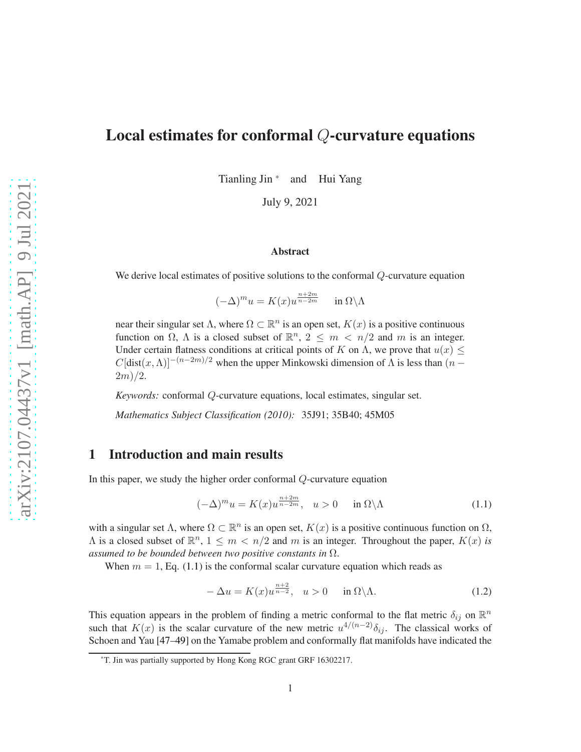# Local estimates for conformal Q-curvature equations

Tianling Jin \* and Hui Yang

July 9, 2021

### Abstract

We derive local estimates of positive solutions to the conformal Q-curvature equation

 $(-\Delta)^m u = K(x) u^{\frac{n+2m}{n-2m}}$ in  $\Omega \backslash \Lambda$ 

near their singular set  $\Lambda$ , where  $\Omega \subset \mathbb{R}^n$  is an open set,  $K(x)$  is a positive continuous function on  $\Omega$ ,  $\Lambda$  is a closed subset of  $\mathbb{R}^n$ ,  $2 \leq m \leq n/2$  and m is an integer. Under certain flatness conditions at critical points of K on  $\Lambda$ , we prove that  $u(x) \leq$  $C[dist(x, \Lambda)]^{-(n-2m)/2}$  when the upper Minkowski dimension of  $\Lambda$  is less than  $(n 2m)/2.$ 

*Keywords:* conformal Q-curvature equations, local estimates, singular set.

*Mathematics Subject Classification (2010):* 35J91; 35B40; 45M05

## 1 Introduction and main results

In this paper, we study the higher order conformal Q-curvature equation

<span id="page-0-0"></span>
$$
(-\Delta)^m u = K(x)u^{\frac{n+2m}{n-2m}}, \quad u > 0 \quad \text{in } \Omega \backslash \Lambda \tag{1.1}
$$

with a singular set  $\Lambda$ , where  $\Omega \subset \mathbb{R}^n$  is an open set,  $K(x)$  is a positive continuous function on  $\Omega$ ,  $\Lambda$  is a closed subset of  $\mathbb{R}^n$ ,  $1 \leq m < n/2$  and m is an integer. Throughout the paper,  $K(x)$  is *assumed to be bounded between two positive constants in* Ω.

When  $m = 1$ , Eq. [\(1.1\)](#page-0-0) is the conformal scalar curvature equation which reads as

<span id="page-0-1"></span>
$$
-\Delta u = K(x)u^{\frac{n+2}{n-2}}, \quad u > 0 \quad \text{in } \Omega \setminus \Lambda. \tag{1.2}
$$

This equation appears in the problem of finding a metric conformal to the flat metric  $\delta_{ij}$  on  $\mathbb{R}^n$ such that  $K(x)$  is the scalar curvature of the new metric  $u^{4/(n-2)}\delta_{ij}$ . The classical works of Schoen and Yau [\[47](#page-56-0)[–49\]](#page-56-1) on the Yamabe problem and conformally flat manifolds have indicated the

<sup>\*</sup>T. Jin was partially supported by Hong Kong RGC grant GRF 16302217.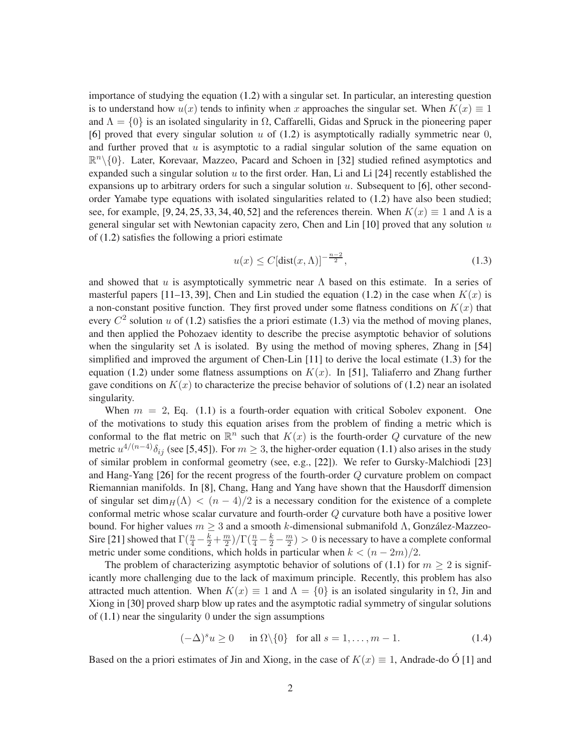importance of studying the equation [\(1.2\)](#page-0-1) with a singular set. In particular, an interesting question is to understand how  $u(x)$  tends to infinity when x approaches the singular set. When  $K(x) \equiv 1$ and  $\Lambda = \{0\}$  is an isolated singularity in  $\Omega$ , Caffarelli, Gidas and Spruck in the pioneering paper [\[6\]](#page-54-0) proved that every singular solution  $u$  of [\(1.2\)](#page-0-1) is asymptotically radially symmetric near 0, and further proved that  $u$  is asymptotic to a radial singular solution of the same equation on  $\mathbb{R}^n\setminus\{0\}$ . Later, Korevaar, Mazzeo, Pacard and Schoen in [\[32\]](#page-55-0) studied refined asymptotics and expanded such a singular solution  $u$  to the first order. Han, Li and Li [\[24\]](#page-55-1) recently established the expansions up to arbitrary orders for such a singular solution  $u$ . Subsequent to [\[6\]](#page-54-0), other secondorder Yamabe type equations with isolated singularities related to [\(1.2\)](#page-0-1) have also been studied; see, for example, [\[9,](#page-54-1) [24,](#page-55-1) [25,](#page-55-2) [33,](#page-55-3) [34,](#page-55-4) [40,](#page-56-2) [52\]](#page-56-3) and the references therein. When  $K(x) \equiv 1$  and  $\Lambda$  is a general singular set with Newtonian capacity zero, Chen and Lin  $[10]$  proved that any solution u of [\(1.2\)](#page-0-1) satisfies the following a priori estimate

<span id="page-1-0"></span>
$$
u(x) \le C[\text{dist}(x,\Lambda)]^{-\frac{n-2}{2}},\tag{1.3}
$$

and showed that u is asymptotically symmetric near  $\Lambda$  based on this estimate. In a series of masterful papers [\[11](#page-54-3)[–13,](#page-54-4) [39\]](#page-56-4), Chen and Lin studied the equation [\(1.2\)](#page-0-1) in the case when  $K(x)$  is a non-constant positive function. They first proved under some flatness conditions on  $K(x)$  that every  $C^2$  solution u of [\(1.2\)](#page-0-1) satisfies the a priori estimate [\(1.3\)](#page-1-0) via the method of moving planes, and then applied the Pohozaev identity to describe the precise asymptotic behavior of solutions when the singularity set  $\Lambda$  is isolated. By using the method of moving spheres, Zhang in [\[54\]](#page-56-5) simplified and improved the argument of Chen-Lin [\[11\]](#page-54-3) to derive the local estimate [\(1.3\)](#page-1-0) for the equation [\(1.2\)](#page-0-1) under some flatness assumptions on  $K(x)$ . In [\[51\]](#page-56-6), Taliaferro and Zhang further gave conditions on  $K(x)$  to characterize the precise behavior of solutions of [\(1.2\)](#page-0-1) near an isolated singularity.

When  $m = 2$ , Eq. [\(1.1\)](#page-0-0) is a fourth-order equation with critical Sobolev exponent. One of the motivations to study this equation arises from the problem of finding a metric which is conformal to the flat metric on  $\mathbb{R}^n$  such that  $K(x)$  is the fourth-order Q curvature of the new metric  $u^{4/(n-4)}\delta_{ij}$  (see [\[5,](#page-54-5)[45\]](#page-56-7)). For  $m\geq 3$ , the higher-order equation [\(1.1\)](#page-0-0) also arises in the study of similar problem in conformal geometry (see, e.g., [\[22\]](#page-55-5)). We refer to Gursky-Malchiodi [\[23\]](#page-55-6) and Hang-Yang [\[26\]](#page-55-7) for the recent progress of the fourth-order Q curvature problem on compact Riemannian manifolds. In [\[8\]](#page-54-6), Chang, Hang and Yang have shown that the Hausdorff dimension of singular set dim $H(\Lambda) < (n-4)/2$  is a necessary condition for the existence of a complete conformal metric whose scalar curvature and fourth-order Q curvature both have a positive lower bound. For higher values  $m \geq 3$  and a smooth k-dimensional submanifold  $\Lambda$ , González-Mazzeo-Sire [\[21\]](#page-55-8) showed that  $\Gamma(\frac{n}{4}-\frac{k}{2}+\frac{m}{2})/\Gamma(\frac{n}{4}-\frac{k}{2}-\frac{m}{2})>0$  is necessary to have a complete conformal metric under some conditions, which holds in particular when  $k < (n - 2m)/2$ .

The problem of characterizing asymptotic behavior of solutions of [\(1.1\)](#page-0-0) for  $m > 2$  is significantly more challenging due to the lack of maximum principle. Recently, this problem has also attracted much attention. When  $K(x) \equiv 1$  and  $\Lambda = \{0\}$  is an isolated singularity in  $\Omega$ , Jin and Xiong in [\[30\]](#page-55-9) proved sharp blow up rates and the asymptotic radial symmetry of singular solutions of  $(1.1)$  near the singularity 0 under the sign assumptions

<span id="page-1-1"></span>
$$
(-\Delta)^s u \ge 0 \quad \text{in } \Omega \setminus \{0\} \quad \text{for all } s = 1, \dots, m - 1. \tag{1.4}
$$

Based on the a priori estimates of Jin and Xiong, in the case of  $K(x) \equiv 1$ , Andrade-do O [[1\]](#page-53-0) and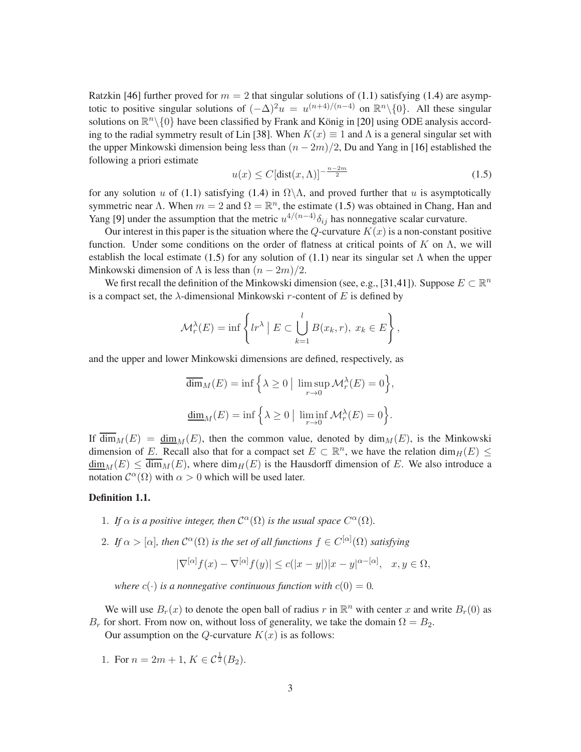Ratzkin [\[46\]](#page-56-8) further proved for  $m = 2$  that singular solutions of [\(1.1\)](#page-0-0) satisfying [\(1.4\)](#page-1-1) are asymptotic to positive singular solutions of  $(-\Delta)^2 u = u^{(n+4)/(n-4)}$  on  $\mathbb{R}^n \setminus \{0\}$ . All these singular solutions on  $\mathbb{R}^n\setminus\{0\}$  have been classified by Frank and König in [\[20\]](#page-55-10) using ODE analysis accord-ing to the radial symmetry result of Lin [\[38\]](#page-56-9). When  $K(x) \equiv 1$  and  $\Lambda$  is a general singular set with the upper Minkowski dimension being less than  $(n - 2m)/2$ , Du and Yang in [\[16\]](#page-54-7) established the following a priori estimate

<span id="page-2-0"></span>
$$
u(x) \le C\left[\text{dist}(x,\Lambda)\right]^{-\frac{n-2m}{2}}\tag{1.5}
$$

for any solution u of [\(1.1\)](#page-0-0) satisfying [\(1.4\)](#page-1-1) in  $\Omega \backslash \Lambda$ , and proved further that u is asymptotically symmetric near  $\Lambda$ . When  $m = 2$  and  $\Omega = \mathbb{R}^n$ , the estimate [\(1.5\)](#page-2-0) was obtained in Chang, Han and Yang [\[9\]](#page-54-1) under the assumption that the metric  $u^{4/(n-4)}\delta_{ij}$  has nonnegative scalar curvature.

Our interest in this paper is the situation where the Q-curvature  $K(x)$  is a non-constant positive function. Under some conditions on the order of flatness at critical points of K on  $\Lambda$ , we will establish the local estimate [\(1.5\)](#page-2-0) for any solution of [\(1.1\)](#page-0-0) near its singular set  $\Lambda$  when the upper Minkowski dimension of  $\Lambda$  is less than  $(n-2m)/2$ .

We first recall the definition of the Minkowski dimension (see, e.g., [\[31,](#page-55-11)[41\]](#page-56-10)). Suppose  $E \subset \mathbb{R}^n$ is a compact set, the  $\lambda$ -dimensional Minkowski r-content of E is defined by

$$
\mathcal{M}_r^{\lambda}(E) = \inf \left\{ lr^{\lambda} \mid E \subset \bigcup_{k=1}^{l} B(x_k, r), \ x_k \in E \right\},\
$$

and the upper and lower Minkowski dimensions are defined, respectively, as

$$
\overline{\dim}_M(E) = \inf \Big\{\lambda \ge 0 \mid \limsup_{r \to 0} \mathcal{M}_r^{\lambda}(E) = 0 \Big\},\
$$
  

$$
\underline{\dim}_M(E) = \inf \Big\{\lambda \ge 0 \mid \liminf_{r \to 0} \mathcal{M}_r^{\lambda}(E) = 0 \Big\}.
$$

If  $\overline{\dim}_M(E) = \underline{\dim}_M(E)$ , then the common value, denoted by  $\dim_M(E)$ , is the Minkowski dimension of E. Recall also that for a compact set  $E \subset \mathbb{R}^n$ , we have the relation  $\dim_H(E) \leq$  $\dim_M(E) \leq \dim_M(E)$ , where  $\dim_H(E)$  is the Hausdorff dimension of E. We also introduce a notation  $C^{\alpha}(\Omega)$  with  $\alpha > 0$  which will be used later.

#### Definition 1.1.

- 1. If  $\alpha$  is a positive integer, then  $\mathcal{C}^{\alpha}(\Omega)$  is the usual space  $C^{\alpha}(\Omega)$ .
- 2. If  $\alpha > [\alpha]$ , then  $\mathcal{C}^{\alpha}(\Omega)$  is the set of all functions  $f \in C^{[\alpha]}(\Omega)$  satisfying

$$
|\nabla^{[\alpha]} f(x) - \nabla^{[\alpha]} f(y)| \le c(|x - y|)|x - y|^{\alpha - [\alpha]}, \quad x, y \in \Omega,
$$

*where*  $c(\cdot)$  *is a nonnegative continuous function with*  $c(0) = 0$ *.* 

We will use  $B_r(x)$  to denote the open ball of radius r in  $\mathbb{R}^n$  with center x and write  $B_r(0)$  as  $B_r$  for short. From now on, without loss of generality, we take the domain  $\Omega = B_2$ .

Our assumption on the Q-curvature  $K(x)$  is as follows:

1. For  $n = 2m + 1$ ,  $K \in C^{\frac{1}{2}}(B_2)$ .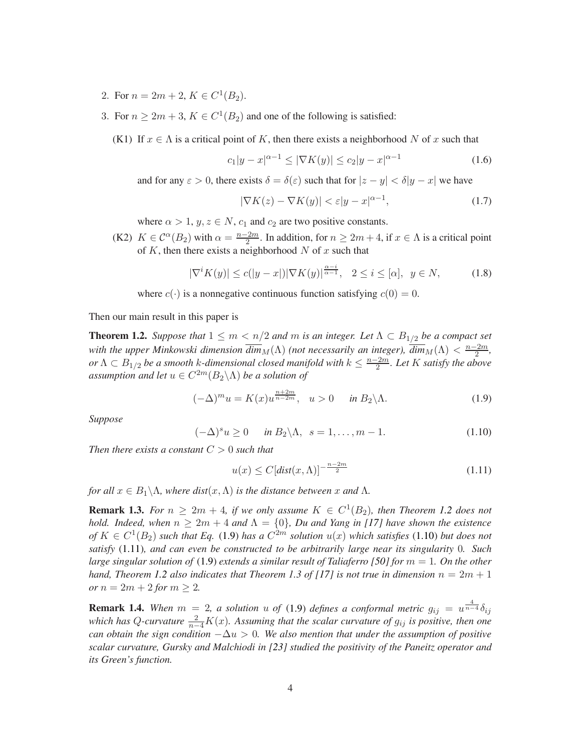- 2. For  $n = 2m + 2$ ,  $K \in C^1(B_2)$ .
- 3. For  $n \geq 2m + 3$ ,  $K \in C^1(B_2)$  and one of the following is satisfied:
	- (K1) If  $x \in \Lambda$  is a critical point of K, then there exists a neighborhood N of x such that

<span id="page-3-4"></span>
$$
c_1|y-x|^{\alpha-1} \le |\nabla K(y)| \le c_2|y-x|^{\alpha-1} \tag{1.6}
$$

and for any  $\varepsilon > 0$ , there exists  $\delta = \delta(\varepsilon)$  such that for  $|z - y| < \delta |y - x|$  we have

<span id="page-3-5"></span>
$$
|\nabla K(z) - \nabla K(y)| < \varepsilon |y - x|^{\alpha - 1},\tag{1.7}
$$

where  $\alpha > 1$ ,  $y, z \in N$ ,  $c_1$  and  $c_2$  are two positive constants.

(K2)  $K \in C^{\alpha}(B_2)$  with  $\alpha = \frac{n-2m}{2}$  $\frac{2m}{2}$ . In addition, for  $n \geq 2m+4$ , if  $x \in \Lambda$  is a critical point of  $K$ , then there exists a neighborhood  $N$  of  $x$  such that

$$
|\nabla^i K(y)| \le c(|y-x|) |\nabla K(y)|^{\frac{\alpha-i}{\alpha-1}}, \quad 2 \le i \le [\alpha], \quad y \in N,
$$
 (1.8)

where  $c(\cdot)$  is a nonnegative continuous function satisfying  $c(0) = 0$ .

<span id="page-3-0"></span>Then our main result in this paper is

**Theorem 1.2.** *Suppose that*  $1 \leq m < n/2$  *and m is an integer. Let*  $\Lambda \subset B_{1/2}$  *be a compact set with the upper Minkowski dimension*  $\overline{dim}_M(\Lambda)$  *(not necessarily an integer),*  $\overline{dim}_M(\Lambda) < \frac{n-2m}{2}$  $\frac{2m}{2}$ , *or*  $\Lambda \subset B_{1/2}$  *be a smooth k-dimensional closed manifold with*  $k \leq \frac{n-2m}{2}$ 2 *. Let* K *satisfy the above* assumption and let  $u \in C^{2m}(B_2 \backslash \Lambda)$  be a solution of

<span id="page-3-1"></span>
$$
(-\Delta)^m u = K(x)u^{\frac{n+2m}{n-2m}}, \quad u > 0 \quad \text{in } B_2 \backslash \Lambda. \tag{1.9}
$$

*Suppose*

<span id="page-3-2"></span>
$$
(-\Delta)^s u \ge 0 \quad \text{in } B_2 \backslash \Lambda, \ \ s = 1, \dots, m-1. \tag{1.10}
$$

*Then there exists a constant* C > 0 *such that*

<span id="page-3-3"></span>
$$
u(x) \le C\left[dist(x,\Lambda)\right]^{-\frac{n-2m}{2}}\tag{1.11}
$$

*for all*  $x \in B_1 \backslash \Lambda$ *, where dist* $(x, \Lambda)$  *is the distance between* x *and*  $\Lambda$ *.* 

**Remark 1.3.** For  $n \geq 2m + 4$ , if we only assume  $K \in C^1(B_2)$ , then Theorem [1.2](#page-3-0) does not *hold. Indeed, when*  $n > 2m + 4$  *and*  $\Lambda = \{0\}$ *, Du and Yang in [\[17\]](#page-54-8) have shown the existence*  $of K \in C^1(B_2)$  *such that Eq.* [\(1.9\)](#page-3-1) *has a*  $C^{2m}$  *solution*  $u(x)$  *which satisfies* [\(1.10\)](#page-3-2) *but does not satisfy* [\(1.11\)](#page-3-3)*, and can even be constructed to be arbitrarily large near its singularity* 0*. Such large singular solution of* [\(1.9\)](#page-3-1) *extends a similar result of Taliaferro [\[50\]](#page-56-11) for* m = 1*. On the other hand, Theorem [1.2](#page-3-0) also indicates that Theorem 1.3 of [\[17\]](#page-54-8) is not true in dimension*  $n = 2m + 1$ *or*  $n = 2m + 2$  *for*  $m > 2$ *.* 

**Remark 1.4.** When  $m = 2$ , a solution u of [\(1.9\)](#page-3-1) defines a conformal metric  $g_{ij} = u^{\frac{4}{n-4}} \delta_{ij}$ *which has Q-curvature*  $\frac{2}{n-4}K(x)$ *. Assuming that the scalar curvature of*  $g_{ij}$  *is positive, then one can obtain the sign condition*  $-\Delta u > 0$ . We also mention that under the assumption of positive *scalar curvature, Gursky and Malchiodi in [\[23\]](#page-55-6) studied the positivity of the Paneitz operator and its Green's function.*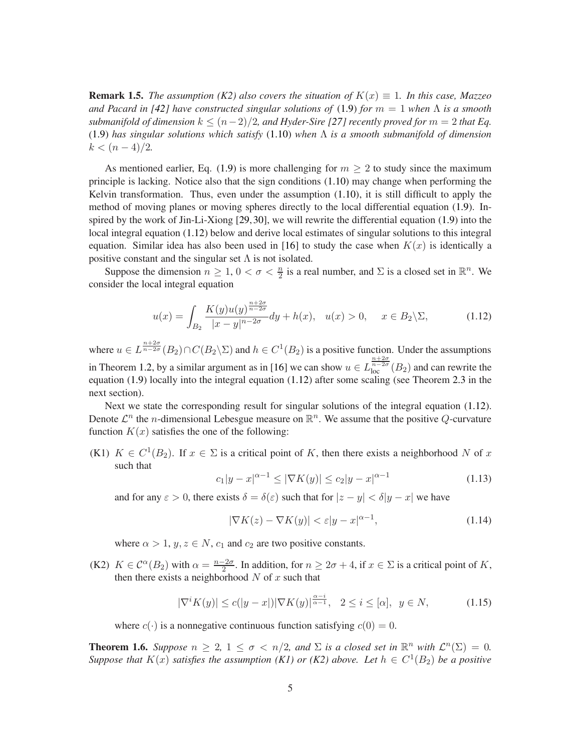**Remark 1.5.** *The assumption (K2) also covers the situation of*  $K(x) \equiv 1$ *. In this case, Mazzeo and Pacard in [\[42\]](#page-56-12) have constructed singular solutions of* [\(1.9\)](#page-3-1) *for*  $m = 1$  *when*  $\Lambda$  *is a smooth submanifold of dimension*  $k \leq (n-2)/2$ , and Hyder-Sire [\[27\]](#page-55-12) recently proved for  $m = 2$  that Eq. [\(1.9\)](#page-3-1) *has singular solutions which satisfy* [\(1.10\)](#page-3-2) *when* Λ *is a smooth submanifold of dimension*  $k < (n-4)/2.$ 

As mentioned earlier, Eq. [\(1.9\)](#page-3-1) is more challenging for  $m \geq 2$  to study since the maximum principle is lacking. Notice also that the sign conditions  $(1.10)$  may change when performing the Kelvin transformation. Thus, even under the assumption  $(1.10)$ , it is still difficult to apply the method of moving planes or moving spheres directly to the local differential equation [\(1.9\)](#page-3-1). Inspired by the work of Jin-Li-Xiong [\[29,](#page-55-13)[30\]](#page-55-9), we will rewrite the differential equation [\(1.9\)](#page-3-1) into the local integral equation [\(1.12\)](#page-4-0) below and derive local estimates of singular solutions to this integral equation. Similar idea has also been used in [\[16\]](#page-54-7) to study the case when  $K(x)$  is identically a positive constant and the singular set  $\Lambda$  is not isolated.

Suppose the dimension  $n \geq 1$ ,  $0 < \sigma < \frac{n}{2}$  is a real number, and  $\Sigma$  is a closed set in  $\mathbb{R}^n$ . We consider the local integral equation

<span id="page-4-0"></span>
$$
u(x) = \int_{B_2} \frac{K(y)u(y)^{\frac{n+2\sigma}{n-2\sigma}}}{|x-y|^{n-2\sigma}} dy + h(x), \quad u(x) > 0, \quad x \in B_2 \backslash \Sigma,
$$
 (1.12)

where  $u \in L^{\frac{n+2\sigma}{n-2\sigma}}(B_2) \cap C(B_2 \backslash \Sigma)$  and  $h \in C^1(B_2)$  is a positive function. Under the assumptions in Theorem [1.2,](#page-3-0) by a similar argument as in [\[16\]](#page-54-7) we can show  $u \in L^{\frac{n+2\sigma}{n-2\sigma}}_{loc}(B_2)$  and can rewrite the equation [\(1.9\)](#page-3-1) locally into the integral equation [\(1.12\)](#page-4-0) after some scaling (see Theorem [2.3](#page-7-0) in the next section).

Next we state the corresponding result for singular solutions of the integral equation [\(1.12\)](#page-4-0). Denote  $\mathcal{L}^n$  the *n*-dimensional Lebesgue measure on  $\mathbb{R}^n$ . We assume that the positive Q-curvature function  $K(x)$  satisfies the one of the following:

(K1)  $K \in C^1(B_2)$ . If  $x \in \Sigma$  is a critical point of K, then there exists a neighborhood N of x such that

$$
c_1|y-x|^{\alpha-1} \le |\nabla K(y)| \le c_2|y-x|^{\alpha-1} \tag{1.13}
$$

and for any  $\varepsilon > 0$ , there exists  $\delta = \delta(\varepsilon)$  such that for  $|z - y| < \delta |y - x|$  we have

$$
|\nabla K(z) - \nabla K(y)| < \varepsilon |y - x|^{\alpha - 1},\tag{1.14}
$$

where  $\alpha > 1$ ,  $y, z \in N$ ,  $c_1$  and  $c_2$  are two positive constants.

(K2)  $K \in C^{\alpha}(B_2)$  with  $\alpha = \frac{n-2\sigma}{2}$  $\frac{2\sigma}{2}$ . In addition, for  $n \geq 2\sigma + 4$ , if  $x \in \Sigma$  is a critical point of K, then there exists a neighborhood  $N$  of  $x$  such that

<span id="page-4-2"></span>
$$
|\nabla^i K(y)| \le c(|y-x|) |\nabla K(y)|^{\frac{\alpha-i}{\alpha-1}}, \quad 2 \le i \le [\alpha], \quad y \in N,
$$
\n(1.15)

where  $c(\cdot)$  is a nonnegative continuous function satisfying  $c(0) = 0$ .

<span id="page-4-1"></span>**Theorem 1.6.** Suppose  $n \geq 2$ ,  $1 \leq \sigma < n/2$ , and  $\Sigma$  is a closed set in  $\mathbb{R}^n$  with  $\mathcal{L}^n(\Sigma) = 0$ . *Suppose that*  $K(x)$  *satisfies the assumption* (K1) or (K2) above. Let  $h \in C^1(B_2)$  be a positive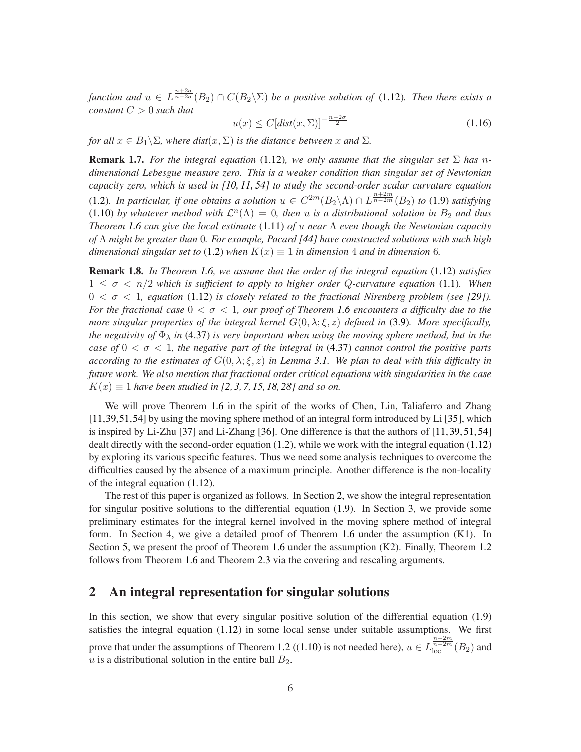*function and*  $u \in L^{\frac{n+2\sigma}{n-2\sigma}}(B_2) \cap C(B_2 \backslash \Sigma)$  *be a positive solution of* [\(1.12\)](#page-4-0). *Then there exists a constant* C > 0 *such that*

$$
u(x) \le C\left[dist(x,\Sigma)\right]^{-\frac{n-2\sigma}{2}}\tag{1.16}
$$

*for all*  $x \in B_1 \setminus \Sigma$ *, where dist* $(x, \Sigma)$  *is the distance between* x *and*  $\Sigma$ *.* 

**Remark 1.7.** For the integral equation [\(1.12\)](#page-4-0), we only assume that the singular set  $\Sigma$  has n*dimensional Lebesgue measure zero. This is a weaker condition than singular set of Newtonian capacity zero, which is used in [\[10,](#page-54-2) [11,](#page-54-3) [54\]](#page-56-5) to study the second-order scalar curvature equation* [\(1.2\)](#page-0-1)*.* In particular, if one obtains a solution  $u \in C^{2m}(B_2 \setminus \Lambda) \cap L^{\frac{n+2m}{n-2m}}(B_2)$  to [\(1.9\)](#page-3-1) satisfying  $(1.10)$  by whatever method with  $\mathcal{L}^n(\Lambda) = 0$ , then u is a distributional solution in  $B_2$  and thus *Theorem [1.6](#page-4-1) can give the local estimate* [\(1.11\)](#page-3-3) *of* u *near* Λ *even though the Newtonian capacity of* Λ *might be greater than* 0*. For example, Pacard [\[44\]](#page-56-13) have constructed solutions with such high dimensional singular set to* [\(1.2\)](#page-0-1) *when*  $K(x) \equiv 1$  *in dimension* 4 *and in dimension* 6*.* 

Remark 1.8. *In Theorem [1.6,](#page-4-1) we assume that the order of the integral equation* [\(1.12\)](#page-4-0) *satisfies* 1 ≤ σ < n/2 *which is sufficient to apply to higher order* Q*-curvature equation* [\(1.1\)](#page-0-0)*. When*  $0 < \sigma < 1$ , equation [\(1.12\)](#page-4-0) is closely related to the fractional Nirenberg problem (see [\[29\]](#page-55-13)). *For the fractional case* 0 < σ < 1*, our proof of Theorem [1.6](#page-4-1) encounters a difficulty due to the more singular properties of the integral kernel*  $G(0, \lambda; \xi, z)$  *defined in* [\(3.9\)](#page-9-0)*. More specifically, the negativity of*  $\Phi_{\lambda}$  *in* [\(4.37\)](#page-19-0) *is very important when using the moving sphere method, but in the case of*  $0 < \sigma < 1$ , the negative part of the integral in [\(4.37\)](#page-19-0) cannot control the positive parts *according to the estimates of*  $G(0, \lambda; \xi, z)$  *in Lemma [3.1.](#page-9-1)* We plan to deal with this difficulty in *future work. We also mention that fractional order critical equations with singularities in the case*  $K(x) \equiv 1$  *have been studied in [\[2,](#page-54-9) [3,](#page-54-10) [7,](#page-54-11) [15,](#page-54-12) [18,](#page-54-13) [28\]](#page-55-14) and so on.* 

We will prove Theorem [1.6](#page-4-1) in the spirit of the works of Chen, Lin, Taliaferro and Zhang [\[11](#page-54-3)[,39,](#page-56-4)[51,](#page-56-6)[54\]](#page-56-5) by using the moving sphere method of an integral form introduced by Li [\[35\]](#page-55-15), which is inspired by Li-Zhu [\[37\]](#page-55-16) and Li-Zhang [\[36\]](#page-55-17). One difference is that the authors of [\[11,](#page-54-3)[39,](#page-56-4)[51,](#page-56-6)[54\]](#page-56-5) dealt directly with the second-order equation [\(1.2\)](#page-0-1), while we work with the integral equation [\(1.12\)](#page-4-0) by exploring its various specific features. Thus we need some analysis techniques to overcome the difficulties caused by the absence of a maximum principle. Another difference is the non-locality of the integral equation [\(1.12\)](#page-4-0).

The rest of this paper is organized as follows. In Section [2,](#page-5-0) we show the integral representation for singular positive solutions to the differential equation [\(1.9\)](#page-3-1). In Section [3,](#page-8-0) we provide some preliminary estimates for the integral kernel involved in the moving sphere method of integral form. In Section [4,](#page-12-0) we give a detailed proof of Theorem [1.6](#page-4-1) under the assumption (K1). In Section [5,](#page-39-0) we present the proof of Theorem [1.6](#page-4-1) under the assumption (K2). Finally, Theorem [1.2](#page-3-0) follows from Theorem [1.6](#page-4-1) and Theorem [2.3](#page-7-0) via the covering and rescaling arguments.

## <span id="page-5-0"></span>2 An integral representation for singular solutions

<span id="page-5-1"></span>In this section, we show that every singular positive solution of the differential equation [\(1.9\)](#page-3-1) satisfies the integral equation [\(1.12\)](#page-4-0) in some local sense under suitable assumptions. We first prove that under the assumptions of Theorem [1.2](#page-3-0) ([\(1.10\)](#page-3-2) is not needed here),  $u \in L_{loc}^{\frac{n+2m}{n-2m}}(B_2)$  and u is a distributional solution in the entire ball  $B_2$ .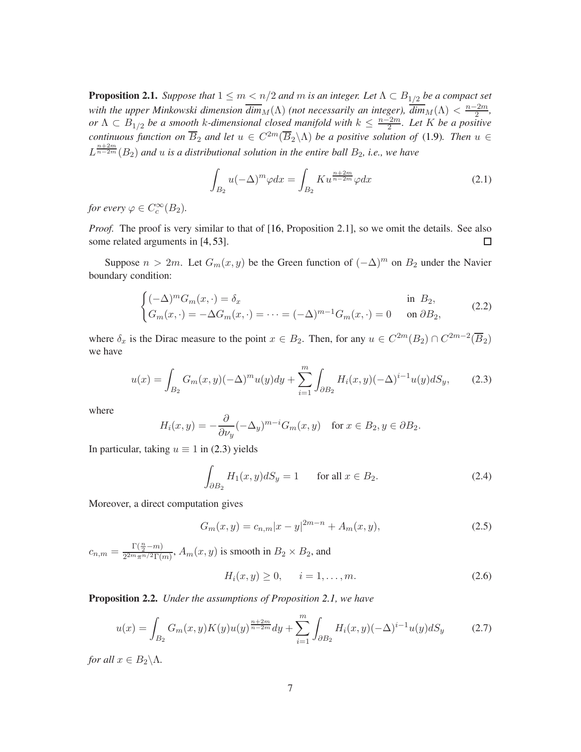**Proposition 2.1.** *Suppose that*  $1 \le m < n/2$  *and m is an integer. Let*  $\Lambda \subset B_{1/2}$  *be a compact set with the upper Minkowski dimension*  $\overline{dim}_M(\Lambda)$  *(not necessarily an integer),*  $\overline{dim}_M(\Lambda) < \frac{n-2m}{2}$  $\frac{2m}{2}$ , *or*  $\Lambda \subset B_{1/2}$  *be a smooth k-dimensional closed manifold with*  $k \leq \frac{n-2m}{2}$ 2 *. Let* K *be a positive continuous function on*  $\overline{B}_2$  *and let*  $u \in C^{2m}(\overline{B}_2 \backslash \Lambda)$  *be a positive solution of* [\(1.9\)](#page-3-1). Then  $u \in$  $L^{\frac{n+2m}{n-2m}}(B_2)$  and  $u$  is a distributional solution in the entire ball  $B_2$ , i.e., we have

$$
\int_{B_2} u(-\Delta)^m \varphi dx = \int_{B_2} K u^{\frac{n+2m}{n-2m}} \varphi dx \tag{2.1}
$$

*for every*  $\varphi \in C_c^{\infty}(B_2)$ .

*Proof.* The proof is very similar to that of [\[16,](#page-54-7) Proposition 2.1], so we omit the details. See also  $\Box$ some related arguments in [\[4,](#page-54-14) [53\]](#page-56-14).

Suppose  $n > 2m$ . Let  $G_m(x, y)$  be the Green function of  $(-\Delta)^m$  on  $B_2$  under the Navier boundary condition:

$$
\begin{cases}\n(-\Delta)^m G_m(x, \cdot) = \delta_x & \text{in } B_2, \\
G_m(x, \cdot) = -\Delta G_m(x, \cdot) = \dots = (-\Delta)^{m-1} G_m(x, \cdot) = 0 & \text{on } \partial B_2,\n\end{cases}
$$
\n(2.2)

where  $\delta_x$  is the Dirac measure to the point  $x \in B_2$ . Then, for any  $u \in C^{2m}(B_2) \cap C^{2m-2}(\overline{B}_2)$ we have

<span id="page-6-0"></span>
$$
u(x) = \int_{B_2} G_m(x, y) (-\Delta)^m u(y) dy + \sum_{i=1}^m \int_{\partial B_2} H_i(x, y) (-\Delta)^{i-1} u(y) dS_y, \tag{2.3}
$$

where

$$
H_i(x,y) = -\frac{\partial}{\partial \nu_y} (-\Delta_y)^{m-i} G_m(x,y) \quad \text{for } x \in B_2, y \in \partial B_2.
$$

In particular, taking  $u \equiv 1$  in [\(2.3\)](#page-6-0) yields

<span id="page-6-3"></span>
$$
\int_{\partial B_2} H_1(x, y) dS_y = 1 \qquad \text{for all } x \in B_2.
$$
\n(2.4)

Moreover, a direct computation gives

<span id="page-6-1"></span>
$$
G_m(x,y) = c_{n,m}|x-y|^{2m-n} + A_m(x,y),
$$
\n(2.5)

 $c_{n,m} = \frac{\Gamma(\frac{n}{2} - m)}{2^{2m} \pi^{n/2} \Gamma(r)}$  $\frac{1}{2^{2m}\pi^{n/2}\Gamma(m)}$ ,  $A_m(x, y)$  is smooth in  $B_2 \times B_2$ , and

$$
H_i(x, y) \ge 0, \quad i = 1, \dots, m. \tag{2.6}
$$

<span id="page-6-2"></span>Proposition 2.2. *Under the assumptions of Proposition [2.1,](#page-5-1) we have*

$$
u(x) = \int_{B_2} G_m(x, y) K(y) u(y)^{\frac{n+2m}{n-2m}} dy + \sum_{i=1}^m \int_{\partial B_2} H_i(x, y) (-\Delta)^{i-1} u(y) dS_y \tag{2.7}
$$

*for all*  $x \in B_2 \backslash \Lambda$ *.*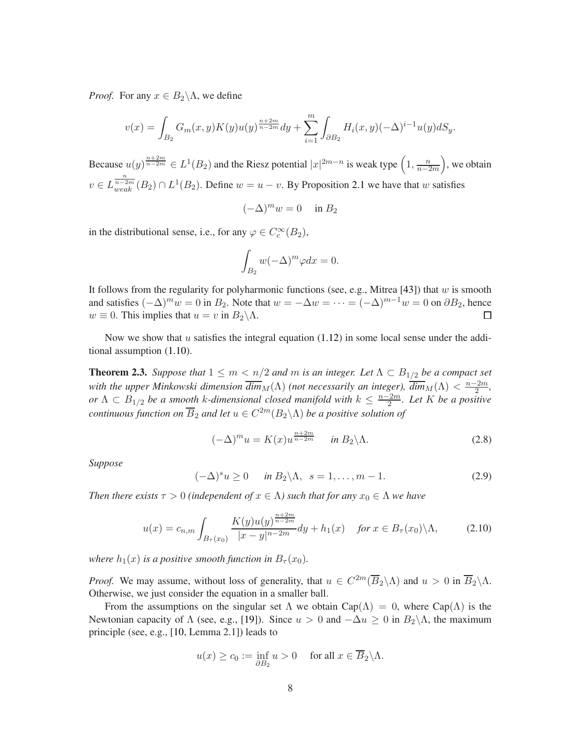*Proof.* For any  $x \in B_2 \backslash \Lambda$ , we define

$$
v(x) = \int_{B_2} G_m(x, y) K(y) u(y)^{\frac{n+2m}{n-2m}} dy + \sum_{i=1}^m \int_{\partial B_2} H_i(x, y) (-\Delta)^{i-1} u(y) dS_y.
$$

Because  $u(y)^{\frac{n+2m}{n-2m}} \in L^1(B_2)$  and the Riesz potential  $|x|^{2m-n}$  is weak type  $\left(1, \frac{n}{n-2}\right)$ n−2m , we obtain  $v \in L_{weak}^{\frac{n}{n-2m}}(B_2) \cap L^1(B_2)$ . Define  $w = u - v$ . By Proposition [2.1](#page-5-1) we have that w satisfies

$$
(-\Delta)^m w = 0 \quad \text{in } B_2
$$

in the distributional sense, i.e., for any  $\varphi \in C_c^{\infty}(B_2)$ ,

$$
\int_{B_2} w(-\Delta)^m \varphi dx = 0.
$$

It follows from the regularity for polyharmonic functions (see, e.g., Mitrea [\[43\]](#page-56-15)) that w is smooth and satisfies  $(-\Delta)^m w = 0$  in  $B_2$ . Note that  $w = -\Delta w = \cdots = (-\Delta)^{m-1}w = 0$  on  $\partial B_2$ , hence  $w \equiv 0$ . This implies that  $u = v$  in  $B_2 \backslash \Lambda$ . П

<span id="page-7-0"></span>Now we show that u satisfies the integral equation  $(1.12)$  in some local sense under the additional assumption [\(1.10\)](#page-3-2).

**Theorem 2.3.** *Suppose that*  $1 \leq m < n/2$  *and m is an integer. Let*  $\Lambda \subset B_{1/2}$  *be a compact set with the upper Minkowski dimension*  $\overline{dim}_M(\Lambda)$  *(not necessarily an integer),*  $\overline{dim}_M(\Lambda) < \frac{n-2m}{2}$  $\frac{2m}{2}$ , *or*  $\Lambda \subset B_{1/2}$  *be a smooth k-dimensional closed manifold with*  $k \leq \frac{n-2m}{2}$ 2 *. Let* K *be a positive*  $\mathit{continuous}$  function on  $\overline{B}_2$  and let  $u\in C^{2m}(B_2\backslash\Lambda)$  be a positive solution of

$$
(-\Delta)^m u = K(x) u^{\frac{n+2m}{n-2m}} \quad \text{in } B_2 \backslash \Lambda. \tag{2.8}
$$

*Suppose*

<span id="page-7-1"></span>
$$
(-\Delta)^s u \ge 0 \quad \text{in } B_2 \backslash \Lambda, \ \ s = 1, \dots, m-1. \tag{2.9}
$$

*Then there exists*  $\tau > 0$  *(independent of*  $x \in \Lambda$ ) such that for any  $x_0 \in \Lambda$  we have

$$
u(x) = c_{n,m} \int_{B_{\tau}(x_0)} \frac{K(y)u(y)^{\frac{n+2m}{n-2m}}}{|x-y|^{n-2m}} dy + h_1(x) \quad \text{for } x \in B_{\tau}(x_0) \backslash \Lambda,
$$
 (2.10)

*where*  $h_1(x)$  *is a positive smooth function in*  $B_\tau(x_0)$ *.* 

*Proof.* We may assume, without loss of generality, that  $u \in C^{2m}(\overline{B}_2 \setminus \Lambda)$  and  $u > 0$  in  $\overline{B}_2 \setminus \Lambda$ . Otherwise, we just consider the equation in a smaller ball.

From the assumptions on the singular set  $\Lambda$  we obtain Cap( $\Lambda$ ) = 0, where Cap( $\Lambda$ ) is the Newtonian capacity of  $\Lambda$  (see, e.g., [\[19\]](#page-54-15)). Since  $u > 0$  and  $-\Delta u \ge 0$  in  $B_2\setminus\Lambda$ , the maximum principle (see, e.g., [\[10,](#page-54-2) Lemma 2.1]) leads to

$$
u(x) \ge c_0 := \inf_{\partial B_2} u > 0
$$
 for all  $x \in \overline{B}_2 \backslash \Lambda$ .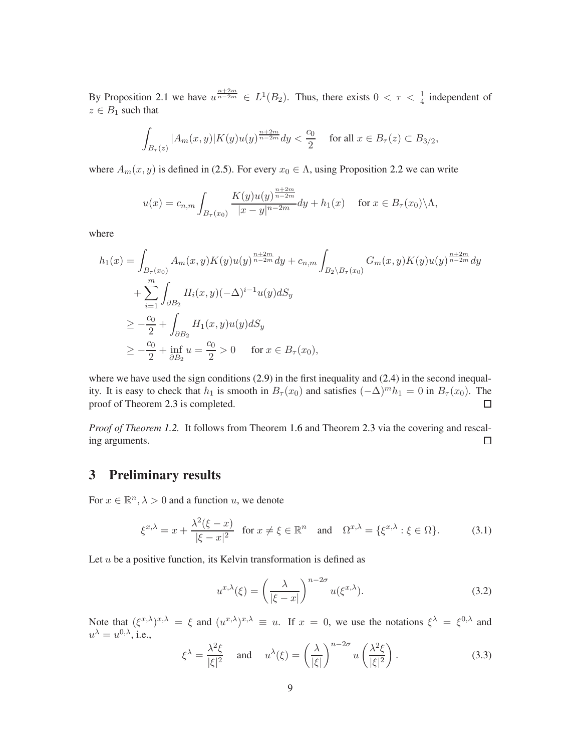By Proposition [2.1](#page-5-1) we have  $u^{\frac{n+2m}{n-2m}} \in L^1(B_2)$ . Thus, there exists  $0 < \tau < \frac{1}{4}$  independent of  $z \in B_1$  such that

$$
\int_{B_{\tau}(z)} |A_m(x, y)| K(y) u(y)^{\frac{n+2m}{n-2m}} dy < \frac{c_0}{2} \quad \text{ for all } x \in B_{\tau}(z) \subset B_{3/2},
$$

where  $A_m(x, y)$  is defined in [\(2.5\)](#page-6-1). For every  $x_0 \in \Lambda$ , using Proposition [2.2](#page-6-2) we can write

$$
u(x) = c_{n,m} \int_{B_{\tau}(x_0)} \frac{K(y)u(y)^{\frac{n+2m}{n-2m}}}{|x-y|^{n-2m}} dy + h_1(x) \quad \text{for } x \in B_{\tau}(x_0) \setminus \Lambda,
$$

where

$$
h_1(x) = \int_{B_{\tau}(x_0)} A_m(x, y) K(y) u(y)^{\frac{n+2m}{n-2m}} dy + c_{n,m} \int_{B_2 \setminus B_{\tau}(x_0)} G_m(x, y) K(y) u(y)^{\frac{n+2m}{n-2m}} dy + \sum_{i=1}^m \int_{\partial B_2} H_i(x, y) (-\Delta)^{i-1} u(y) dS_y \ge -\frac{c_0}{2} + \int_{\partial B_2} H_1(x, y) u(y) dS_y \ge -\frac{c_0}{2} + \inf_{\partial B_2} u = \frac{c_0}{2} > 0 \quad \text{for } x \in B_{\tau}(x_0),
$$

where we have used the sign conditions  $(2.9)$  in the first inequality and  $(2.4)$  in the second inequality. It is easy to check that  $h_1$  is smooth in  $B_\tau(x_0)$  and satisfies  $(-\Delta)^m h_1 = 0$  in  $B_\tau(x_0)$ . The proof of Theorem [2.3](#page-7-0) is completed.  $\Box$ 

*Proof of Theorem [1.2.](#page-3-0)* It follows from Theorem [1.6](#page-4-1) and Theorem [2.3](#page-7-0) via the covering and rescal- $\Box$ ing arguments.

## <span id="page-8-0"></span>3 Preliminary results

For  $x \in \mathbb{R}^n$ ,  $\lambda > 0$  and a function u, we denote

$$
\xi^{x,\lambda} = x + \frac{\lambda^2(\xi - x)}{|\xi - x|^2} \quad \text{for } x \neq \xi \in \mathbb{R}^n \quad \text{and} \quad \Omega^{x,\lambda} = \{\xi^{x,\lambda} : \xi \in \Omega\}. \tag{3.1}
$$

Let  $u$  be a positive function, its Kelvin transformation is defined as

$$
u^{x,\lambda}(\xi) = \left(\frac{\lambda}{|\xi - x|}\right)^{n-2\sigma} u(\xi^{x,\lambda}).
$$
\n(3.2)

Note that  $(\xi^{x,\lambda})^{x,\lambda} = \xi$  and  $(u^{x,\lambda})^{x,\lambda} \equiv u$ . If  $x = 0$ , we use the notations  $\xi^{\lambda} = \xi^{0,\lambda}$  and  $u^{\lambda} = u^{0,\lambda}$ , i.e.,

$$
\xi^{\lambda} = \frac{\lambda^2 \xi}{|\xi|^2} \quad \text{and} \quad u^{\lambda}(\xi) = \left(\frac{\lambda}{|\xi|}\right)^{n-2\sigma} u\left(\frac{\lambda^2 \xi}{|\xi|^2}\right). \tag{3.3}
$$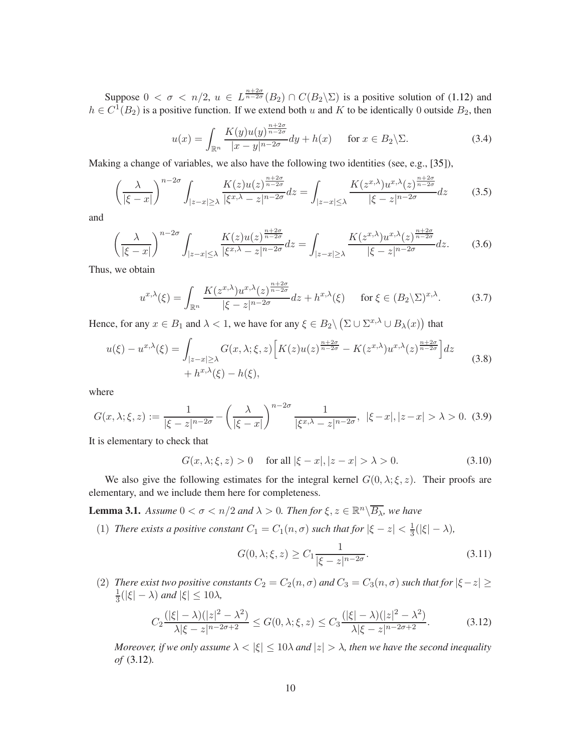Suppose  $0 < \sigma < n/2$ ,  $u \in L^{\frac{n+2\sigma}{n-2\sigma}}(B_2) \cap C(B_2 \backslash \Sigma)$  is a positive solution of [\(1.12\)](#page-4-0) and  $h \in C^1(B_2)$  is a positive function. If we extend both u and K to be identically 0 outside  $B_2$ , then

$$
u(x) = \int_{\mathbb{R}^n} \frac{K(y)u(y)^{\frac{n+2\sigma}{n-2\sigma}}}{|x-y|^{n-2\sigma}} dy + h(x) \quad \text{for } x \in B_2 \backslash \Sigma.
$$
 (3.4)

Making a change of variables, we also have the following two identities (see, e.g., [\[35\]](#page-55-15)),

$$
\left(\frac{\lambda}{|\xi - x|}\right)^{n-2\sigma} \int_{|z - x| \ge \lambda} \frac{K(z)u(z)^{\frac{n+2\sigma}{n-2\sigma}}}{|\xi^{x,\lambda} - z|^{n-2\sigma}} dz = \int_{|z - x| \le \lambda} \frac{K(z^{x,\lambda})u^{x,\lambda}(z)^{\frac{n+2\sigma}{n-2\sigma}}}{|\xi - z|^{n-2\sigma}} dz \tag{3.5}
$$

and

$$
\left(\frac{\lambda}{|\xi-x|}\right)^{n-2\sigma} \int_{|z-x| \le \lambda} \frac{K(z)u(z)^{\frac{n+2\sigma}{n-2\sigma}}}{|\xi^x \cdot \lambda - z|^{n-2\sigma}} dz = \int_{|z-x| \ge \lambda} \frac{K(z^x \cdot \lambda) u^{x, \lambda}(z)^{\frac{n+2\sigma}{n-2\sigma}}}{|\xi - z|^{n-2\sigma}} dz. \tag{3.6}
$$

Thus, we obtain

<span id="page-9-3"></span>
$$
u^{x,\lambda}(\xi) = \int_{\mathbb{R}^n} \frac{K(z^{x,\lambda})u^{x,\lambda}(z)^{\frac{n+2\sigma}{n-2\sigma}}}{|\xi - z|^{n-2\sigma}} dz + h^{x,\lambda}(\xi) \quad \text{for } \xi \in (B_2 \setminus \Sigma)^{x,\lambda}.
$$
 (3.7)

Hence, for any  $x \in B_1$  and  $\lambda < 1$ , we have for any  $\xi \in B_2 \setminus (\Sigma \cup \Sigma^{x,\lambda} \cup B_\lambda(x))$  that

<span id="page-9-4"></span>
$$
u(\xi) - u^{x,\lambda}(\xi) = \int_{|z-x| \ge \lambda} G(x,\lambda;\xi,z) \left[ K(z)u(z)^{\frac{n+2\sigma}{n-2\sigma}} - K(z^{x,\lambda})u^{x,\lambda}(z)^{\frac{n+2\sigma}{n-2\sigma}} \right] dz
$$
  
+  $h^{x,\lambda}(\xi) - h(\xi),$  (3.8)

where

<span id="page-9-0"></span>
$$
G(x,\lambda;\xi,z) := \frac{1}{|\xi - z|^{n-2\sigma}} - \left(\frac{\lambda}{|\xi - x|}\right)^{n-2\sigma} \frac{1}{|\xi^{x,\lambda} - z|^{n-2\sigma}}, \ |\xi - x|, |z - x| > \lambda > 0. \tag{3.9}
$$

It is elementary to check that

$$
G(x, \lambda; \xi, z) > 0 \quad \text{for all } |\xi - x|, |z - x| > \lambda > 0. \tag{3.10}
$$

<span id="page-9-1"></span>We also give the following estimates for the integral kernel  $G(0, \lambda; \xi, z)$ . Their proofs are elementary, and we include them here for completeness.

**Lemma 3.1.** *Assume*  $0 < \sigma < n/2$  *and*  $\lambda > 0$ *. Then for*  $\xi, z \in \mathbb{R}^n \setminus \overline{B_\lambda}$ *, we have* 

(1) *There exists a positive constant*  $C_1 = C_1(n, \sigma)$  *such that for*  $|\xi - z| < \frac{1}{3}$  $\frac{1}{3}(|\xi|-\lambda)$ ,

$$
G(0, \lambda; \xi, z) \ge C_1 \frac{1}{|\xi - z|^{n - 2\sigma}}.
$$
\n(3.11)

(2) *There exist two positive constants*  $C_2 = C_2(n, \sigma)$  *and*  $C_3 = C_3(n, \sigma)$  *such that for*  $|\xi - z| \ge$ 1  $\frac{1}{3}(|\xi| - \lambda)$  and  $|\xi| \leq 10\lambda$ ,

<span id="page-9-2"></span>
$$
C_2 \frac{(|\xi| - \lambda)(|z|^2 - \lambda^2)}{\lambda |\xi - z|^{n - 2\sigma + 2}} \le G(0, \lambda; \xi, z) \le C_3 \frac{(|\xi| - \lambda)(|z|^2 - \lambda^2)}{\lambda |\xi - z|^{n - 2\sigma + 2}}.
$$
 (3.12)

*Moreover, if we only assume*  $\lambda < |\xi| \leq 10\lambda$  *and*  $|z| > \lambda$ *, then we have the second inequality of* [\(3.12\)](#page-9-2)*.*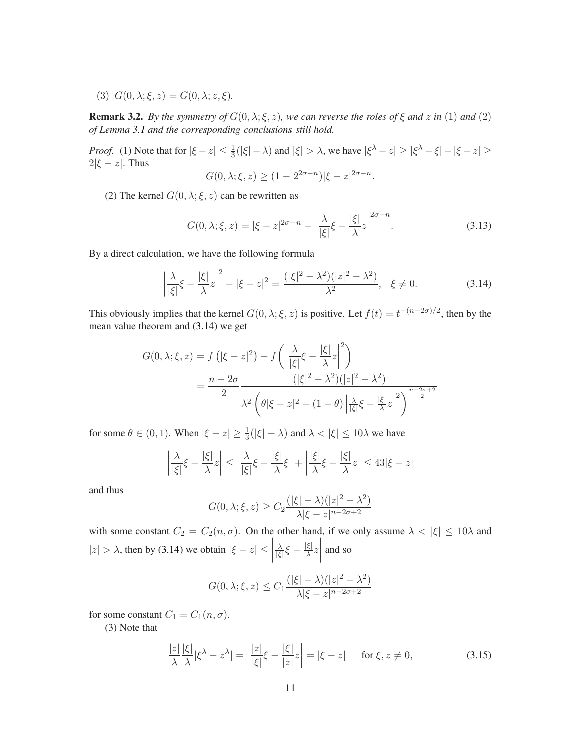(3)  $G(0, \lambda; \xi, z) = G(0, \lambda; z, \xi)$ .

**Remark 3.2.** *By the symmetry of*  $G(0, \lambda; \xi, z)$ *, we can reverse the roles of*  $\xi$  *and*  $z$  *in* (1) *and* (2) *of Lemma [3.1](#page-9-1) and the corresponding conclusions still hold.*

*Proof.* (1) Note that for  $|\xi - z| \le \frac{1}{3}(|\xi| - \lambda)$  and  $|\xi| > \lambda$ , we have  $|\xi^{\lambda} - z| \ge |\xi^{\lambda} - \xi| - |\xi - z| \ge$  $2|\xi - z|$ . Thus

$$
G(0, \lambda; \xi, z) \ge (1 - 2^{2\sigma - n})|\xi - z|^{2\sigma - n}.
$$

(2) The kernel  $G(0, \lambda; \xi, z)$  can be rewritten as

$$
G(0,\lambda;\xi,z) = |\xi - z|^{2\sigma - n} - \left| \frac{\lambda}{|\xi|} \xi - \frac{|\xi|}{\lambda} z \right|^{2\sigma - n}.
$$
 (3.13)

By a direct calculation, we have the following formula

<span id="page-10-0"></span>
$$
\left|\frac{\lambda}{|\xi|}\xi - \frac{|\xi|}{\lambda}z\right|^2 - |\xi - z|^2 = \frac{(|\xi|^2 - \lambda^2)(|z|^2 - \lambda^2)}{\lambda^2}, \ \xi \neq 0.
$$
 (3.14)

This obviously implies that the kernel  $G(0, \lambda; \xi, z)$  is positive. Let  $f(t) = t^{-(n-2\sigma)/2}$ , then by the mean value theorem and [\(3.14\)](#page-10-0) we get

$$
G(0, \lambda; \xi, z) = f(|\xi - z|^2) - f\left(\left|\frac{\lambda}{|\xi|} \xi - \frac{|\xi|}{\lambda} z\right|^2\right)
$$
  
= 
$$
\frac{n - 2\sigma}{2} \frac{(|\xi|^2 - \lambda^2)(|z|^2 - \lambda^2)}{\lambda^2 \left(\theta|\xi - z|^2 + (1 - \theta)\left|\frac{\lambda}{|\xi|} \xi - \frac{|\xi|}{\lambda} z\right|^2\right)^{\frac{n - 2\sigma + 2}{2}}}
$$

for some  $\theta \in (0, 1)$ . When  $|\xi - z| \ge \frac{1}{3}(|\xi| - \lambda)$  and  $\lambda < |\xi| \le 10\lambda$  we have

$$
\left|\frac{\lambda}{|\xi|}\xi - \frac{|\xi|}{\lambda}z\right| \le \left|\frac{\lambda}{|\xi|}\xi - \frac{|\xi|}{\lambda}\xi\right| + \left|\frac{|\xi|}{\lambda}\xi - \frac{|\xi|}{\lambda}z\right| \le 43|\xi - z|
$$

and thus

$$
G(0, \lambda; \xi, z) \ge C_2 \frac{(|\xi| - \lambda)(|z|^2 - \lambda^2)}{\lambda |\xi - z|^{n - 2\sigma + 2}}
$$

with some constant  $C_2 = C_2(n, \sigma)$ . On the other hand, if we only assume  $\lambda < |\xi| \leq 10\lambda$  and  $|z| > \lambda$ , then by [\(3.14\)](#page-10-0) we obtain  $|\xi - z| \leq$   $\lambda$  $\frac{\lambda}{|\xi|} \xi - \frac{|\xi|}{\lambda}$  $\frac{\xi|}{\lambda}z$  $\begin{array}{c} \begin{array}{c} \begin{array}{c} \end{array} \\ \begin{array}{c} \end{array} \end{array} \end{array}$ and so

$$
G(0, \lambda; \xi, z) \le C_1 \frac{(|\xi| - \lambda)(|z|^2 - \lambda^2)}{\lambda |\xi - z|^{n - 2\sigma + 2}}
$$

for some constant  $C_1 = C_1(n, \sigma)$ .

(3) Note that

$$
\frac{|z|}{\lambda} \frac{|\xi|}{\lambda} |\xi^{\lambda} - z^{\lambda}| = \left| \frac{|z|}{|\xi|} \xi - \frac{|\xi|}{|z|} z \right| = |\xi - z| \quad \text{for } \xi, z \neq 0,
$$
\n(3.15)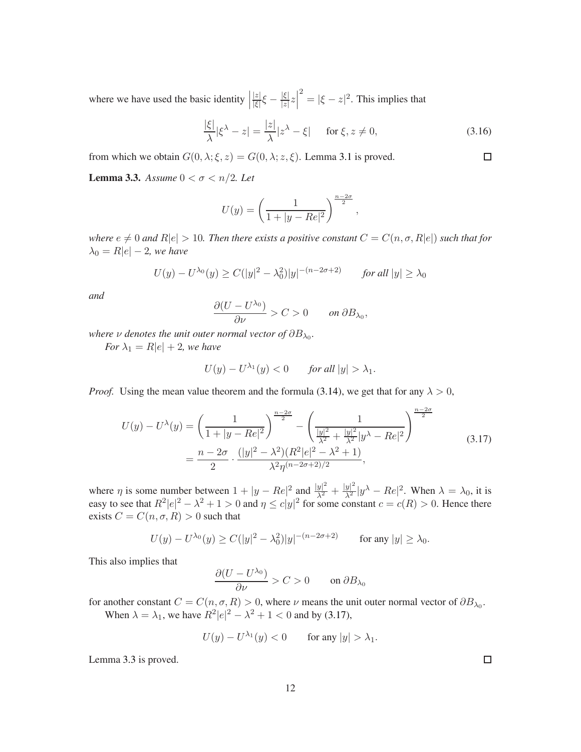where we have used the basic identity  $\Big|$  $|z|$  $\frac{|z|}{|\xi|}\xi-\frac{|\xi|}{|z|}$  $\frac{|\xi|}{|z|}z\Big|$  $2^2 = |\xi - z|^2$ . This implies that

$$
\frac{|\xi|}{\lambda} |\xi^{\lambda} - z| = \frac{|z|}{\lambda} |z^{\lambda} - \xi| \quad \text{for } \xi, z \neq 0,
$$
\n(3.16)

<span id="page-11-1"></span>from which we obtain  $G(0, \lambda; \xi, z) = G(0, \lambda; z, \xi)$ . Lemma [3.1](#page-9-1) is proved.

**Lemma 3.3.** *Assume*  $0 < \sigma < n/2$ *. Let* 

$$
U(y) = \left(\frac{1}{1+|y-Re|^2}\right)^{\frac{n-2\sigma}{2}},
$$

*where*  $e \neq 0$  *and*  $R|e| > 10$ *. Then there exists a positive constant*  $C = C(n, \sigma, R|e|)$  *such that for*  $\lambda_0 = R|e| - 2$ *, we have* 

$$
U(y) - U^{\lambda_0}(y) \ge C(|y|^2 - \lambda_0^2)|y|^{-(n-2\sigma+2)} \qquad \text{for all } |y| \ge \lambda_0
$$

*and*

$$
\frac{\partial (U - U^{\lambda_0})}{\partial \nu} > C > 0 \quad on \ \partial B_{\lambda_0},
$$

where  $\nu$  denotes the unit outer normal vector of  $\partial B_{\lambda_0}.$ 

*For*  $\lambda_1 = R|e| + 2$ *, we have* 

$$
U(y) - U^{\lambda_1}(y) < 0 \qquad \text{for all } |y| > \lambda_1.
$$

*Proof.* Using the mean value theorem and the formula [\(3.14\)](#page-10-0), we get that for any  $\lambda > 0$ ,

<span id="page-11-0"></span>
$$
U(y) - U^{\lambda}(y) = \left(\frac{1}{1+|y-Re|^2}\right)^{\frac{n-2\sigma}{2}} - \left(\frac{1}{\frac{|y|^2}{\lambda^2} + \frac{|y|^2}{\lambda^2}|y^{\lambda} - Re|^2}\right)^{\frac{n-2\sigma}{2}}
$$
  
=  $\frac{n-2\sigma}{2} \cdot \frac{(|y|^2 - \lambda^2)(R^2|e|^2 - \lambda^2 + 1)}{\lambda^2 \eta^{(n-2\sigma+2)/2}},$  (3.17)

where  $\eta$  is some number between  $1 + |y - Re|^2$  and  $\frac{|y|^2}{\lambda^2} + \frac{|y|^2}{\lambda^2}|y^\lambda - Re|^2$ . When  $\lambda = \lambda_0$ , it is easy to see that  $R^2|e|^2 - \lambda^2 + 1 > 0$  and  $\eta \le c|y|^2$  for some constant  $c = c(R) > 0$ . Hence there exists  $C = C(n, \sigma, R) > 0$  such that

$$
U(y) - U^{\lambda_0}(y) \ge C(|y|^2 - \lambda_0^2)|y|^{-(n-2\sigma+2)} \quad \text{for any } |y| \ge \lambda_0.
$$

This also implies that

$$
\frac{\partial (U - U^{\lambda_0})}{\partial \nu} > C > 0 \quad \text{on } \partial B_{\lambda_0}
$$

for another constant  $C = C(n, \sigma, R) > 0$ , where  $\nu$  means the unit outer normal vector of  $\partial B_{\lambda_0}$ . When  $\lambda = \lambda_1$ , we have  $R^2|e|^2 - \lambda^2 + 1 < 0$  and by [\(3.17\)](#page-11-0),

$$
U(y) - U^{\lambda_1}(y) < 0 \qquad \text{for any } |y| > \lambda_1.
$$

Lemma [3.3](#page-11-1) is proved.

 $\Box$ 

 $\Box$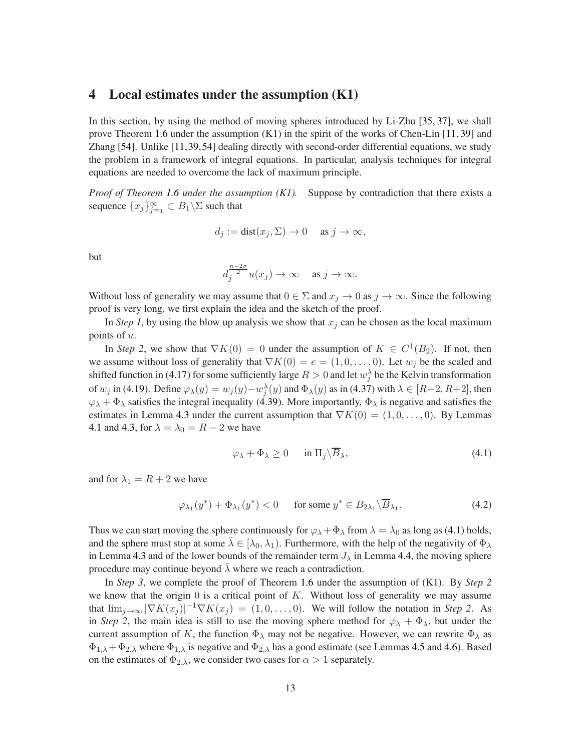### <span id="page-12-0"></span>4 Local estimates under the assumption (K1)

In this section, by using the method of moving spheres introduced by Li-Zhu [\[35,](#page-55-15) [37\]](#page-55-16), we shall prove Theorem [1.6](#page-4-1) under the assumption (K1) in the spirit of the works of Chen-Lin [\[11,](#page-54-3) [39\]](#page-56-4) and Zhang [\[54\]](#page-56-5). Unlike [\[11,](#page-54-3)[39,](#page-56-4)[54\]](#page-56-5) dealing directly with second-order differential equations, we study the problem in a framework of integral equations. In particular, analysis techniques for integral equations are needed to overcome the lack of maximum principle.

*Proof of Theorem [1.6](#page-4-1) under the assumption (K1).* Suppose by contradiction that there exists a sequence  $\{x_j\}_{j=1}^{\infty} \subset B_1 \backslash \Sigma$  such that

$$
d_j := dist(x_j, \Sigma) \to 0 \quad \text{ as } j \to \infty,
$$

but

$$
d_j^{\frac{n-2\sigma}{2}}u(x_j) \to \infty \quad \text{as } j \to \infty.
$$

Without loss of generality we may assume that  $0 \in \Sigma$  and  $x_j \to 0$  as  $j \to \infty$ . Since the following proof is very long, we first explain the idea and the sketch of the proof.

In *Step 1*, by using the blow up analysis we show that  $x_j$  can be chosen as the local maximum points of  $u$ .

In *Step 2*, we show that  $\nabla K(0) = 0$  under the assumption of  $K \in C^1(B_2)$ . If not, then we assume without loss of generality that  $\nabla K(0) = e = (1, 0, \dots, 0)$ . Let  $w_j$  be the scaled and shifted function in [\(4.17\)](#page-17-0) for some sufficiently large  $R > 0$  and let  $w_j^{\lambda}$  be the Kelvin transformation of  $w_j$  in [\(4.19\)](#page-17-1). Define  $\varphi_\lambda(y) = w_j(y) - w_j^\lambda(y)$  and  $\Phi_\lambda(y)$  as in [\(4.37\)](#page-19-0) with  $\lambda \in [R-2, R+2]$ , then  $\varphi_{\lambda} + \Phi_{\lambda}$  satisfies the integral inequality [\(4.39\)](#page-20-0). More importantly,  $\Phi_{\lambda}$  is negative and satisfies the estimates in Lemma [4.3](#page-21-0) under the current assumption that  $\nabla K(0) = (1, 0, \dots, 0)$ . By Lemmas [4.1](#page-17-2) and [4.3,](#page-21-0) for  $\lambda = \lambda_0 = R - 2$  we have

<span id="page-12-1"></span>
$$
\varphi_{\lambda} + \Phi_{\lambda} \ge 0 \quad \text{in } \Pi_j \backslash \overline{B}_{\lambda}, \tag{4.1}
$$

and for  $\lambda_1 = R + 2$  we have

$$
\varphi_{\lambda_1}(y^*) + \Phi_{\lambda_1}(y^*) < 0 \quad \text{for some } y^* \in B_{2\lambda_1} \backslash \overline{B}_{\lambda_1}. \tag{4.2}
$$

Thus we can start moving the sphere continuously for  $\varphi_{\lambda} + \Phi_{\lambda}$  from  $\lambda = \lambda_0$  as long as [\(4.1\)](#page-12-1) holds, and the sphere must stop at some  $\lambda \in [\lambda_0, \lambda_1)$ . Furthermore, with the help of the negativity of  $\Phi_{\lambda}$ in Lemma [4.3](#page-21-0) and of the lower bounds of the remainder term  $J_{\lambda}$  in Lemma [4.4,](#page-26-0) the moving sphere procedure may continue beyond  $\lambda$  where we reach a contradiction.

In *Step 3*, we complete the proof of Theorem [1.6](#page-4-1) under the assumption of (K1). By *Step 2* we know that the origin  $0$  is a critical point of  $K$ . Without loss of generality we may assume that  $\lim_{j\to\infty} |\nabla K(x_j)|^{-1} \nabla K(x_j) = (1,0,\ldots,0)$ . We will follow the notation in *Step 2*. As in *Step 2*, the main idea is still to use the moving sphere method for  $\varphi_{\lambda} + \Phi_{\lambda}$ , but under the current assumption of K, the function  $\Phi_{\lambda}$  may not be negative. However, we can rewrite  $\Phi_{\lambda}$  as  $\Phi_{1,\lambda}+\Phi_{2,\lambda}$  where  $\Phi_{1,\lambda}$  is negative and  $\Phi_{2,\lambda}$  has a good estimate (see Lemmas [4.5](#page-32-0) and [4.6\)](#page-32-1). Based on the estimates of  $\Phi_{2,\lambda}$ , we consider two cases for  $\alpha > 1$  separately.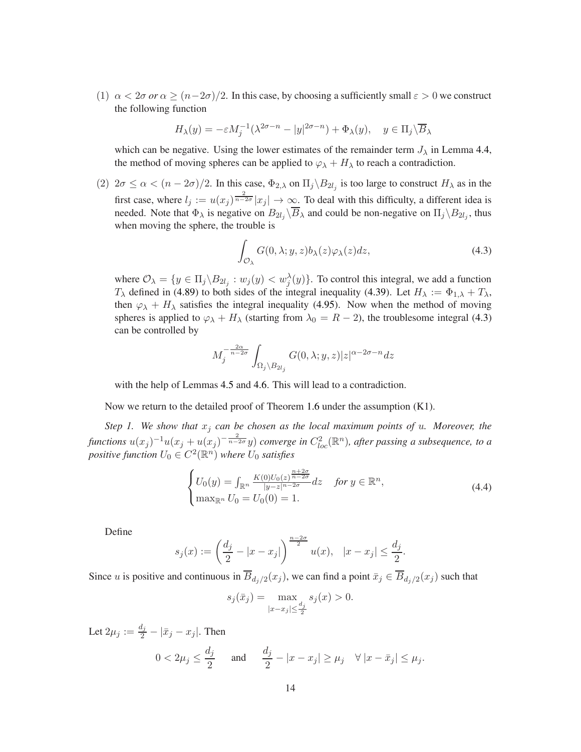(1)  $\alpha < 2\sigma$  *or*  $\alpha \ge (n-2\sigma)/2$ . In this case, by choosing a sufficiently small  $\varepsilon > 0$  we construct the following function

$$
H_{\lambda}(y) = -\varepsilon M_j^{-1} (\lambda^{2\sigma - n} - |y|^{2\sigma - n}) + \Phi_{\lambda}(y), \quad y \in \Pi_j \backslash \overline{B}_{\lambda}
$$

which can be negative. Using the lower estimates of the remainder term  $J_{\lambda}$  in Lemma [4.4,](#page-26-0) the method of moving spheres can be applied to  $\varphi_{\lambda} + H_{\lambda}$  to reach a contradiction.

(2)  $2\sigma \le \alpha < (n-2\sigma)/2$ . In this case,  $\Phi_{2,\lambda}$  on  $\Pi_j \backslash B_{2l_j}$  is too large to construct  $H_\lambda$  as in the first case, where  $l_j := u(x_j)^{\frac{2}{n-2\sigma}} |x_j| \to \infty$ . To deal with this difficulty, a different idea is needed. Note that  $\Phi_{\lambda}$  is negative on  $B_{2l_j} \backslash B_{\lambda}$  and could be non-negative on  $\Pi_j \backslash B_{2l_j}$ , thus when moving the sphere, the trouble is

<span id="page-13-0"></span>
$$
\int_{\mathcal{O}_{\lambda}} G(0,\lambda;y,z) b_{\lambda}(z) \varphi_{\lambda}(z) dz, \tag{4.3}
$$

where  $\mathcal{O}_\lambda = \{y \in \Pi_j \setminus B_{2l_j} : w_j(y) < w_j^{\lambda}(y)\}$ . To control this integral, we add a function  $T_{\lambda}$  defined in [\(4.89\)](#page-35-0) to both sides of the integral inequality [\(4.39\)](#page-20-0). Let  $H_{\lambda} := \Phi_{1,\lambda} + T_{\lambda}$ , then  $\varphi_{\lambda} + H_{\lambda}$  satisfies the integral inequality [\(4.95\)](#page-36-0). Now when the method of moving spheres is applied to  $\varphi_{\lambda} + H_{\lambda}$  (starting from  $\lambda_0 = R - 2$ ), the troublesome integral [\(4.3\)](#page-13-0) can be controlled by

$$
M_j^{-\frac{2\alpha}{n-2\sigma}} \int_{\Omega_j \backslash B_{2l_j}} G(0, \lambda; y, z) |z|^{\alpha - 2\sigma - n} dz
$$

with the help of Lemmas [4.5](#page-32-0) and [4.6.](#page-32-1) This will lead to a contradiction.

Now we return to the detailed proof of Theorem [1.6](#page-4-1) under the assumption (K1).

*Step 1. We show that*  $x_j$  *can be chosen as the local maximum points of u. Moreover, the*  $f$ unctions  $u(x_j)^{-1}u(x_j+u(x_j)^{-\frac{2}{n-2\sigma}}y)$  converge in  $C^2_{loc}(\mathbb{R}^n)$ , after passing a subsequence, to a  $\textit{positive function } U_0 \in C^2(\mathbb{R}^n)$  where  $U_0$  satisfies

<span id="page-13-1"></span>
$$
\begin{cases}\nU_0(y) = \int_{\mathbb{R}^n} \frac{K(0)U_0(z)^{\frac{n+2\sigma}{n-2\sigma}}}{|y-z|^{n-2\sigma}} dz & \text{for } y \in \mathbb{R}^n, \\
\max_{\mathbb{R}^n} U_0 = U_0(0) = 1.\n\end{cases} \tag{4.4}
$$

Define

$$
s_j(x) := \left(\frac{d_j}{2} - |x - x_j|\right)^{\frac{n-2\sigma}{2}} u(x), \quad |x - x_j| \le \frac{d_j}{2}.
$$

Since u is positive and continuous in  $B_{d_j/2}(x_j)$ , we can find a point  $\bar{x}_j \in B_{d_j/2}(x_j)$  such that

$$
s_j(\bar{x}_j) = \max_{|x - x_j| \le \frac{d_j}{2}} s_j(x) > 0.
$$

Let  $2\mu_j := \frac{d_j}{2} - |\bar{x}_j - x_j|$ . Then

$$
0 < 2\mu_j \le \frac{d_j}{2} \quad \text{and} \quad \frac{d_j}{2} - |x - x_j| \ge \mu_j \quad \forall \, |x - \bar{x}_j| \le \mu_j.
$$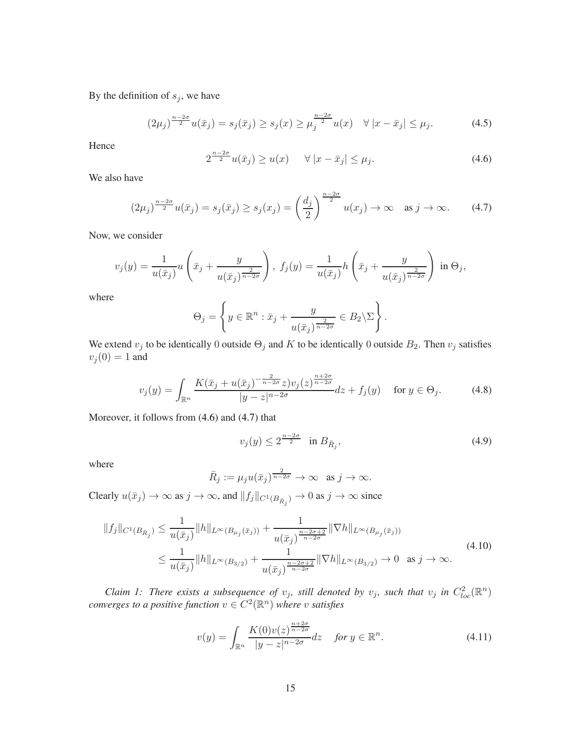By the definition of  $s_j$ , we have

$$
(2\mu_j)^{\frac{n-2\sigma}{2}}u(\bar{x}_j) = s_j(\bar{x}_j) \ge s_j(x) \ge \mu_j^{\frac{n-2\sigma}{2}}u(x) \quad \forall |x - \bar{x}_j| \le \mu_j.
$$
 (4.5)

Hence

<span id="page-14-0"></span>
$$
2^{\frac{n-2\sigma}{2}}u(\bar{x}_j) \ge u(x) \quad \forall |x - \bar{x}_j| \le \mu_j.
$$
 (4.6)

We also have

<span id="page-14-1"></span>
$$
(2\mu_j)^{\frac{n-2\sigma}{2}}u(\bar{x}_j) = s_j(\bar{x}_j) \ge s_j(x_j) = \left(\frac{d_j}{2}\right)^{\frac{n-2\sigma}{2}}u(x_j) \to \infty \quad \text{as } j \to \infty. \tag{4.7}
$$

Now, we consider

$$
v_j(y) = \frac{1}{u(\bar{x}_j)} u\left(\bar{x}_j + \frac{y}{u(\bar{x}_j)^{\frac{2}{n-2\sigma}}}\right), \ f_j(y) = \frac{1}{u(\bar{x}_j)} h\left(\bar{x}_j + \frac{y}{u(\bar{x}_j)^{\frac{2}{n-2\sigma}}}\right) \text{ in } \Theta_j,
$$

where

$$
\Theta_j = \left\{ y \in \mathbb{R}^n : \bar{x}_j + \frac{y}{u(\bar{x}_j)^{\frac{2}{n-2\sigma}}} \in B_2 \backslash \Sigma \right\}.
$$

We extend  $v_j$  to be identically 0 outside  $\Theta_j$  and K to be identically 0 outside  $B_2$ . Then  $v_j$  satisfies  $v_j(0) = 1$  and

<span id="page-14-3"></span>
$$
v_j(y) = \int_{\mathbb{R}^n} \frac{K(\bar{x}_j + u(\bar{x}_j)^{-\frac{2}{n-2\sigma}} z) v_j(z)^{\frac{n+2\sigma}{n-2\sigma}}}{|y - z|^{n-2\sigma}} dz + f_j(y) \quad \text{for } y \in \Theta_j.
$$
 (4.8)

Moreover, it follows from [\(4.6\)](#page-14-0) and [\(4.7\)](#page-14-1) that

<span id="page-14-4"></span>
$$
v_j(y) \le 2^{\frac{n-2\sigma}{2}} \quad \text{in } B_{\bar{R}_j},\tag{4.9}
$$

where

$$
\bar{R}_j := \mu_j u(\bar{x}_j)^{\frac{2}{n-2\sigma}} \to \infty \text{ as } j \to \infty.
$$

Clearly  $u(\bar{x}_j) \to \infty$  as  $j \to \infty$ , and  $||f_j||_{C^1(B_{\bar{R}_j})} \to 0$  as  $j \to \infty$  since

<span id="page-14-5"></span>
$$
||f_j||_{C^1(B_{\bar{R}_j})} \leq \frac{1}{u(\bar{x}_j)}||h||_{L^{\infty}(B_{\mu_j}(\bar{x}_j))} + \frac{1}{u(\bar{x}_j)^{\frac{n-2\sigma+2}{n-2\sigma}}}||\nabla h||_{L^{\infty}(B_{\mu_j}(\bar{x}_j))}
$$
  
\n
$$
\leq \frac{1}{u(\bar{x}_j)}||h||_{L^{\infty}(B_{3/2})} + \frac{1}{u(\bar{x}_j)^{\frac{n-2\sigma+2}{n-2\sigma}}}||\nabla h||_{L^{\infty}(B_{3/2})} \to 0 \text{ as } j \to \infty.
$$
\n(4.10)

*Claim 1: There exists a subsequence of*  $v_j$ , *still denoted by*  $v_j$ , *such that*  $v_j$  *in*  $C_{loc}^2(\mathbb{R}^n)$ *converges to a positive function*  $v \in C^2(\mathbb{R}^n)$  where v satisfies

<span id="page-14-2"></span>
$$
v(y) = \int_{\mathbb{R}^n} \frac{K(0)v(z)^{\frac{n+2\sigma}{n-2\sigma}}}{|y - z|^{n-2\sigma}} dz \quad \text{for } y \in \mathbb{R}^n. \tag{4.11}
$$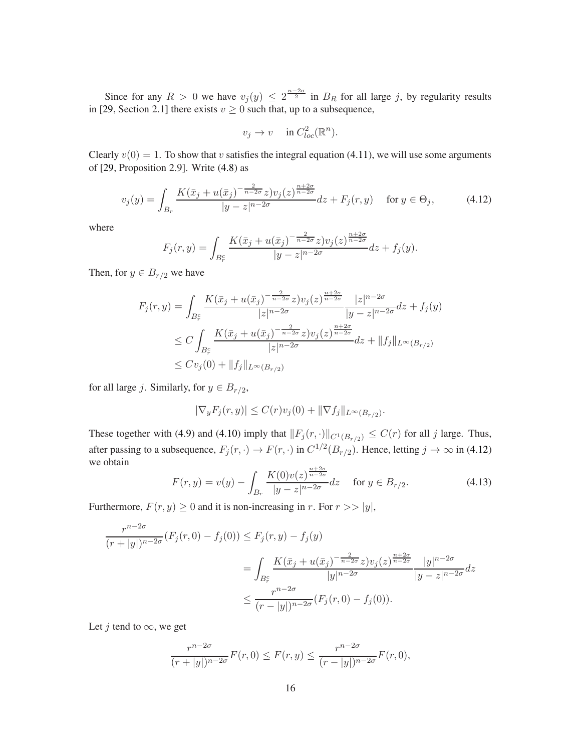Since for any  $R > 0$  we have  $v_j(y) \leq 2^{\frac{n-2\sigma}{2}}$  in  $B_R$  for all large j, by regularity results in [\[29,](#page-55-13) Section 2.1] there exists  $v \ge 0$  such that, up to a subsequence,

$$
v_j \to v \quad \text{ in } C^2_{loc}(\mathbb{R}^n).
$$

Clearly  $v(0) = 1$ . To show that v satisfies the integral equation [\(4.11\)](#page-14-2), we will use some arguments of [\[29,](#page-55-13) Proposition 2.9]. Write [\(4.8\)](#page-14-3) as

<span id="page-15-0"></span>
$$
v_j(y) = \int_{B_r} \frac{K(\bar{x}_j + u(\bar{x}_j)^{-\frac{2}{n-2\sigma}} z) v_j(z)^{\frac{n+2\sigma}{n-2\sigma}}}{|y - z|^{n-2\sigma}} dz + F_j(r, y) \quad \text{for } y \in \Theta_j,
$$
 (4.12)

where

$$
F_j(r,y) = \int_{B_r^c} \frac{K(\bar{x}_j + u(\bar{x}_j)^{-\frac{2}{n-2\sigma}}z)v_j(z)^{\frac{n+2\sigma}{n-2\sigma}}}{|y - z|^{n-2\sigma}} dz + f_j(y).
$$

Then, for  $y \in B_{r/2}$  we have

$$
F_j(r, y) = \int_{B_r^c} \frac{K(\bar{x}_j + u(\bar{x}_j)^{-\frac{2}{n-2\sigma}} z) v_j(z)^{\frac{n+2\sigma}{n-2\sigma}}}{|z|^{n-2\sigma}} \frac{|z|^{n-2\sigma}}{|y - z|^{n-2\sigma}} dz + f_j(y)
$$
  
\n
$$
\leq C \int_{B_r^c} \frac{K(\bar{x}_j + u(\bar{x}_j)^{-\frac{2}{n-2\sigma}} z) v_j(z)^{\frac{n+2\sigma}{n-2\sigma}}}{|z|^{n-2\sigma}} dz + \|f_j\|_{L^{\infty}(B_{r/2})}
$$
  
\n
$$
\leq C v_j(0) + \|f_j\|_{L^{\infty}(B_{r/2})}
$$

for all large *j*. Similarly, for  $y \in B_{r/2}$ ,

$$
|\nabla_y F_j(r, y)| \le C(r)v_j(0) + ||\nabla f_j||_{L^{\infty}(B_{r/2})}.
$$

These together with [\(4.9\)](#page-14-4) and [\(4.10\)](#page-14-5) imply that  $||F_j(r, \cdot)||_{C^1(B_r/2)} \leq C(r)$  for all j large. Thus, after passing to a subsequence,  $F_j(r, \cdot) \to F(r, \cdot)$  in  $C^{1/2}(B_{r/2})$ . Hence, letting  $j \to \infty$  in [\(4.12\)](#page-15-0) we obtain

<span id="page-15-1"></span>
$$
F(r, y) = v(y) - \int_{B_r} \frac{K(0)v(z)^{\frac{n+2\sigma}{n-2\sigma}}}{|y - z|^{n-2\sigma}} dz \quad \text{for } y \in B_{r/2}.
$$
 (4.13)

Furthermore,  $F(r, y) \ge 0$  and it is non-increasing in r. For  $r >> |y|$ ,

$$
\frac{r^{n-2\sigma}}{(r+|y|)^{n-2\sigma}}(F_j(r,0)-f_j(0)) \le F_j(r,y)-f_j(y)
$$
  
= 
$$
\int_{B_r^c} \frac{K(\bar{x}_j+u(\bar{x}_j)^{-\frac{2}{n-2\sigma}}z)v_j(z)^{\frac{n+2\sigma}{n-2\sigma}}}{|y|^{n-2\sigma}}\frac{|y|^{n-2\sigma}}{|y-z|^{n-2\sigma}}dz
$$
  

$$
\le \frac{r^{n-2\sigma}}{(r-|y|)^{n-2\sigma}}(F_j(r,0)-f_j(0)).
$$

Let *j* tend to  $\infty$ , we get

$$
\frac{r^{n-2\sigma}}{(r+|y|)^{n-2\sigma}}F(r,0) \le F(r,y) \le \frac{r^{n-2\sigma}}{(r-|y|)^{n-2\sigma}}F(r,0),
$$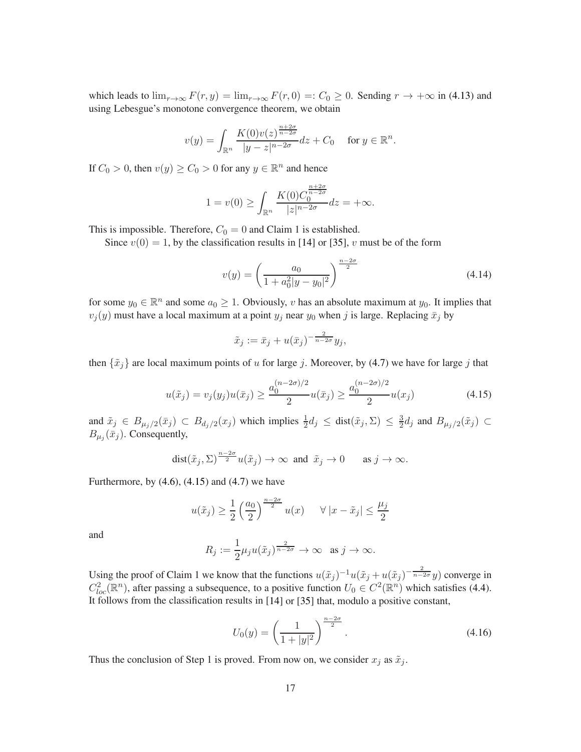which leads to  $\lim_{r\to\infty} F(r, y) = \lim_{r\to\infty} F(r, 0) =: C_0 \geq 0$ . Sending  $r \to +\infty$  in [\(4.13\)](#page-15-1) and using Lebesgue's monotone convergence theorem, we obtain

$$
v(y) = \int_{\mathbb{R}^n} \frac{K(0)v(z)^{\frac{n+2\sigma}{n-2\sigma}}}{|y - z|^{n-2\sigma}} dz + C_0 \quad \text{ for } y \in \mathbb{R}^n.
$$

If  $C_0 > 0$ , then  $v(y) \ge C_0 > 0$  for any  $y \in \mathbb{R}^n$  and hence

$$
1 = v(0) \ge \int_{\mathbb{R}^n} \frac{K(0)C_0^{\frac{n+2\sigma}{n-2\sigma}}}{|z|^{n-2\sigma}} dz = +\infty.
$$

This is impossible. Therefore,  $C_0 = 0$  and Claim 1 is established.

Since  $v(0) = 1$ , by the classification results in [\[14\]](#page-54-16) or [\[35\]](#page-55-15), v must be of the form

$$
v(y) = \left(\frac{a_0}{1 + a_0^2 |y - y_0|^2}\right)^{\frac{n - 2\sigma}{2}}
$$
\n(4.14)

for some  $y_0 \in \mathbb{R}^n$  and some  $a_0 \geq 1$ . Obviously, v has an absolute maximum at  $y_0$ . It implies that  $v_j(y)$  must have a local maximum at a point  $y_j$  near  $y_0$  when j is large. Replacing  $\bar{x}_j$  by

$$
\tilde{x}_j := \bar{x}_j + u(\bar{x}_j)^{-\frac{2}{n-2\sigma}} y_j,
$$

then  $\{\tilde{x}_i\}$  are local maximum points of u for large j. Moreover, by [\(4.7\)](#page-14-1) we have for large j that

<span id="page-16-0"></span>
$$
u(\tilde{x}_j) = v_j(y_j)u(\bar{x}_j) \ge \frac{a_0^{(n-2\sigma)/2}}{2}u(\bar{x}_j) \ge \frac{a_0^{(n-2\sigma)/2}}{2}u(x_j)
$$
(4.15)

and  $\tilde{x}_j \in B_{\mu_j/2}(\bar{x}_j) \subset B_{d_j/2}(x_j)$  which implies  $\frac{1}{2}d_j \leq \text{dist}(\tilde{x}_j, \Sigma) \leq \frac{3}{2}$  $\frac{3}{2}d_j$  and  $B_{\mu_j/2}(\tilde{x}_j) \subset$  $B_{\mu_j}(\bar{x}_j)$ . Consequently,

$$
\text{dist}(\tilde{x}_j, \Sigma)^{\frac{n-2\sigma}{2}} u(\tilde{x}_j) \to \infty \text{ and } \tilde{x}_j \to 0 \quad \text{as } j \to \infty.
$$

Furthermore, by  $(4.6)$ ,  $(4.15)$  and  $(4.7)$  we have

$$
u(\tilde{x}_j) \ge \frac{1}{2} \left(\frac{a_0}{2}\right)^{\frac{n-2\sigma}{2}} u(x) \quad \forall |x - \tilde{x}_j| \le \frac{\mu_j}{2}
$$

and

$$
R_j := \frac{1}{2}\mu_j u(\tilde{x}_j)^{\frac{2}{n-2\sigma}} \to \infty \text{ as } j \to \infty.
$$

Using the proof of Claim 1 we know that the functions  $u(\tilde{x}_j)^{-1}u(\tilde{x}_j + u(\tilde{x}_j)^{-\frac{2}{n-2\sigma}}y)$  converge in  $C_{loc}^2(\mathbb{R}^n)$ , after passing a subsequence, to a positive function  $U_0 \in C^2(\mathbb{R}^n)$  which satisfies [\(4.4\)](#page-13-1). It follows from the classification results in [\[14\]](#page-54-16) or [\[35\]](#page-55-15) that, modulo a positive constant,

$$
U_0(y) = \left(\frac{1}{1+|y|^2}\right)^{\frac{n-2\sigma}{2}}.\t(4.16)
$$

Thus the conclusion of Step 1 is proved. From now on, we consider  $x_j$  as  $\tilde{x}_j$ .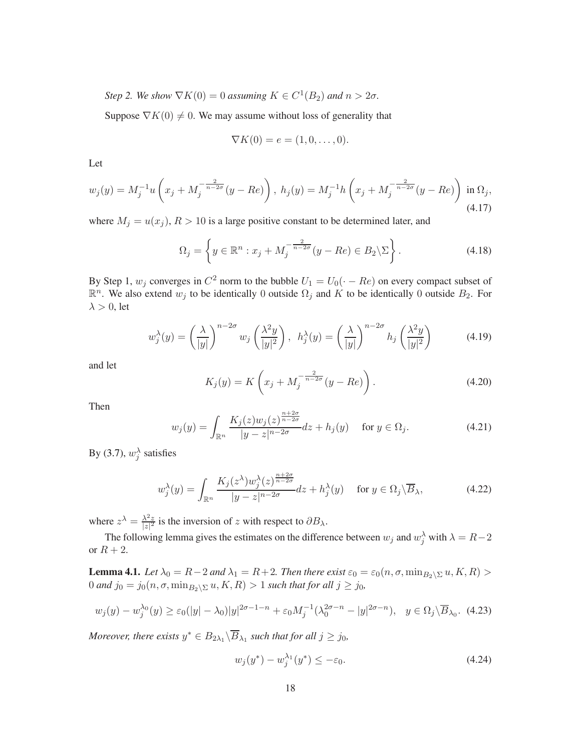*Step 2. We show*  $\nabla K(0) = 0$  *assuming*  $K \in C^1(B_2)$  *and*  $n > 2\sigma$ *.* 

Suppose  $\nabla K(0) \neq 0$ . We may assume without loss of generality that

$$
\nabla K(0) = e = (1,0,\ldots,0).
$$

Let

<span id="page-17-0"></span>
$$
w_j(y) = M_j^{-1} u\left(x_j + M_j^{-\frac{2}{n-2\sigma}} (y - Re)\right), \ h_j(y) = M_j^{-1} h\left(x_j + M_j^{-\frac{2}{n-2\sigma}} (y - Re)\right) \text{ in } \Omega_j,
$$
\n(4.17)

where  $M_j = u(x_j)$ ,  $R > 10$  is a large positive constant to be determined later, and

<span id="page-17-5"></span>
$$
\Omega_j = \left\{ y \in \mathbb{R}^n : x_j + M_j^{-\frac{2}{n-2\sigma}} (y - Re) \in B_2 \backslash \Sigma \right\}.
$$
\n(4.18)

By Step 1,  $w_j$  converges in  $C^2$  norm to the bubble  $U_1 = U_0(\cdot - Re)$  on every compact subset of  $\mathbb{R}^n$ . We also extend  $w_j$  to be identically 0 outside  $\Omega_j$  and K to be identically 0 outside  $B_2$ . For  $\lambda > 0$ , let

<span id="page-17-1"></span>
$$
w_j^{\lambda}(y) = \left(\frac{\lambda}{|y|}\right)^{n-2\sigma} w_j \left(\frac{\lambda^2 y}{|y|^2}\right), \quad h_j^{\lambda}(y) = \left(\frac{\lambda}{|y|}\right)^{n-2\sigma} h_j \left(\frac{\lambda^2 y}{|y|^2}\right) \tag{4.19}
$$

and let

<span id="page-17-7"></span>
$$
K_j(y) = K\left(x_j + M_j^{-\frac{2}{n-2\sigma}}(y - Re)\right).
$$
 (4.20)

Then

<span id="page-17-6"></span>
$$
w_j(y) = \int_{\mathbb{R}^n} \frac{K_j(z)w_j(z)^{\frac{n+2\sigma}{n-2\sigma}}}{|y - z|^{n-2\sigma}} dz + h_j(y) \quad \text{for } y \in \Omega_j.
$$
 (4.21)

By [\(3.7\)](#page-9-3),  $w_j^{\lambda}$  satisfies

<span id="page-17-8"></span>
$$
w_j^{\lambda}(y) = \int_{\mathbb{R}^n} \frac{K_j(z^{\lambda}) w_j^{\lambda}(z)^{\frac{n+2\sigma}{n-2\sigma}}}{|y - z|^{n-2\sigma}} dz + h_j^{\lambda}(y) \quad \text{for } y \in \Omega_j \backslash \overline{B}_{\lambda},\tag{4.22}
$$

where  $z^{\lambda} = \frac{\lambda^2 z}{|z|^2}$  $\frac{\lambda^2 z}{|z|^2}$  is the inversion of z with respect to  $\partial B_{\lambda}$ .

<span id="page-17-2"></span>The following lemma gives the estimates on the difference between  $w_j$  and  $w_j^{\lambda}$  with  $\lambda = R-2$ or  $R + 2$ .

**Lemma 4.1.** *Let*  $\lambda_0 = R - 2$  *and*  $\lambda_1 = R + 2$ *. Then there exist*  $\varepsilon_0 = \varepsilon_0(n, \sigma, \min_{B_2 \setminus \Sigma} u, K, R) >$ 0 *and*  $j_0 = j_0(n, \sigma, \min_{B_2 \setminus \Sigma} u, K, R) > 1$  *such that for all*  $j \ge j_0$ *,* 

<span id="page-17-4"></span>
$$
w_j(y) - w_j^{\lambda_0}(y) \ge \varepsilon_0(|y| - \lambda_0)|y|^{2\sigma - 1 - n} + \varepsilon_0 M_j^{-1}(\lambda_0^{2\sigma - n} - |y|^{2\sigma - n}), \quad y \in \Omega_j \setminus \overline{B}_{\lambda_0}.\tag{4.23}
$$

*Moreover, there exists*  $y^* \in B_{2\lambda_1} \backslash \overline{B}_{\lambda_1}$  such that for all  $j \geq j_0$ ,

<span id="page-17-3"></span>
$$
w_j(y^*) - w_j^{\lambda_1}(y^*) \le -\varepsilon_0. \tag{4.24}
$$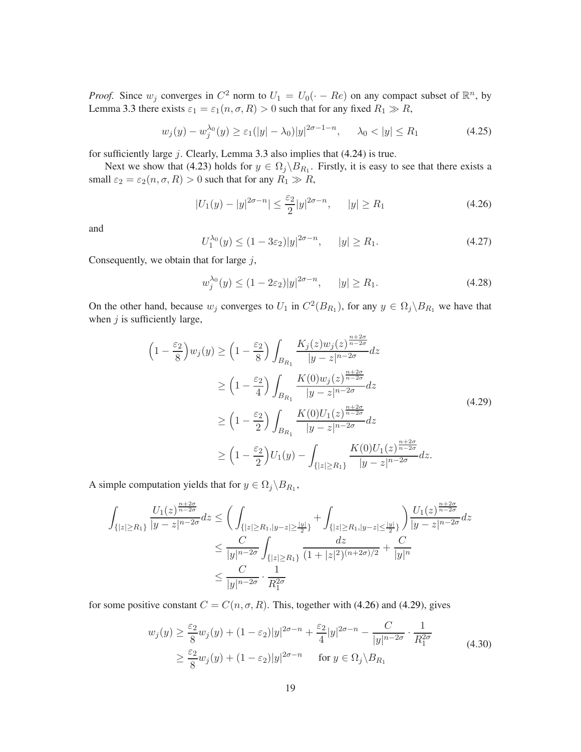*Proof.* Since  $w_j$  converges in  $C^2$  norm to  $U_1 = U_0(\cdot - Re)$  on any compact subset of  $\mathbb{R}^n$ , by Lemma [3.3](#page-11-1) there exists  $\varepsilon_1 = \varepsilon_1(n, \sigma, R) > 0$  such that for any fixed  $R_1 \gg R$ ,

<span id="page-18-4"></span>
$$
w_j(y) - w_j^{\lambda_0}(y) \ge \varepsilon_1(|y| - \lambda_0)|y|^{2\sigma - 1 - n}, \quad \lambda_0 < |y| \le R_1 \tag{4.25}
$$

for sufficiently large  $j$ . Clearly, Lemma [3.3](#page-11-1) also implies that  $(4.24)$  is true.

Next we show that [\(4.23\)](#page-17-4) holds for  $y \in \Omega_j \backslash B_{R_1}$ . Firstly, it is easy to see that there exists a small  $\varepsilon_2 = \varepsilon_2(n, \sigma, R) > 0$  such that for any  $R_1 \gg R$ ,

<span id="page-18-0"></span>
$$
|U_1(y) - |y|^{2\sigma - n}| \le \frac{\varepsilon_2}{2} |y|^{2\sigma - n}, \qquad |y| \ge R_1
$$
\n(4.26)

and

$$
U_1^{\lambda_0}(y) \le (1 - 3\varepsilon_2)|y|^{2\sigma - n}, \qquad |y| \ge R_1. \tag{4.27}
$$

Consequently, we obtain that for large  $j$ ,

<span id="page-18-2"></span>
$$
w_j^{\lambda_0}(y) \le (1 - 2\varepsilon_2)|y|^{2\sigma - n}, \qquad |y| \ge R_1. \tag{4.28}
$$

On the other hand, because  $w_j$  converges to  $U_1$  in  $C^2(B_{R_1})$ , for any  $y \in \Omega_j \backslash B_{R_1}$  we have that when  $j$  is sufficiently large,

<span id="page-18-1"></span>
$$
\left(1 - \frac{\varepsilon_2}{8}\right) w_j(y) \ge \left(1 - \frac{\varepsilon_2}{8}\right) \int_{B_{R_1}} \frac{K_j(z) w_j(z)^{\frac{n+2\sigma}{n-2\sigma}} dz}{|y - z|^{n-2\sigma}} dz
$$
\n
$$
\ge \left(1 - \frac{\varepsilon_2}{4}\right) \int_{B_{R_1}} \frac{K(0) w_j(z)^{\frac{n+2\sigma}{n-2\sigma}}}{|y - z|^{n-2\sigma}} dz
$$
\n
$$
\ge \left(1 - \frac{\varepsilon_2}{2}\right) \int_{B_{R_1}} \frac{K(0) U_1(z)^{\frac{n+2\sigma}{n-2\sigma}}}{|y - z|^{n-2\sigma}} dz
$$
\n
$$
\ge \left(1 - \frac{\varepsilon_2}{2}\right) U_1(y) - \int_{\{|z| \ge R_1\}} \frac{K(0) U_1(z)^{\frac{n+2\sigma}{n-2\sigma}}}{|y - z|^{n-2\sigma}} dz.
$$
\n(4.29)

A simple computation yields that for  $y \in \Omega_j \backslash B_{R_1}$ ,

$$
\int_{\{|z| \ge R_1\}} \frac{U_1(z)^{\frac{n+2\sigma}{n-2\sigma}} dz \le \left( \int_{\{|z| \ge R_1, |y-z| \ge \frac{|y|}{2}\}} + \int_{\{|z| \ge R_1, |y-z| \le \frac{|y|}{2}\}} \right) \frac{U_1(z)^{\frac{n+2\sigma}{n-2\sigma}}}{|y-z|^{n-2\sigma}} dz
$$
  

$$
\le \frac{C}{|y|^{n-2\sigma}} \int_{\{|z| \ge R_1\}} \frac{dz}{(1+|z|^2)^{(n+2\sigma)/2}} + \frac{C}{|y|^n}
$$
  

$$
\le \frac{C}{|y|^{n-2\sigma}} \cdot \frac{1}{R_1^{2\sigma}}
$$

for some positive constant  $C = C(n, \sigma, R)$ . This, together with [\(4.26\)](#page-18-0) and [\(4.29\)](#page-18-1), gives

<span id="page-18-3"></span>
$$
w_j(y) \ge \frac{\varepsilon_2}{8} w_j(y) + (1 - \varepsilon_2)|y|^{2\sigma - n} + \frac{\varepsilon_2}{4}|y|^{2\sigma - n} - \frac{C}{|y|^{n - 2\sigma}} \cdot \frac{1}{R_1^{2\sigma}}
$$
  
 
$$
\ge \frac{\varepsilon_2}{8} w_j(y) + (1 - \varepsilon_2)|y|^{2\sigma - n} \quad \text{for } y \in \Omega_j \setminus B_{R_1}
$$
 (4.30)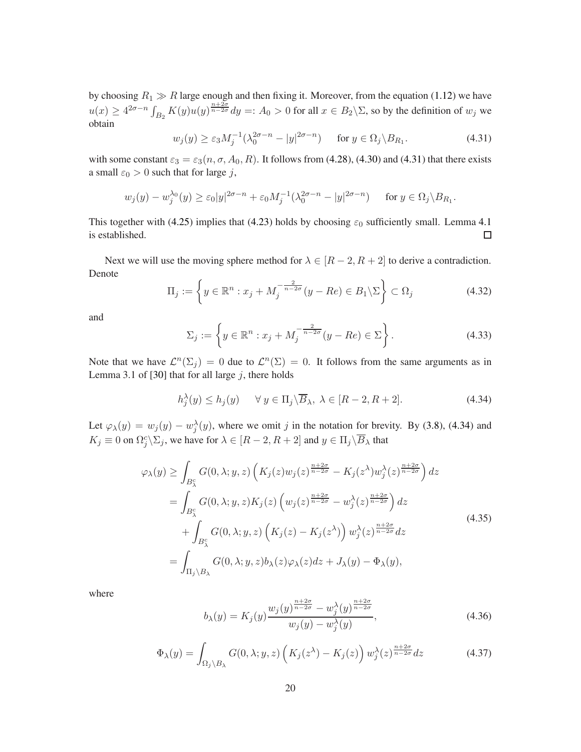by choosing  $R_1 \gg R$  large enough and then fixing it. Moreover, from the equation [\(1.12\)](#page-4-0) we have  $u(x) \ge 4^{2\sigma-n} \int_{B_2} K(y) u(y)^{\frac{n+2\sigma}{n-2\sigma}} dy =: A_0 > 0$  for all  $x \in B_2 \backslash \Sigma$ , so by the definition of  $w_j$  we obtain

<span id="page-19-1"></span>
$$
w_j(y) \ge \varepsilon_3 M_j^{-1} (\lambda_0^{2\sigma - n} - |y|^{2\sigma - n}) \quad \text{for } y \in \Omega_j \backslash B_{R_1}.
$$
 (4.31)

with some constant  $\varepsilon_3 = \varepsilon_3(n, \sigma, A_0, R)$ . It follows from [\(4.28\)](#page-18-2), [\(4.30\)](#page-18-3) and [\(4.31\)](#page-19-1) that there exists a small  $\varepsilon_0 > 0$  such that for large j,

$$
w_j(y) - w_j^{\lambda_0}(y) \ge \varepsilon_0 |y|^{2\sigma - n} + \varepsilon_0 M_j^{-1} (\lambda_0^{2\sigma - n} - |y|^{2\sigma - n})
$$
 for  $y \in \Omega_j \backslash B_{R_1}$ .

This together with [\(4.25\)](#page-18-4) implies that [\(4.23\)](#page-17-4) holds by choosing  $\varepsilon_0$  sufficiently small. Lemma [4.1](#page-17-2) is established.  $\Box$ 

Next we will use the moving sphere method for  $\lambda \in [R-2, R+2]$  to derive a contradiction. Denote

<span id="page-19-3"></span>
$$
\Pi_j := \left\{ y \in \mathbb{R}^n : x_j + M_j^{-\frac{2}{n-2\sigma}} (y - Re) \in B_1 \backslash \Sigma \right\} \subset \Omega_j \tag{4.32}
$$

and

$$
\Sigma_j := \left\{ y \in \mathbb{R}^n : x_j + M_j^{-\frac{2}{n-2\sigma}} (y - Re) \in \Sigma \right\}.
$$
 (4.33)

Note that we have  $\mathcal{L}^n(\Sigma_j) = 0$  due to  $\mathcal{L}^n(\Sigma) = 0$ . It follows from the same arguments as in Lemma 3.1 of [\[30\]](#page-55-9) that for all large  $j$ , there holds

<span id="page-19-2"></span>
$$
h_j^{\lambda}(y) \le h_j(y) \quad \forall \ y \in \Pi_j \backslash \overline{B}_{\lambda}, \ \lambda \in [R-2, R+2]. \tag{4.34}
$$

Let  $\varphi_{\lambda}(y) = w_j(y) - w_j^{\lambda}(y)$ , where we omit j in the notation for brevity. By [\(3.8\)](#page-9-4), [\(4.34\)](#page-19-2) and  $K_j \equiv 0$  on  $\Omega_j^c \backslash \Sigma_j$ , we have for  $\lambda \in [R-2, R+2]$  and  $y \in \Pi_j \backslash \overline{B}_\lambda$  that

$$
\varphi_{\lambda}(y) \geq \int_{B_{\lambda}^{c}} G(0,\lambda;y,z) \left( K_{j}(z)w_{j}(z)^{\frac{n+2\sigma}{n-2\sigma}} - K_{j}(z^{\lambda})w_{j}^{\lambda}(z)^{\frac{n+2\sigma}{n-2\sigma}} \right) dz
$$
  
\n
$$
= \int_{B_{\lambda}^{c}} G(0,\lambda;y,z) K_{j}(z) \left( w_{j}(z)^{\frac{n+2\sigma}{n-2\sigma}} - w_{j}^{\lambda}(z)^{\frac{n+2\sigma}{n-2\sigma}} \right) dz
$$
  
\n
$$
+ \int_{B_{\lambda}^{c}} G(0,\lambda;y,z) \left( K_{j}(z) - K_{j}(z^{\lambda}) \right) w_{j}^{\lambda}(z)^{\frac{n+2\sigma}{n-2\sigma}} dz
$$
  
\n
$$
= \int_{\Pi_{j} \setminus B_{\lambda}} G(0,\lambda;y,z) b_{\lambda}(z) \varphi_{\lambda}(z) dz + J_{\lambda}(y) - \Phi_{\lambda}(y),
$$
\n(4.35)

where

<span id="page-19-4"></span>
$$
b_{\lambda}(y) = K_j(y) \frac{w_j(y)^{\frac{n+2\sigma}{n-2\sigma}} - w_j^{\lambda}(y)^{\frac{n+2\sigma}{n-2\sigma}}}{w_j(y) - w_j^{\lambda}(y)},
$$
\n(4.36)

<span id="page-19-0"></span>
$$
\Phi_{\lambda}(y) = \int_{\Omega_j \setminus B_{\lambda}} G(0, \lambda; y, z) \left( K_j(z^{\lambda}) - K_j(z) \right) w_j^{\lambda}(z)^{\frac{n+2\sigma}{n-2\sigma}} dz \tag{4.37}
$$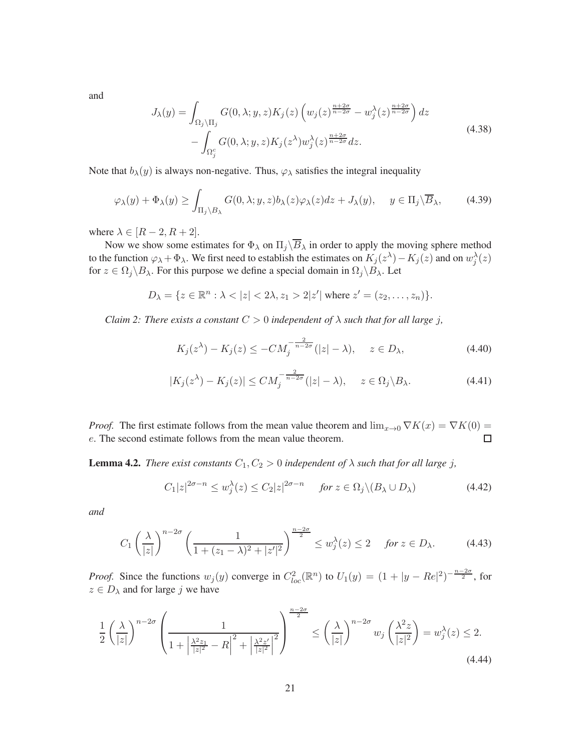and

<span id="page-20-5"></span>
$$
J_{\lambda}(y) = \int_{\Omega_j \setminus \Pi_j} G(0, \lambda; y, z) K_j(z) \left( w_j(z)^{\frac{n+2\sigma}{n-2\sigma}} - w_j^{\lambda}(z)^{\frac{n+2\sigma}{n-2\sigma}} \right) dz
$$
  
- 
$$
\int_{\Omega_j^c} G(0, \lambda; y, z) K_j(z^{\lambda}) w_j^{\lambda}(z)^{\frac{n+2\sigma}{n-2\sigma}} dz.
$$
 (4.38)

Note that  $b_\lambda(y)$  is always non-negative. Thus,  $\varphi_\lambda$  satisfies the integral inequality

<span id="page-20-0"></span>
$$
\varphi_{\lambda}(y) + \Phi_{\lambda}(y) \ge \int_{\Pi_j \backslash B_{\lambda}} G(0, \lambda; y, z) b_{\lambda}(z) \varphi_{\lambda}(z) dz + J_{\lambda}(y), \quad y \in \Pi_j \backslash \overline{B}_{\lambda}, \tag{4.39}
$$

where  $\lambda \in [R-2, R+2]$ .

Now we show some estimates for  $\Phi_{\lambda}$  on  $\Pi_j\backslash\overline{B}_{\lambda}$  in order to apply the moving sphere method to the function  $\varphi_\lambda + \Phi_\lambda$ . We first need to establish the estimates on  $K_j(z^\lambda) - K_j(z)$  and on  $w_j^\lambda(z)$ for  $z \in \Omega_j \backslash B_\lambda$ . For this purpose we define a special domain in  $\Omega_j \backslash B_\lambda$ . Let

$$
D_{\lambda} = \{ z \in \mathbb{R}^n : \lambda < |z| < 2\lambda, z_1 > 2|z'| \text{ where } z' = (z_2, \dots, z_n) \}.
$$

*Claim 2: There exists a constant*  $C > 0$  *independent of*  $\lambda$  *such that for all large j,* 

$$
K_j(z^{\lambda}) - K_j(z) \le -CM_j^{-\frac{2}{n-2\sigma}}(|z| - \lambda), \quad z \in D_{\lambda}, \tag{4.40}
$$

$$
|K_j(z^{\lambda}) - K_j(z)| \le CM_j^{-\frac{2}{n-2\sigma}}(|z| - \lambda), \quad z \in \Omega_j \backslash B_{\lambda}.
$$
 (4.41)

*Proof.* The first estimate follows from the mean value theorem and  $\lim_{x\to 0} \nabla K(x) = \nabla K(0)$ e. The second estimate follows from the mean value theorem.  $\Box$ 

<span id="page-20-4"></span>**Lemma 4.2.** *There exist constants*  $C_1, C_2 > 0$  *independent of*  $\lambda$  *such that for all large j,* 

<span id="page-20-3"></span>
$$
C_1|z|^{2\sigma-n} \le w_j^{\lambda}(z) \le C_2|z|^{2\sigma-n} \quad \text{for } z \in \Omega_j \setminus (B_{\lambda} \cup D_{\lambda}) \tag{4.42}
$$

*and*

<span id="page-20-2"></span>
$$
C_1\left(\frac{\lambda}{|z|}\right)^{n-2\sigma}\left(\frac{1}{1+(z_1-\lambda)^2+|z'|^2}\right)^{\frac{n-2\sigma}{2}} \le w_j^{\lambda}(z) \le 2 \quad \text{for } z \in D_{\lambda}.\tag{4.43}
$$

*Proof.* Since the functions  $w_j(y)$  converge in  $C_{loc}^2(\mathbb{R}^n)$  to  $U_1(y) = (1 + |y - Re|^2)^{-\frac{n-2\sigma}{2}}$ , for  $z \in D_{\lambda}$  and for large j we have

<span id="page-20-1"></span>
$$
\frac{1}{2}\left(\frac{\lambda}{|z|}\right)^{n-2\sigma}\left(\frac{1}{1+\left|\frac{\lambda^2 z_1}{|z|^2}-R\right|^2+\left|\frac{\lambda^2 z'}{|z|^2}\right|^2}\right)^{\frac{n-2\sigma}{2}} \le \left(\frac{\lambda}{|z|}\right)^{n-2\sigma} w_j\left(\frac{\lambda^2 z}{|z|^2}\right) = w_j^{\lambda}(z) \le 2.
$$
\n(4.44)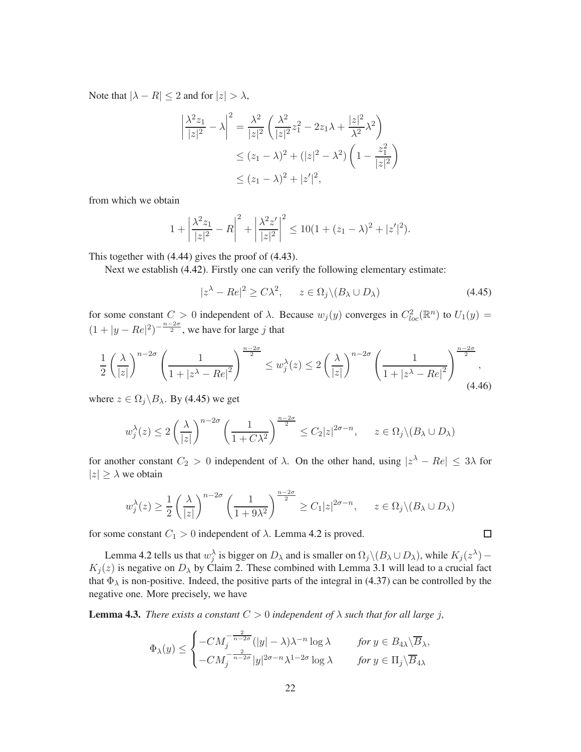Note that  $|\lambda - R| \leq 2$  and for  $|z| > \lambda$ ,

$$
\left| \frac{\lambda^2 z_1}{|z|^2} - \lambda \right|^2 = \frac{\lambda^2}{|z|^2} \left( \frac{\lambda^2}{|z|^2} z_1^2 - 2z_1 \lambda + \frac{|z|^2}{\lambda^2} \lambda^2 \right)
$$
  

$$
\le (z_1 - \lambda)^2 + (|z|^2 - \lambda^2) \left( 1 - \frac{z_1^2}{|z|^2} \right)
$$
  

$$
\le (z_1 - \lambda)^2 + |z'|^2,
$$

from which we obtain

$$
1 + \left| \frac{\lambda^2 z_1}{|z|^2} - R \right|^2 + \left| \frac{\lambda^2 z'}{|z|^2} \right|^2 \le 10(1 + (z_1 - \lambda)^2 + |z'|^2).
$$

This together with [\(4.44\)](#page-20-1) gives the proof of [\(4.43\)](#page-20-2).

Next we establish [\(4.42\)](#page-20-3). Firstly one can verify the following elementary estimate:

<span id="page-21-1"></span>
$$
|z^{\lambda} - Re|^2 \ge C\lambda^2, \qquad z \in \Omega_j \setminus (B_{\lambda} \cup D_{\lambda})
$$
\n(4.45)

 $\Box$ 

for some constant  $C > 0$  independent of  $\lambda$ . Because  $w_j(y)$  converges in  $C^2_{loc}(\mathbb{R}^n)$  to  $U_1(y) =$  $(1+|y-Re|^2)^{-\frac{n-2\sigma}{2}}$ , we have for large j that

$$
\frac{1}{2} \left(\frac{\lambda}{|z|}\right)^{n-2\sigma} \left(\frac{1}{1+|z^{\lambda}-Re|^2}\right)^{\frac{n-2\sigma}{2}} \leq w_j^{\lambda}(z) \leq 2 \left(\frac{\lambda}{|z|}\right)^{n-2\sigma} \left(\frac{1}{1+|z^{\lambda}-Re|^2}\right)^{\frac{n-2\sigma}{2}},\tag{4.46}
$$

where  $z \in \Omega_i \backslash B_{\lambda}$ . By [\(4.45\)](#page-21-1) we get

$$
w_j^{\lambda}(z) \le 2\left(\frac{\lambda}{|z|}\right)^{n-2\sigma} \left(\frac{1}{1+C\lambda^2}\right)^{\frac{n-2\sigma}{2}} \le C_2|z|^{2\sigma-n}, \quad z \in \Omega_j \setminus (B_{\lambda} \cup D_{\lambda})
$$

for another constant  $C_2 > 0$  independent of  $\lambda$ . On the other hand, using  $|z^{\lambda} - Re| \leq 3\lambda$  for  $|z| \geq \lambda$  we obtain

$$
w_j^{\lambda}(z) \ge \frac{1}{2} \left(\frac{\lambda}{|z|}\right)^{n-2\sigma} \left(\frac{1}{1+9\lambda^2}\right)^{\frac{n-2\sigma}{2}} \ge C_1 |z|^{2\sigma-n}, \qquad z \in \Omega_j \setminus (B_{\lambda} \cup D_{\lambda})
$$

for some constant  $C_1 > 0$  independent of  $\lambda$ . Lemma [4.2](#page-20-4) is proved.

Lemma [4.2](#page-20-4) tells us that  $w_j^{\lambda}$  is bigger on  $D_{\lambda}$  and is smaller on  $\Omega_j \setminus (B_{\lambda} \cup D_{\lambda})$ , while  $K_j(z^{\lambda})$  –  $K_j(z)$  is negative on  $D_\lambda$  by Claim 2. These combined with Lemma [3.1](#page-9-1) will lead to a crucial fact that  $\Phi_{\lambda}$  is non-positive. Indeed, the positive parts of the integral in [\(4.37\)](#page-19-0) can be controlled by the negative one. More precisely, we have

<span id="page-21-0"></span>**Lemma 4.3.** *There exists a constant*  $C > 0$  *independent* of  $\lambda$  *such that for all large j*,

$$
\Phi_\lambda(y)\leq \begin{cases} -CM_j^{-\frac{2}{n-2\sigma}}(|y|-\lambda)\lambda^{-n}\log\lambda &\quad \text{for $y\in B_{4\lambda}\backslash\overline{B}_\lambda$,}\\ -CM_j^{-\frac{2}{n-2\sigma}}|y|^{2\sigma-n}\lambda^{1-2\sigma}\log\lambda &\quad \text{for $y\in \Pi_j\backslash\overline{B}_{4\lambda}$}\end{cases}
$$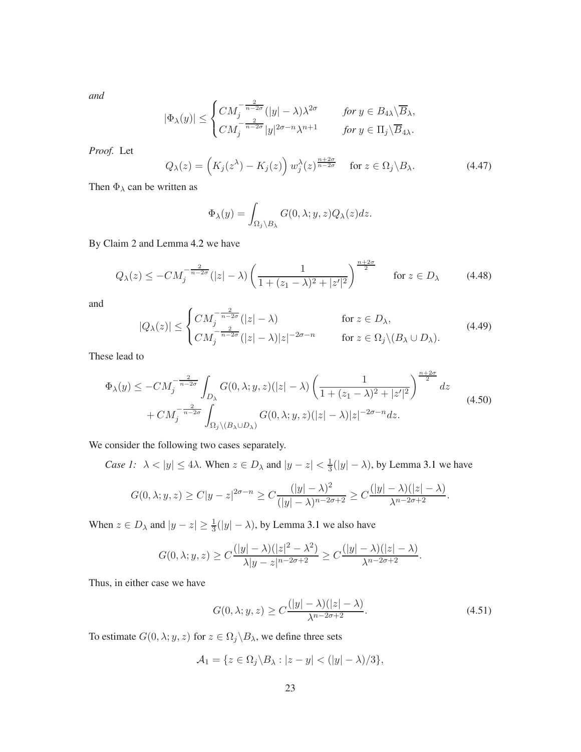*and*

$$
|\Phi_\lambda(y)| \le \begin{cases} CM_j^{-\frac{2}{n-2\sigma}}(|y| - \lambda)\lambda^{2\sigma} & \text{for } y \in B_{4\lambda}\backslash\overline{B}_\lambda, \\ CM_j^{-\frac{2}{n-2\sigma}}|y|^{2\sigma - n}\lambda^{n+1} & \text{for } y \in \Pi_j\backslash\overline{B}_{4\lambda}. \end{cases}
$$

*Proof.* Let

$$
Q_{\lambda}(z) = \left(K_j(z^{\lambda}) - K_j(z)\right) w_j^{\lambda}(z)^{\frac{n+2\sigma}{n-2\sigma}} \quad \text{for } z \in \Omega_j \backslash B_{\lambda}.
$$
 (4.47)

Then  $\Phi_{\lambda}$  can be written as

$$
\Phi_{\lambda}(y) = \int_{\Omega_j \setminus B_{\lambda}} G(0, \lambda; y, z) Q_{\lambda}(z) dz.
$$

By Claim 2 and Lemma [4.2](#page-20-4) we have

$$
Q_{\lambda}(z) \le -CM_j^{-\frac{2}{n-2\sigma}}(|z| - \lambda) \left( \frac{1}{1 + (z_1 - \lambda)^2 + |z'|^2} \right)^{\frac{n+2\sigma}{2}} \quad \text{for } z \in D_{\lambda}
$$
 (4.48)

and

<span id="page-22-2"></span>
$$
|Q_{\lambda}(z)| \leq \begin{cases} CM_j^{-\frac{2}{n-2\sigma}}(|z| - \lambda) & \text{for } z \in D_{\lambda}, \\ CM_j^{-\frac{2}{n-2\sigma}}(|z| - \lambda)|z|^{-2\sigma - n} & \text{for } z \in \Omega_j \setminus (B_{\lambda} \cup D_{\lambda}). \end{cases}
$$
(4.49)

These lead to

<span id="page-22-0"></span>
$$
\Phi_{\lambda}(y) \le -CM_j^{-\frac{2}{n-2\sigma}} \int_{D_{\lambda}} G(0,\lambda;y,z)(|z|-\lambda) \left(\frac{1}{1+(z_1-\lambda)^2+|z'|^2}\right)^{\frac{n+2\sigma}{2}} dz
$$
\n
$$
+ CM_j^{-\frac{2}{n-2\sigma}} \int_{\Omega_j \setminus (B_{\lambda} \cup D_{\lambda})} G(0,\lambda;y,z)(|z|-\lambda)|z|^{-2\sigma-n} dz.
$$
\n(4.50)

We consider the following two cases separately.

*Case 1:*  $\lambda < |y| \le 4\lambda$ . When  $z \in D_\lambda$  and  $|y - z| < \frac{1}{3}$  $\frac{1}{3}(|y| - \lambda)$ , by Lemma [3.1](#page-9-1) we have

$$
G(0, \lambda; y, z) \ge C|y-z|^{2\sigma-n} \ge C\frac{(|y|-\lambda)^2}{(|y|-\lambda)^{n-2\sigma+2}} \ge C\frac{(|y|-\lambda)(|z|-\lambda)}{\lambda^{n-2\sigma+2}}.
$$

When  $z \in D_{\lambda}$  and  $|y - z| \ge \frac{1}{3}(|y| - \lambda)$ , by Lemma [3.1](#page-9-1) we also have

$$
G(0,\lambda;y,z) \ge C\frac{(|y|-\lambda)(|z|^2-\lambda^2)}{\lambda|y-z|^{n-2\sigma+2}} \ge C\frac{(|y|-\lambda)(|z|-\lambda)}{\lambda^{n-2\sigma+2}}.
$$

Thus, in either case we have

<span id="page-22-1"></span>
$$
G(0, \lambda; y, z) \ge C \frac{(|y| - \lambda)(|z| - \lambda)}{\lambda^{n - 2\sigma + 2}}.
$$
\n(4.51)

To estimate  $G(0, \lambda; y, z)$  for  $z \in \Omega_j \backslash B_\lambda$ , we define three sets

$$
\mathcal{A}_1 = \{ z \in \Omega_j \backslash B_\lambda : |z - y| < (|y| - \lambda)/3 \},
$$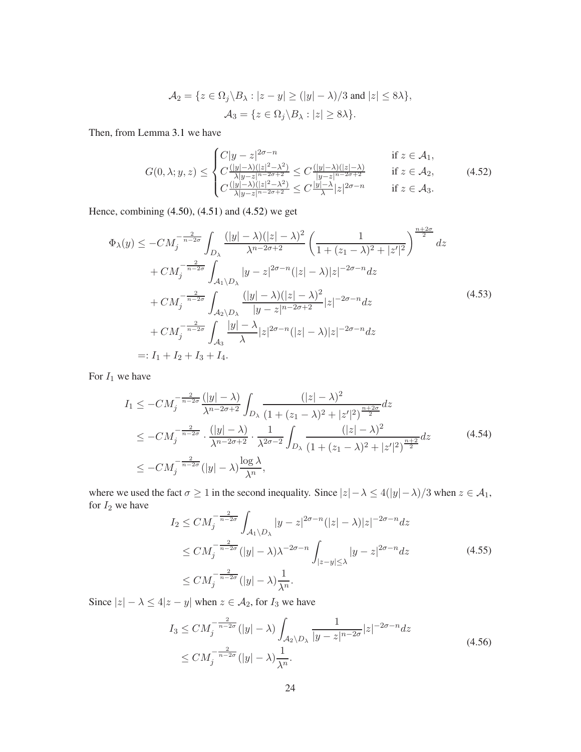$$
\mathcal{A}_2 = \{ z \in \Omega_j \setminus B_\lambda : |z - y| \ge (|y| - \lambda)/3 \text{ and } |z| \le 8\lambda \},
$$
  

$$
\mathcal{A}_3 = \{ z \in \Omega_j \setminus B_\lambda : |z| \ge 8\lambda \}.
$$

Then, from Lemma [3.1](#page-9-1) we have

<span id="page-23-0"></span>
$$
G(0,\lambda;y,z) \leq \begin{cases} C|y-z|^{2\sigma-n} & \text{if } z \in \mathcal{A}_1, \\ C\frac{(|y|-\lambda)(|z|^2-\lambda^2)}{\lambda|y-z|^{n-2\sigma+2}} \leq C\frac{(|y|-\lambda)(|z|-\lambda)}{|y-z|^{n-2\sigma+2}} & \text{if } z \in \mathcal{A}_2, \\ C\frac{(|y|-\lambda)(|z|^2-\lambda^2)}{\lambda|y-z|^{n-2\sigma+2}} \leq C\frac{|y|-\lambda}{\lambda}|z|^{2\sigma-n} & \text{if } z \in \mathcal{A}_3. \end{cases} \tag{4.52}
$$

Hence, combining [\(4.50\)](#page-22-0), [\(4.51\)](#page-22-1) and [\(4.52\)](#page-23-0) we get

<span id="page-23-1"></span>
$$
\Phi_{\lambda}(y) \le -CM_{j}^{-\frac{2}{n-2\sigma}} \int_{D_{\lambda}} \frac{(|y| - \lambda)(|z| - \lambda)^{2}}{\lambda^{n-2\sigma+2}} \left( \frac{1}{1 + (z_{1} - \lambda)^{2} + |z'|^{2}} \right)^{\frac{n+2\sigma}{2}} dz \n+ CM_{j}^{-\frac{2}{n-2\sigma}} \int_{\mathcal{A}_{1} \setminus D_{\lambda}} |y - z|^{2\sigma-n} (|z| - \lambda)|z|^{-2\sigma-n} dz \n+ CM_{j}^{-\frac{2}{n-2\sigma}} \int_{\mathcal{A}_{2} \setminus D_{\lambda}} \frac{(|y| - \lambda)(|z| - \lambda)^{2}}{|y - z|^{n-2\sigma+2}} |z|^{-2\sigma-n} dz \n+ CM_{j}^{-\frac{2}{n-2\sigma}} \int_{\mathcal{A}_{3}} \frac{|y| - \lambda}{\lambda} |z|^{2\sigma-n} (|z| - \lambda) |z|^{-2\sigma-n} dz \n=: I_{1} + I_{2} + I_{3} + I_{4}.
$$
\n(4.53)

For  $I_1$  we have

$$
I_{1} \leq -CM_{j}^{-\frac{2}{n-2\sigma}} \frac{(|y| - \lambda)}{\lambda^{n-2\sigma+2}} \int_{D_{\lambda}} \frac{(|z| - \lambda)^{2}}{(1 + (z_{1} - \lambda)^{2} + |z'|^{2})^{\frac{n+2\sigma}{2}}} dz
$$
  
\n
$$
\leq -CM_{j}^{-\frac{2}{n-2\sigma}} \cdot \frac{(|y| - \lambda)}{\lambda^{n-2\sigma+2}} \cdot \frac{1}{\lambda^{2\sigma-2}} \int_{D_{\lambda}} \frac{(|z| - \lambda)^{2}}{(1 + (z_{1} - \lambda)^{2} + |z'|^{2})^{\frac{n+2}{2}}} dz
$$
(4.54)  
\n
$$
\leq -CM_{j}^{-\frac{2}{n-2\sigma}} (|y| - \lambda) \frac{\log \lambda}{\lambda^{n}},
$$

where we used the fact  $\sigma \ge 1$  in the second inequality. Since  $|z| - \lambda \le 4(|y| - \lambda)/3$  when  $z \in \mathcal{A}_1$ , for  $I_2$  we have

<span id="page-23-2"></span>
$$
I_2 \leq CM_j^{-\frac{2}{n-2\sigma}} \int_{\mathcal{A}_1 \setminus D_\lambda} |y - z|^{2\sigma - n} (|z| - \lambda)|z|^{-2\sigma - n} dz
$$
  
\n
$$
\leq CM_j^{-\frac{2}{n-2\sigma}} (|y| - \lambda)\lambda^{-2\sigma - n} \int_{|z-y| \leq \lambda} |y - z|^{2\sigma - n} dz
$$
  
\n
$$
\leq CM_j^{-\frac{2}{n-2\sigma}} (|y| - \lambda) \frac{1}{\lambda^n}.
$$
\n(4.55)

Since  $|z| - \lambda \le 4|z - y|$  when  $z \in A_2$ , for  $I_3$  we have

<span id="page-23-3"></span>
$$
I_3 \leq CM_j^{-\frac{2}{n-2\sigma}}(|y| - \lambda) \int_{\mathcal{A}_2 \setminus D_\lambda} \frac{1}{|y - z|^{n-2\sigma}} |z|^{-2\sigma - n} dz
$$
  
 
$$
\leq CM_j^{-\frac{2}{n-2\sigma}}(|y| - \lambda) \frac{1}{\lambda^n}.
$$
 (4.56)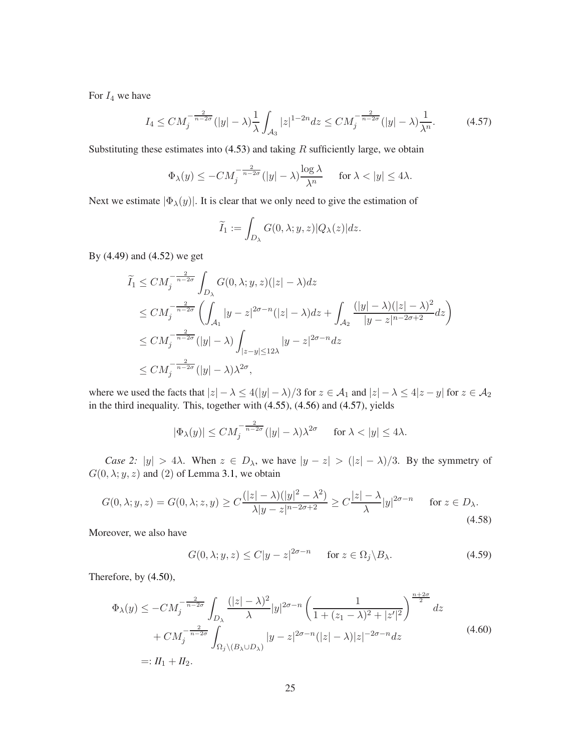For  $I_4$  we have

<span id="page-24-0"></span>
$$
I_4 \leq CM_j^{-\frac{2}{n-2\sigma}} (|y| - \lambda) \frac{1}{\lambda} \int_{\mathcal{A}_3} |z|^{1-2n} dz \leq CM_j^{-\frac{2}{n-2\sigma}} (|y| - \lambda) \frac{1}{\lambda^n}.
$$
 (4.57)

Substituting these estimates into  $(4.53)$  and taking  $R$  sufficiently large, we obtain

$$
\Phi_{\lambda}(y) \le -CM_j^{-\frac{2}{n-2\sigma}} (|y| - \lambda) \frac{\log \lambda}{\lambda^n} \quad \text{ for } \lambda < |y| \le 4\lambda.
$$

Next we estimate  $|\Phi_{\lambda}(y)|$ . It is clear that we only need to give the estimation of

$$
\widetilde{I}_1 := \int_{D_{\lambda}} G(0, \lambda; y, z) |Q_{\lambda}(z)| dz.
$$

By [\(4.49\)](#page-22-2) and [\(4.52\)](#page-23-0) we get

$$
\widetilde{I}_1 \leq CM_j^{-\frac{2}{n-2\sigma}} \int_{D_\lambda} G(0,\lambda;y,z)(|z| - \lambda) dz
$$
\n
$$
\leq CM_j^{-\frac{2}{n-2\sigma}} \left( \int_{\mathcal{A}_1} |y - z|^{2\sigma - n} (|z| - \lambda) dz + \int_{\mathcal{A}_2} \frac{(|y| - \lambda)(|z| - \lambda)^2}{|y - z|^{n-2\sigma+2}} dz \right)
$$
\n
$$
\leq CM_j^{-\frac{2}{n-2\sigma}} (|y| - \lambda) \int_{|z - y| \leq 12\lambda} |y - z|^{2\sigma - n} dz
$$
\n
$$
\leq CM_j^{-\frac{2}{n-2\sigma}} (|y| - \lambda) \lambda^{2\sigma},
$$

where we used the facts that  $|z| - \lambda \le 4(|y| - \lambda)/3$  for  $z \in A_1$  and  $|z| - \lambda \le 4|z - y|$  for  $z \in A_2$ in the third inequality. This, together with [\(4.55\)](#page-23-2), [\(4.56\)](#page-23-3) and [\(4.57\)](#page-24-0), yields

$$
|\Phi_{\lambda}(y)| \le CM_j^{-\frac{2}{n-2\sigma}} (|y| - \lambda)\lambda^{2\sigma} \quad \text{for } \lambda < |y| \le 4\lambda.
$$

*Case 2:*  $|y| > 4\lambda$ . When  $z \in D_\lambda$ , we have  $|y - z| > (|z| - \lambda)/3$ . By the symmetry of  $G(0, \lambda; y, z)$  and (2) of Lemma [3.1,](#page-9-1) we obtain

$$
G(0,\lambda;y,z) = G(0,\lambda;z,y) \ge C\frac{(|z|-\lambda)(|y|^2-\lambda^2)}{\lambda|y-z|^{n-2\sigma+2}} \ge C\frac{|z|-\lambda}{\lambda}|y|^{2\sigma-n} \quad \text{for } z \in D_{\lambda}.
$$
\n
$$
(4.58)
$$

Moreover, we also have

<span id="page-24-1"></span>
$$
G(0, \lambda; y, z) \le C|y - z|^{2\sigma - n} \quad \text{for } z \in \Omega_j \backslash B_\lambda. \tag{4.59}
$$

Therefore, by [\(4.50\)](#page-22-0),

$$
\Phi_{\lambda}(y) \le -CM_j^{-\frac{2}{n-2\sigma}} \int_{D_{\lambda}} \frac{(|z| - \lambda)^2}{\lambda} |y|^{2\sigma - n} \left( \frac{1}{1 + (z_1 - \lambda)^2 + |z'|^2} \right)^{\frac{n+2\sigma}{2}} dz
$$
  
+  $CM_j^{-\frac{2}{n-2\sigma}} \int_{\Omega_j \setminus (B_{\lambda} \cup D_{\lambda})} |y - z|^{2\sigma - n} (|z| - \lambda) |z|^{-2\sigma - n} dz$  (4.60)  
=:  $H_1 + H_2$ .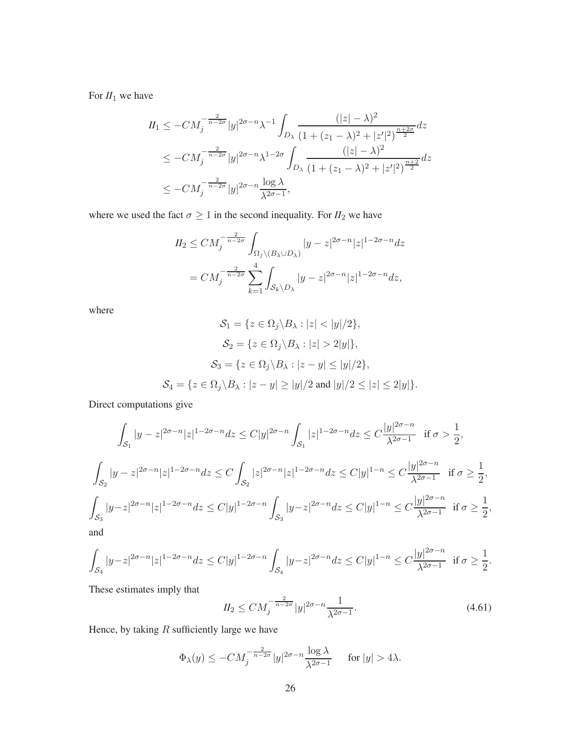For  $II_1$  we have

$$
II_1 \le -CM_j^{-\frac{2}{n-2\sigma}} |y|^{2\sigma - n} \lambda^{-1} \int_{D_\lambda} \frac{(|z| - \lambda)^2}{(1 + (z_1 - \lambda)^2 + |z'|^2)^{\frac{n+2\sigma}{2}}} dz
$$
  
\n
$$
\le -CM_j^{-\frac{2}{n-2\sigma}} |y|^{2\sigma - n} \lambda^{1-2\sigma} \int_{D_\lambda} \frac{(|z| - \lambda)^2}{(1 + (z_1 - \lambda)^2 + |z'|^2)^{\frac{n+2}{2}}} dz
$$
  
\n
$$
\le -CM_j^{-\frac{2}{n-2\sigma}} |y|^{2\sigma - n} \frac{\log \lambda}{\lambda^{2\sigma - 1}},
$$

where we used the fact  $\sigma \geq 1$  in the second inequality. For  $II_2$  we have

$$
II_2 \le CM_j^{-\frac{2}{n-2\sigma}} \int_{\Omega_j \setminus (B_\lambda \cup D_\lambda)} |y - z|^{2\sigma - n} |z|^{1 - 2\sigma - n} dz
$$
  
=  $CM_j^{-\frac{2}{n-2\sigma}} \sum_{k=1}^4 \int_{\mathcal{S}_k \setminus D_\lambda} |y - z|^{2\sigma - n} |z|^{1 - 2\sigma - n} dz$ ,

where

$$
\mathcal{S}_1 = \{ z \in \Omega_j \setminus B_\lambda : |z| < |y|/2 \},
$$
\n
$$
\mathcal{S}_2 = \{ z \in \Omega_j \setminus B_\lambda : |z| > 2|y| \},
$$
\n
$$
\mathcal{S}_3 = \{ z \in \Omega_j \setminus B_\lambda : |z - y| \le |y|/2 \},
$$
\n
$$
\mathcal{S}_4 = \{ z \in \Omega_j \setminus B_\lambda : |z - y| \ge |y|/2 \text{ and } |y|/2 \le |z| \le 2|y| \}.
$$

Direct computations give

$$
\int_{\mathcal{S}_1} |y - z|^{2\sigma - n} |z|^{1 - 2\sigma - n} dz \le C |y|^{2\sigma - n} \int_{\mathcal{S}_1} |z|^{1 - 2\sigma - n} dz \le C \frac{|y|^{2\sigma - n}}{\lambda^{2\sigma - 1}} \text{ if } \sigma > \frac{1}{2},
$$
  

$$
\int_{\mathcal{S}_2} |y - z|^{2\sigma - n} |z|^{1 - 2\sigma - n} dz \le C \int_{\mathcal{S}_2} |z|^{2\sigma - n} |z|^{1 - 2\sigma - n} dz \le C |y|^{1 - n} \le C \frac{|y|^{2\sigma - n}}{\lambda^{2\sigma - 1}} \text{ if } \sigma \ge \frac{1}{2},
$$
  

$$
\int_{\mathcal{S}_3} |y - z|^{2\sigma - n} |z|^{1 - 2\sigma - n} dz \le C |y|^{1 - 2\sigma - n} \int_{\mathcal{S}_3} |y - z|^{2\sigma - n} dz \le C |y|^{1 - n} \le C \frac{|y|^{2\sigma - n}}{\lambda^{2\sigma - 1}} \text{ if } \sigma \ge \frac{1}{2},
$$
  
and

$$
\int_{\mathcal S_4}|y-z|^{2\sigma-n}|z|^{1-2\sigma-n}dz\leq C|y|^{1-2\sigma-n}\int_{\mathcal S_4}|y-z|^{2\sigma-n}dz\leq C|y|^{1-n}\leq C\frac{|y|^{2\sigma-n}}{\lambda^{2\sigma-1}}\ \hbox{ if }\sigma\geq C\int_{\mathcal S_4}|y-z|^{2\sigma-n}dz\leq C|y|^{1-2\sigma-1}\|y\|^{2\sigma-1}.
$$

These estimates imply that

<span id="page-25-0"></span>
$$
II_2 \leq C M_j^{-\frac{2}{n-2\sigma}} |y|^{2\sigma - n} \frac{1}{\lambda^{2\sigma - 1}}.
$$
\n(4.61)

1  $\frac{1}{2}$ .

Hence, by taking  $R$  sufficiently large we have

$$
\Phi_{\lambda}(y) \le -CM_j^{-\frac{2}{n-2\sigma}}|y|^{2\sigma-n}\frac{\log \lambda}{\lambda^{2\sigma-1}} \quad \text{ for } |y| > 4\lambda.
$$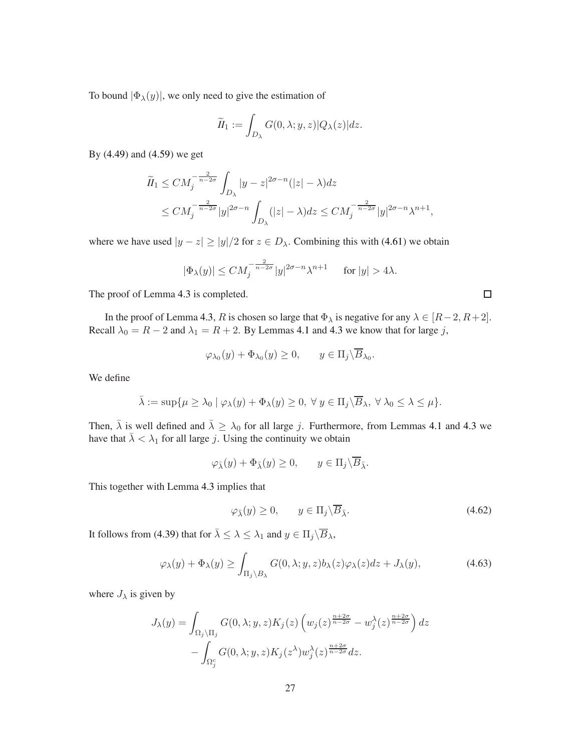To bound  $|\Phi_{\lambda}(y)|$ , we only need to give the estimation of

$$
\widetilde{II}_1 := \int_{D_{\lambda}} G(0, \lambda; y, z) |Q_{\lambda}(z)| dz.
$$

By [\(4.49\)](#page-22-2) and [\(4.59\)](#page-24-1) we get

$$
\widetilde{II}_1 \leq CM_j^{-\frac{2}{n-2\sigma}} \int_{D_\lambda} |y-z|^{2\sigma-n} (|z| - \lambda) dz
$$
\n
$$
\leq CM_j^{-\frac{2}{n-2\sigma}} |y|^{2\sigma-n} \int_{D_\lambda} (|z| - \lambda) dz \leq CM_j^{-\frac{2}{n-2\sigma}} |y|^{2\sigma-n} \lambda^{n+1},
$$

where we have used  $|y - z| \ge |y|/2$  for  $z \in D_\lambda$ . Combining this with [\(4.61\)](#page-25-0) we obtain

$$
|\Phi_\lambda(y)|\le CM_j^{-\frac{2}{n-2\sigma}}|y|^{2\sigma-n}\lambda^{n+1}\quad\text{ for }|y|>4\lambda.
$$

The proof of Lemma [4.3](#page-21-0) is completed.

In the proof of Lemma [4.3,](#page-21-0) R is chosen so large that  $\Phi_{\lambda}$  is negative for any  $\lambda \in [R-2, R+2]$ . Recall  $\lambda_0 = R - 2$  and  $\lambda_1 = R + 2$ . By Lemmas [4.1](#page-17-2) and [4.3](#page-21-0) we know that for large j,

$$
\varphi_{\lambda_0}(y) + \Phi_{\lambda_0}(y) \ge 0, \qquad y \in \Pi_j \backslash \overline{B}_{\lambda_0}.
$$

We define

$$
\bar{\lambda} := \sup \{ \mu \ge \lambda_0 \mid \varphi_\lambda(y) + \Phi_\lambda(y) \ge 0, \ \forall \ y \in \Pi_j \backslash \overline{B}_\lambda, \ \forall \ \lambda_0 \le \lambda \le \mu \}.
$$

Then,  $\bar{\lambda}$  is well defined and  $\bar{\lambda} \geq \lambda_0$  for all large j. Furthermore, from Lemmas [4.1](#page-17-2) and [4.3](#page-21-0) we have that  $\bar{\lambda} < \lambda_1$  for all large j. Using the continuity we obtain

$$
\varphi_{\bar{\lambda}}(y) + \Phi_{\bar{\lambda}}(y) \ge 0, \qquad y \in \Pi_j \backslash \overline{B}_{\bar{\lambda}}.
$$

This together with Lemma [4.3](#page-21-0) implies that

<span id="page-26-1"></span>
$$
\varphi_{\bar{\lambda}}(y) \ge 0, \qquad y \in \Pi_j \backslash \overline{B}_{\bar{\lambda}}.\tag{4.62}
$$

It follows from [\(4.39\)](#page-20-0) that for  $\bar{\lambda} \leq \lambda \leq \lambda_1$  and  $y \in \Pi_j \backslash \overline{B}_{\lambda}$ ,

<span id="page-26-2"></span>
$$
\varphi_{\lambda}(y) + \Phi_{\lambda}(y) \ge \int_{\Pi_{j} \setminus B_{\lambda}} G(0, \lambda; y, z) b_{\lambda}(z) \varphi_{\lambda}(z) dz + J_{\lambda}(y), \tag{4.63}
$$

<span id="page-26-0"></span>where  $J_{\lambda}$  is given by

$$
J_{\lambda}(y) = \int_{\Omega_j \backslash \Pi_j} G(0, \lambda; y, z) K_j(z) \left( w_j(z)^{\frac{n+2\sigma}{n-2\sigma}} - w_j^{\lambda}(z)^{\frac{n+2\sigma}{n-2\sigma}} \right) dz
$$
  
- 
$$
\int_{\Omega_j^c} G(0, \lambda; y, z) K_j(z^{\lambda}) w_j^{\lambda}(z)^{\frac{n+2\sigma}{n-2\sigma}} dz.
$$

 $\Box$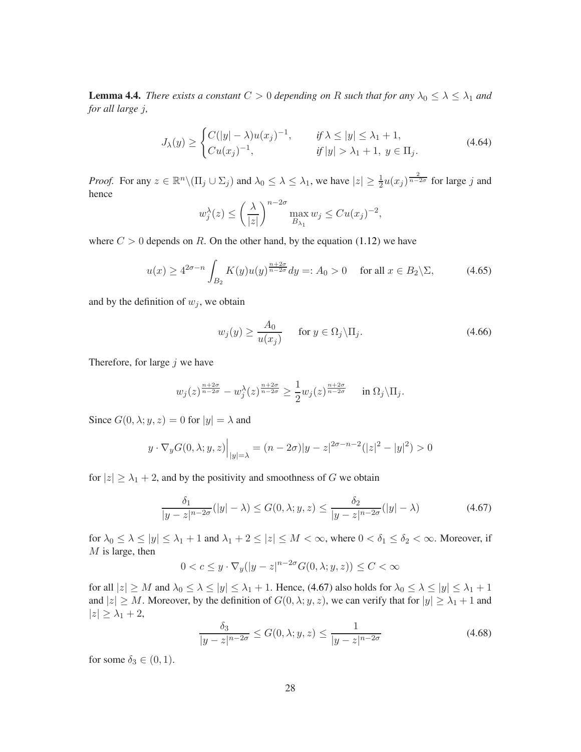**Lemma 4.4.** *There exists a constant*  $C > 0$  *depending on* R *such that for any*  $\lambda_0 \leq \lambda \leq \lambda_1$  *and for all large* j*,*

<span id="page-27-1"></span>
$$
J_{\lambda}(y) \ge \begin{cases} C(|y| - \lambda)u(x_j)^{-1}, & \text{if } \lambda \le |y| \le \lambda_1 + 1, \\ C u(x_j)^{-1}, & \text{if } |y| > \lambda_1 + 1, \ y \in \Pi_j. \end{cases} \tag{4.64}
$$

*Proof.* For any  $z \in \mathbb{R}^n \setminus (\Pi_j \cup \Sigma_j)$  and  $\lambda_0 \leq \lambda \leq \lambda_1$ , we have  $|z| \geq \frac{1}{2} u(x_j)^{\frac{2}{n-2\sigma}}$  for large j and hence

$$
w_j^{\lambda}(z) \leq \left(\frac{\lambda}{|z|}\right)^{n-2\sigma} \max_{B_{\lambda_1}} w_j \leq C u(x_j)^{-2},
$$

where  $C > 0$  depends on R. On the other hand, by the equation [\(1.12\)](#page-4-0) we have

$$
u(x) \ge 4^{2\sigma - n} \int_{B_2} K(y) u(y)^{\frac{n+2\sigma}{n-2\sigma}} dy =: A_0 > 0 \quad \text{for all } x \in B_2 \backslash \Sigma,
$$
 (4.65)

and by the definition of  $w_i$ , we obtain

$$
w_j(y) \ge \frac{A_0}{u(x_j)} \quad \text{for } y \in \Omega_j \backslash \Pi_j. \tag{4.66}
$$

Therefore, for large  $j$  we have

$$
w_j(z)^{\frac{n+2\sigma}{n-2\sigma}} - w_j^{\lambda}(z)^{\frac{n+2\sigma}{n-2\sigma}} \ge \frac{1}{2} w_j(z)^{\frac{n+2\sigma}{n-2\sigma}} \quad \text{in } \Omega_j \backslash \Pi_j.
$$

Since  $G(0, \lambda; y, z) = 0$  for  $|y| = \lambda$  and

$$
y \cdot \nabla_y G(0, \lambda; y, z)\Big|_{|y|=\lambda} = (n - 2\sigma)|y - z|^{2\sigma - n - 2}(|z|^2 - |y|^2) > 0
$$

for  $|z| \geq \lambda_1 + 2$ , and by the positivity and smoothness of G we obtain

<span id="page-27-0"></span>
$$
\frac{\delta_1}{|y-z|^{n-2\sigma}}(|y|-\lambda) \le G(0,\lambda;y,z) \le \frac{\delta_2}{|y-z|^{n-2\sigma}}(|y|-\lambda)
$$
\n(4.67)

for  $\lambda_0 \leq \lambda \leq |y| \leq \lambda_1 + 1$  and  $\lambda_1 + 2 \leq |z| \leq M < \infty$ , where  $0 < \delta_1 \leq \delta_2 < \infty$ . Moreover, if  $M$  is large, then

$$
0 < c \le y \cdot \nabla_y(|y - z|^{n - 2\sigma} G(0, \lambda; y, z)) \le C < \infty
$$

for all  $|z| \ge M$  and  $\lambda_0 \le \lambda \le |y| \le \lambda_1 + 1$ . Hence, [\(4.67\)](#page-27-0) also holds for  $\lambda_0 \le \lambda \le |y| \le \lambda_1 + 1$ . and  $|z| \ge M$ . Moreover, by the definition of  $G(0, \lambda; y, z)$ , we can verify that for  $|y| \ge \lambda_1 + 1$  and  $|z| \geq \lambda_1 + 2$ ,

$$
\frac{\delta_3}{|y-z|^{n-2\sigma}} \le G(0,\lambda;y,z) \le \frac{1}{|y-z|^{n-2\sigma}}\tag{4.68}
$$

for some  $\delta_3 \in (0,1)$ .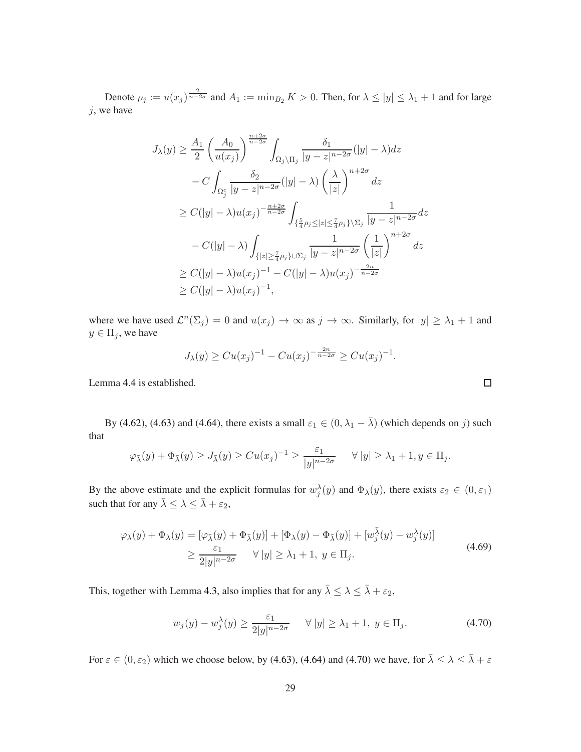Denote  $\rho_j := u(x_j)^{\frac{2}{n-2\sigma}}$  and  $A_1 := \min_{B_2} K > 0$ . Then, for  $\lambda \le |y| \le \lambda_1 + 1$  and for large  $j$ , we have

$$
J_{\lambda}(y) \geq \frac{A_1}{2} \left(\frac{A_0}{u(x_j)}\right)^{\frac{n+2\sigma}{n-2\sigma}} \int_{\Omega_j \setminus \Pi_j} \frac{\delta_1}{|y - z|^{n-2\sigma}} (|y| - \lambda) dz
$$
  

$$
- C \int_{\Omega_j^c} \frac{\delta_2}{|y - z|^{n-2\sigma}} (|y| - \lambda) \left(\frac{\lambda}{|z|}\right)^{n+2\sigma} dz
$$
  

$$
\geq C(|y| - \lambda) u(x_j)^{-\frac{n+2\sigma}{n-2\sigma}} \int_{\{\frac{5}{4}\rho_j \leq |z| \leq \frac{7}{4}\rho_j\} \setminus \Sigma_j} \frac{1}{|y - z|^{n-2\sigma}} dz
$$
  

$$
- C(|y| - \lambda) \int_{\{|z| \geq \frac{7}{4}\rho_j\} \cup \Sigma_j} \frac{1}{|y - z|^{n-2\sigma}} \left(\frac{1}{|z|}\right)^{n+2\sigma} dz
$$
  

$$
\geq C(|y| - \lambda) u(x_j)^{-1} - C(|y| - \lambda) u(x_j)^{-\frac{2n}{n-2\sigma}}
$$
  

$$
\geq C(|y| - \lambda) u(x_j)^{-1},
$$

where we have used  $\mathcal{L}^n(\Sigma_j) = 0$  and  $u(x_j) \to \infty$  as  $j \to \infty$ . Similarly, for  $|y| \geq \lambda_1 + 1$  and  $y \in \Pi_j$ , we have

$$
J_{\lambda}(y) \geq Cu(x_j)^{-1} - Cu(x_j)^{-\frac{2n}{n-2\sigma}} \geq Cu(x_j)^{-1}.
$$

Lemma [4.4](#page-26-0) is established.

By [\(4.62\)](#page-26-1), [\(4.63\)](#page-26-2) and [\(4.64\)](#page-27-1), there exists a small  $\varepsilon_1 \in (0, \lambda_1 - \overline{\lambda})$  (which depends on j) such that

$$
\varphi_{\bar{\lambda}}(y) + \Phi_{\bar{\lambda}}(y) \geq J_{\bar{\lambda}}(y) \geq C u(x_j)^{-1} \geq \frac{\varepsilon_1}{|y|^{n-2\sigma}} \quad \forall |y| \geq \lambda_1 + 1, y \in \Pi_j.
$$

By the above estimate and the explicit formulas for  $w_j^{\lambda}(y)$  and  $\Phi_{\lambda}(y)$ , there exists  $\varepsilon_2 \in (0, \varepsilon_1)$ such that for any  $\bar{\lambda} \leq \lambda \leq \bar{\lambda} + \varepsilon_2$ ,

<span id="page-28-1"></span>
$$
\varphi_{\lambda}(y) + \Phi_{\lambda}(y) = [\varphi_{\overline{\lambda}}(y) + \Phi_{\overline{\lambda}}(y)] + [\Phi_{\lambda}(y) - \Phi_{\overline{\lambda}}(y)] + [w_j^{\overline{\lambda}}(y) - w_j^{\lambda}(y)]
$$
  
\n
$$
\geq \frac{\varepsilon_1}{2|y|^{n-2\sigma}} \quad \forall |y| \geq \lambda_1 + 1, \ y \in \Pi_j.
$$
\n(4.69)

This, together with Lemma [4.3,](#page-21-0) also implies that for any  $\bar{\lambda} \leq \lambda \leq \bar{\lambda} + \varepsilon_2$ ,

<span id="page-28-0"></span>
$$
w_j(y) - w_j^{\lambda}(y) \ge \frac{\varepsilon_1}{2|y|^{n-2\sigma}} \quad \forall |y| \ge \lambda_1 + 1, \ y \in \Pi_j.
$$
 (4.70)

For  $\varepsilon \in (0, \varepsilon_2)$  which we choose below, by [\(4.63\)](#page-26-2), [\(4.64\)](#page-27-1) and [\(4.70\)](#page-28-0) we have, for  $\overline{\lambda} \leq \lambda \leq \overline{\lambda} + \varepsilon$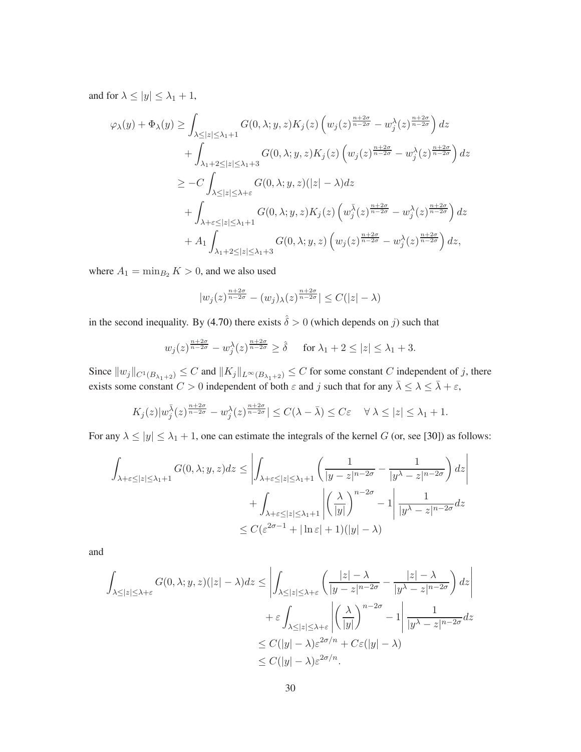and for  $\lambda \le |y| \le \lambda_1 + 1$ ,

$$
\varphi_{\lambda}(y) + \Phi_{\lambda}(y) \ge \int_{\lambda \le |z| \le \lambda_1 + 1} G(0, \lambda; y, z) K_j(z) \left( w_j(z)^{\frac{n+2\sigma}{n-2\sigma}} - w_j^{\lambda}(z)^{\frac{n+2\sigma}{n-2\sigma}} \right) dz
$$
  
+ 
$$
\int_{\lambda_1 + 2 \le |z| \le \lambda_1 + 3} G(0, \lambda; y, z) K_j(z) \left( w_j(z)^{\frac{n+2\sigma}{n-2\sigma}} - w_j^{\lambda}(z)^{\frac{n+2\sigma}{n-2\sigma}} \right) dz
$$
  

$$
\ge -C \int_{\lambda \le |z| \le \lambda_1 + \varepsilon} G(0, \lambda; y, z) (|z| - \lambda) dz
$$
  
+ 
$$
\int_{\lambda + \varepsilon \le |z| \le \lambda_1 + 1} G(0, \lambda; y, z) K_j(z) \left( w_j^{\overline{\lambda}}(z)^{\frac{n+2\sigma}{n-2\sigma}} - w_j^{\lambda}(z)^{\frac{n+2\sigma}{n-2\sigma}} \right) dz
$$
  
+ 
$$
A_1 \int_{\lambda_1 + 2 \le |z| \le \lambda_1 + 3} G(0, \lambda; y, z) \left( w_j(z)^{\frac{n+2\sigma}{n-2\sigma}} - w_j^{\lambda}(z)^{\frac{n+2\sigma}{n-2\sigma}} \right) dz,
$$

where  $A_1 = \min_{B_2} K > 0$ , and we also used

$$
|w_j(z)^{\frac{n+2\sigma}{n-2\sigma}} - (w_j)_\lambda(z)^{\frac{n+2\sigma}{n-2\sigma}}| \leq C(|z| - \lambda)
$$

in the second inequality. By [\(4.70\)](#page-28-0) there exists  $\hat{\delta} > 0$  (which depends on j) such that

$$
w_j(z)^{\frac{n+2\sigma}{n-2\sigma}} - w_j^{\lambda}(z)^{\frac{n+2\sigma}{n-2\sigma}} \ge \hat{\delta}
$$
 for  $\lambda_1 + 2 \le |z| \le \lambda_1 + 3$ .

Since  $||w_j||_{C^1(B_{\lambda_1+2})} \leq C$  and  $||K_j||_{L^\infty(B_{\lambda_1+2})} \leq C$  for some constant C independent of j, there exists some constant  $C > 0$  independent of both  $\varepsilon$  and j such that for any  $\bar{\lambda} \leq \lambda \leq \bar{\lambda} + \varepsilon$ ,

$$
K_j(z)|w_j^{\bar{\lambda}}(z)^{\frac{n+2\sigma}{n-2\sigma}} - w_j^{\lambda}(z)^{\frac{n+2\sigma}{n-2\sigma}}| \leq C(\lambda - \bar{\lambda}) \leq C\varepsilon \quad \forall \ \lambda \leq |z| \leq \lambda_1 + 1.
$$

For any  $\lambda \le |y| \le \lambda_1 + 1$ , one can estimate the integrals of the kernel G (or, see [\[30\]](#page-55-9)) as follows:

$$
\int_{\lambda+\varepsilon\leq|z|\leq\lambda_1+1} G(0,\lambda;y,z)dz \leq \left|\int_{\lambda+\varepsilon\leq|z|\leq\lambda_1+1} \left(\frac{1}{|y-z|^{n-2\sigma}} - \frac{1}{|y^\lambda-z|^{n-2\sigma}}\right)dz\right|
$$

$$
+ \int_{\lambda+\varepsilon\leq|z|\leq\lambda_1+1} \left|\left(\frac{\lambda}{|y|}\right)^{n-2\sigma} - 1\right| \frac{1}{|y^\lambda-z|^{n-2\sigma}}dz
$$

$$
\leq C(\varepsilon^{2\sigma-1} + |\ln \varepsilon| + 1)(|y| - \lambda)
$$

and

$$
\int_{\lambda \leq |z| \leq \lambda + \varepsilon} G(0, \lambda; y, z)(|z| - \lambda) dz \leq \left| \int_{\lambda \leq |z| \leq \lambda + \varepsilon} \left( \frac{|z| - \lambda}{|y - z|^{n - 2\sigma}} - \frac{|z| - \lambda}{|y^{\lambda} - z|^{n - 2\sigma}} \right) dz \right|
$$

$$
+ \varepsilon \int_{\lambda \leq |z| \leq \lambda + \varepsilon} \left| \left( \frac{\lambda}{|y|} \right)^{n - 2\sigma} - 1 \right| \frac{1}{|y^{\lambda} - z|^{n - 2\sigma}} dz
$$

$$
\leq C(|y| - \lambda) \varepsilon^{2\sigma/n} + C\varepsilon(|y| - \lambda)
$$

$$
\leq C(|y| - \lambda) \varepsilon^{2\sigma/n}.
$$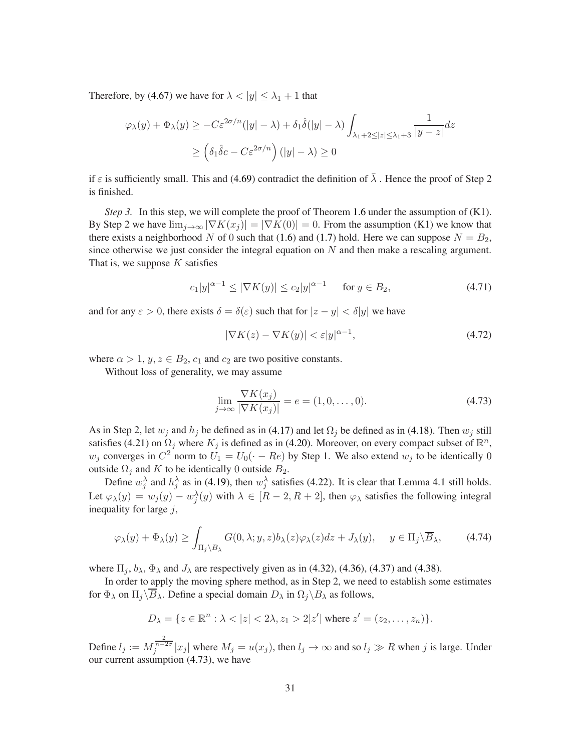Therefore, by [\(4.67\)](#page-27-0) we have for  $\lambda < |y| \leq \lambda_1 + 1$  that

$$
\varphi_{\lambda}(y) + \Phi_{\lambda}(y) \ge -C\varepsilon^{2\sigma/n}(|y| - \lambda) + \delta_1 \hat{\delta}(|y| - \lambda) \int_{\lambda_1 + 2\le |z| \le \lambda_1 + 3} \frac{1}{|y - z|} dz
$$
  
 
$$
\ge \left(\delta_1 \hat{\delta}c - C\varepsilon^{2\sigma/n}\right) (|y| - \lambda) \ge 0
$$

if  $\varepsilon$  is sufficiently small. This and [\(4.69\)](#page-28-1) contradict the definition of  $\overline{\lambda}$ . Hence the proof of Step 2 is finished.

*Step 3.* In this step, we will complete the proof of Theorem [1.6](#page-4-1) under the assumption of (K1). By Step 2 we have  $\lim_{j\to\infty} |\nabla K(x_j)| = |\nabla K(0)| = 0$ . From the assumption (K1) we know that there exists a neighborhood N of 0 such that [\(1.6\)](#page-3-4) and [\(1.7\)](#page-3-5) hold. Here we can suppose  $N = B_2$ , since otherwise we just consider the integral equation on  $N$  and then make a rescaling argument. That is, we suppose  $K$  satisfies

<span id="page-30-1"></span>
$$
c_1|y|^{\alpha-1} \le |\nabla K(y)| \le c_2|y|^{\alpha-1} \quad \text{for } y \in B_2,\tag{4.71}
$$

and for any  $\varepsilon > 0$ , there exists  $\delta = \delta(\varepsilon)$  such that for  $|z - y| < \delta|y|$  we have

<span id="page-30-2"></span>
$$
|\nabla K(z) - \nabla K(y)| < \varepsilon |y|^{\alpha - 1},\tag{4.72}
$$

where  $\alpha > 1$ ,  $y, z \in B_2$ ,  $c_1$  and  $c_2$  are two positive constants.

Without loss of generality, we may assume

<span id="page-30-0"></span>
$$
\lim_{j \to \infty} \frac{\nabla K(x_j)}{|\nabla K(x_j)|} = e = (1, 0, \dots, 0).
$$
\n(4.73)

As in Step 2, let  $w_j$  and  $h_j$  be defined as in [\(4.17\)](#page-17-0) and let  $\Omega_j$  be defined as in [\(4.18\)](#page-17-5). Then  $w_j$  still satisfies [\(4.21\)](#page-17-6) on  $\Omega_j$  where  $K_j$  is defined as in [\(4.20\)](#page-17-7). Moreover, on every compact subset of  $\mathbb{R}^n$ ,  $w_j$  converges in  $C^2$  norm to  $U_1 = U_0(\cdot - Re)$  by Step 1. We also extend  $w_j$  to be identically 0 outside  $\Omega_j$  and K to be identically 0 outside  $B_2$ .

Define  $w_j^{\lambda}$  and  $h_j^{\lambda}$  as in [\(4.19\)](#page-17-1), then  $w_j^{\lambda}$  satisfies [\(4.22\)](#page-17-8). It is clear that Lemma [4.1](#page-17-2) still holds. Let  $\varphi_\lambda(y) = w_j(y) - w_j^\lambda(y)$  with  $\lambda \in [R-2, R+2]$ , then  $\varphi_\lambda$  satisfies the following integral inequality for large  $j$ ,

<span id="page-30-3"></span>
$$
\varphi_{\lambda}(y) + \Phi_{\lambda}(y) \ge \int_{\Pi_j \setminus B_{\lambda}} G(0, \lambda; y, z) b_{\lambda}(z) \varphi_{\lambda}(z) dz + J_{\lambda}(y), \quad y \in \Pi_j \setminus \overline{B}_{\lambda}, \tag{4.74}
$$

where  $\Pi_i$ ,  $b_\lambda$ ,  $\Phi_\lambda$  and  $J_\lambda$  are respectively given as in [\(4.32\)](#page-19-3), [\(4.36\)](#page-19-4), [\(4.37\)](#page-19-0) and [\(4.38\)](#page-20-5).

In order to apply the moving sphere method, as in Step 2, we need to establish some estimates for  $\Phi_{\lambda}$  on  $\Pi_j\backslash\overline{B}_{\lambda}$ . Define a special domain  $D_{\lambda}$  in  $\Omega_j\backslash B_{\lambda}$  as follows,

$$
D_{\lambda} = \{ z \in \mathbb{R}^n : \lambda < |z| < 2\lambda, z_1 > 2|z'| \text{ where } z' = (z_2, \dots, z_n) \}.
$$

Define  $l_j := M_j^{\frac{2}{n-2\sigma}} |x_j|$  where  $M_j = u(x_j)$ , then  $l_j \to \infty$  and so  $l_j \gg R$  when j is large. Under our current assumption [\(4.73\)](#page-30-0), we have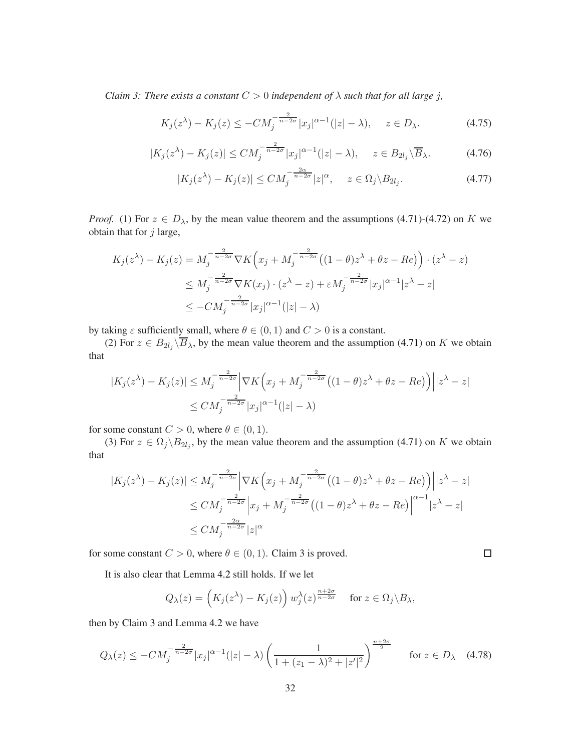*Claim 3: There exists a constant*  $C > 0$  *independent of*  $\lambda$  *such that for all large j,* 

$$
K_j(z^{\lambda}) - K_j(z) \le -CM_j^{-\frac{2}{n-2\sigma}} |x_j|^{\alpha - 1} (|z| - \lambda), \quad z \in D_{\lambda}.
$$
 (4.75)

$$
|K_j(z^{\lambda}) - K_j(z)| \le CM_j^{-\frac{2}{n-2\sigma}} |x_j|^{\alpha-1} (|z| - \lambda), \quad z \in B_{2l_j} \backslash \overline{B}_{\lambda}.
$$
 (4.76)

$$
|K_j(z^{\lambda}) - K_j(z)| \le CM_j^{-\frac{2\alpha}{n-2\sigma}} |z|^{\alpha}, \quad z \in \Omega_j \backslash B_{2l_j}.
$$
\n(4.77)

*Proof.* (1) For  $z \in D_\lambda$ , by the mean value theorem and the assumptions [\(4.71\)](#page-30-1)-[\(4.72\)](#page-30-2) on K we obtain that for  $j$  large,

$$
K_j(z^{\lambda}) - K_j(z) = M_j^{-\frac{2}{n-2\sigma}} \nabla K \left( x_j + M_j^{-\frac{2}{n-2\sigma}} \left( (1-\theta)z^{\lambda} + \theta z - Re \right) \right) \cdot (z^{\lambda} - z)
$$
  

$$
\leq M_j^{-\frac{2}{n-2\sigma}} \nabla K(x_j) \cdot (z^{\lambda} - z) + \varepsilon M_j^{-\frac{2}{n-2\sigma}} |x_j|^{\alpha-1} |z^{\lambda} - z|
$$
  

$$
\leq -CM_j^{-\frac{2}{n-2\sigma}} |x_j|^{\alpha-1} (|z| - \lambda)
$$

by taking  $\varepsilon$  sufficiently small, where  $\theta \in (0,1)$  and  $C > 0$  is a constant.

(2) For  $z \in B_{2l_j} \backslash B_\lambda$ , by the mean value theorem and the assumption [\(4.71\)](#page-30-1) on K we obtain that

$$
|K_j(z^{\lambda}) - K_j(z)| \le M_j^{-\frac{2}{n-2\sigma}} \Big| \nabla K\Big(x_j + M_j^{-\frac{2}{n-2\sigma}} \big( (1-\theta)z^{\lambda} + \theta z - Re \big) \Big) \Big| |z^{\lambda} - z|
$$
  

$$
\le CM_j^{-\frac{2}{n-2\sigma}} |x_j|^{\alpha-1} (|z| - \lambda)
$$

for some constant  $C > 0$ , where  $\theta \in (0, 1)$ .

(3) For  $z \in \Omega_j \backslash B_{2l_j}$ , by the mean value theorem and the assumption [\(4.71\)](#page-30-1) on K we obtain that

$$
|K_j(z^{\lambda}) - K_j(z)| \le M_j^{-\frac{2}{n-2\sigma}} \left| \nabla K \left( x_j + M_j^{-\frac{2}{n-2\sigma}} \left( (1-\theta) z^{\lambda} + \theta z - Re \right) \right) \right| |z^{\lambda} - z|
$$
  
\n
$$
\le CM_j^{-\frac{2}{n-2\sigma}} \left| x_j + M_j^{-\frac{2}{n-2\sigma}} \left( (1-\theta) z^{\lambda} + \theta z - Re \right) \right|^{\alpha-1} |z^{\lambda} - z|
$$
  
\n
$$
\le CM_j^{-\frac{2\alpha}{n-2\sigma}} |z|^{\alpha}
$$

 $\Box$ 

for some constant  $C > 0$ , where  $\theta \in (0, 1)$ . Claim 3 is proved.

It is also clear that Lemma [4.2](#page-20-4) still holds. If we let

$$
Q_{\lambda}(z) = \left(K_j(z^{\lambda}) - K_j(z)\right) w_j^{\lambda}(z)^{\frac{n+2\sigma}{n-2\sigma}} \quad \text{for } z \in \Omega_j \backslash B_{\lambda},
$$

then by Claim 3 and Lemma [4.2](#page-20-4) we have

$$
Q_{\lambda}(z) \le -CM_j^{-\frac{2}{n-2\sigma}} |x_j|^{\alpha-1} (|z| - \lambda) \left( \frac{1}{1 + (z_1 - \lambda)^2 + |z'|^2} \right)^{\frac{n+2\sigma}{2}} \quad \text{for } z \in D_{\lambda} \quad (4.78)
$$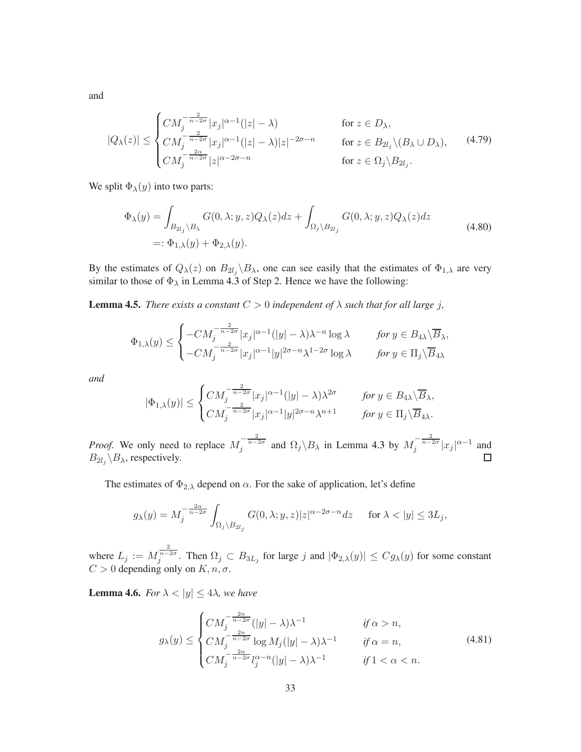and

<span id="page-32-2"></span>
$$
|Q_{\lambda}(z)| \leq \begin{cases} CM_j^{-\frac{2}{n-2\sigma}} |x_j|^{\alpha-1} (|z| - \lambda) & \text{for } z \in D_{\lambda}, \\ CM_j^{-\frac{2}{n-2\sigma}} |x_j|^{\alpha-1} (|z| - \lambda) |z|^{-2\sigma - n} & \text{for } z \in B_{2l_j} \setminus (B_{\lambda} \cup D_{\lambda}), \\ CM_j^{-\frac{2\alpha}{n-2\sigma}} |z|^{\alpha-2\sigma - n} & \text{for } z \in \Omega_j \setminus B_{2l_j}. \end{cases}
$$
(4.79)

We split  $\Phi_{\lambda}(y)$  into two parts:

$$
\Phi_{\lambda}(y) = \int_{B_{2l_j} \backslash B_{\lambda}} G(0, \lambda; y, z) Q_{\lambda}(z) dz + \int_{\Omega_j \backslash B_{2l_j}} G(0, \lambda; y, z) Q_{\lambda}(z) dz
$$
\n
$$
=:\Phi_{1,\lambda}(y) + \Phi_{2,\lambda}(y).
$$
\n(4.80)

<span id="page-32-0"></span>By the estimates of  $Q_\lambda(z)$  on  $B_{2l_j}\backslash B_\lambda$ , one can see easily that the estimates of  $\Phi_{1,\lambda}$  are very similar to those of  $\Phi_{\lambda}$  in Lemma [4.3](#page-21-0) of Step 2. Hence we have the following:

**Lemma 4.5.** *There exists a constant*  $C > 0$  *independent* of  $\lambda$  *such that for all large j*,

$$
\Phi_{1,\lambda}(y) \leq \begin{cases}\n-C M_j^{-\frac{2}{n-2\sigma}} |x_j|^{\alpha-1} (|y| - \lambda)\lambda^{-n} \log \lambda & \text{for } y \in B_{4\lambda} \setminus \overline{B}_{\lambda}, \\
-C M_j^{-\frac{2}{n-2\sigma}} |x_j|^{\alpha-1} |y|^{2\sigma-n} \lambda^{1-2\sigma} \log \lambda & \text{for } y \in \Pi_j \setminus \overline{B}_{4\lambda}.\n\end{cases}
$$

*and*

$$
|\Phi_{1,\lambda}(y)| \leq \begin{cases} CM_j^{-\frac{2}{n-2\sigma}} |x_j|^{\alpha-1} (|y| - \lambda) \lambda^{2\sigma} & \text{for } y \in B_{4\lambda} \setminus \overline{B}_{\lambda}, \\ CM_j^{-\frac{2}{n-2\sigma}} |x_j|^{\alpha-1} |y|^{2\sigma-n} \lambda^{n+1} & \text{for } y \in \Pi_j \setminus \overline{B}_{4\lambda}. \end{cases}
$$

*Proof.* We only need to replace  $M_j^{-\frac{2}{n-2\sigma}}$  and  $\Omega_j \backslash B_\lambda$  in Lemma [4.3](#page-21-0) by  $M_j^{-\frac{2}{n-2\sigma}} |x_j|^{\alpha-1}$  and  $\Box$  $B_{2l_j} \backslash B_{\lambda}$ , respectively.

The estimates of  $\Phi_{2,\lambda}$  depend on  $\alpha$ . For the sake of application, let's define

$$
g_{\lambda}(y) = M_j^{-\frac{2\alpha}{n-2\sigma}} \int_{\Omega_j \setminus B_{2l_j}} G(0, \lambda; y, z) |z|^{\alpha - 2\sigma - n} dz \quad \text{ for } \lambda < |y| \le 3L_j,
$$

<span id="page-32-1"></span>where  $L_j := M_j^{\frac{2}{n-2\sigma}}$ . Then  $\Omega_j \subset B_{3L_j}$  for large j and  $|\Phi_{2,\lambda}(y)| \leq C g_\lambda(y)$  for some constant  $C > 0$  depending only on  $K, n, \sigma$ .

**Lemma 4.6.** *For*  $\lambda < |y| \leq 4\lambda$ *, we have* 

<span id="page-32-3"></span>
$$
g_{\lambda}(y) \leq \begin{cases} CM_j^{-\frac{2n}{n-2\sigma}}(|y| - \lambda)\lambda^{-1} & \text{if } \alpha > n, \\ CM_j^{-\frac{2n}{n-2\sigma}} \log M_j(|y| - \lambda)\lambda^{-1} & \text{if } \alpha = n, \\ CM_j^{-\frac{2\alpha}{n-2\sigma}} l_j^{\alpha - n}(|y| - \lambda)\lambda^{-1} & \text{if } 1 < \alpha < n. \end{cases}
$$
(4.81)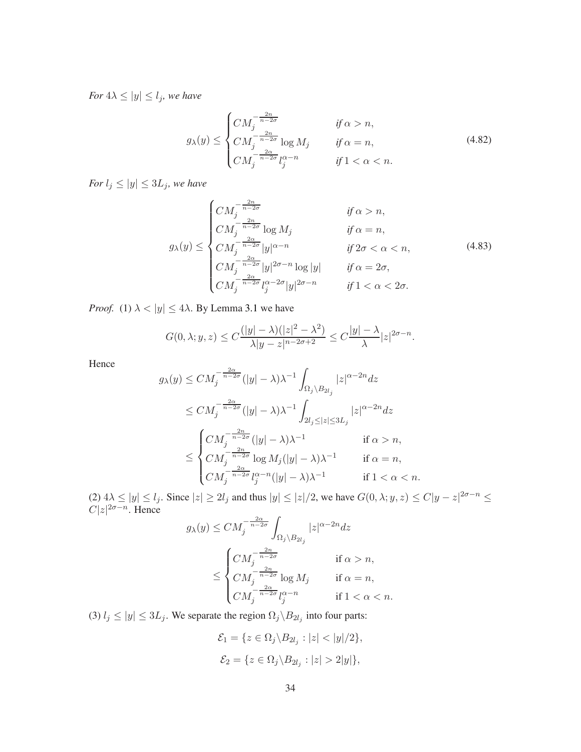*For*  $4\lambda \le |y| \le l_j$ *, we have* 

<span id="page-33-0"></span>
$$
g_{\lambda}(y) \leq \begin{cases} CM_j^{-\frac{2n}{n-2\sigma}} & \text{if } \alpha > n, \\ CM_j^{-\frac{2n}{n-2\sigma}} \log M_j & \text{if } \alpha = n, \\ CM_j^{-\frac{2\alpha}{n-2\sigma}} l_j^{\alpha - n} & \text{if } 1 < \alpha < n. \end{cases} \tag{4.82}
$$

*For*  $l_j \leq |y| \leq 3L_j$ *, we have* 

<span id="page-33-1"></span>
$$
g_{\lambda}(y) \leq \begin{cases} CM_j^{-\frac{2n}{n-2\sigma}} & \text{if } \alpha > n, \\ CM_j^{-\frac{2n}{n-2\sigma}} \log M_j & \text{if } \alpha = n, \\ CM_j^{-\frac{2\alpha}{n-2\sigma}} |y|^{\alpha-n} & \text{if } 2\sigma < \alpha < n, \\ CM_j^{-\frac{2\alpha}{n-2\sigma}} |y|^{2\sigma-n} \log |y| & \text{if } \alpha = 2\sigma, \\ CM_j^{-\frac{2\alpha}{n-2\sigma}} |y|^{2\sigma-n} & \text{if } 1 < \alpha < 2\sigma. \end{cases} \tag{4.83}
$$

*Proof.* (1)  $\lambda < |y| \le 4\lambda$ . By Lemma [3.1](#page-9-1) we have

$$
G(0,\lambda;y,z) \le C \frac{(|y|-\lambda)(|z|^2-\lambda^2)}{\lambda|y-z|^{n-2\sigma+2}} \le C \frac{|y|-\lambda}{\lambda}|z|^{2\sigma-n}.
$$

Hence

$$
g_{\lambda}(y) \leq CM_j^{-\frac{2\alpha}{n-2\sigma}}(|y| - \lambda)\lambda^{-1} \int_{\Omega_j \setminus B_{2l_j}} |z|^{\alpha - 2n} dz
$$
  
\n
$$
\leq CM_j^{-\frac{2\alpha}{n-2\sigma}}(|y| - \lambda)\lambda^{-1} \int_{2l_j \leq |z| \leq 3L_j} |z|^{\alpha - 2n} dz
$$
  
\n
$$
\leq \begin{cases} CM_j^{-\frac{2n}{n-2\sigma}}(|y| - \lambda)\lambda^{-1} & \text{if } \alpha > n, \\ CM_j^{-\frac{2n}{n-2\sigma}} \log M_j(|y| - \lambda)\lambda^{-1} & \text{if } \alpha = n, \\ CM_j^{-\frac{2\alpha}{n-2\sigma}} l_j^{\alpha - n}(|y| - \lambda)\lambda^{-1} & \text{if } 1 < \alpha < n. \end{cases}
$$

(2)  $4\lambda \le |y| \le l_j$ . Since  $|z| \ge 2l_j$  and thus  $|y| \le |z|/2$ , we have  $G(0, \lambda; y, z) \le C|y-z|^{2\sigma - n} \le$  $C|z|^{2\sigma-n}$ . Hence

$$
\begin{aligned} g_{\lambda}(y) & \leq CM_j^{-\frac{2\alpha}{n-2\sigma}} \int_{\Omega_j \backslash B_{2l_j}} |z|^{\alpha-2n} dz \\ & \leq \begin{cases} CM_j^{-\frac{2n}{n-2\sigma}} & \text{if } \alpha > n, \\ CM_j^{-\frac{2n}{n-2\sigma}} \log M_j & \text{if } \alpha = n, \\ CM_j^{-\frac{2\alpha}{n-2\sigma}} l_j^{\alpha-n} & \text{if } 1 < \alpha < n. \end{cases} \end{aligned}
$$

(3)  $l_j \le |y| \le 3L_j$ . We separate the region  $\Omega_j \backslash B_{2l_j}$  into four parts:

$$
\mathcal{E}_1 = \{ z \in \Omega_j \backslash B_{2l_j} : |z| < |y|/2 \},
$$
\n
$$
\mathcal{E}_2 = \{ z \in \Omega_j \backslash B_{2l_j} : |z| > 2|y| \},
$$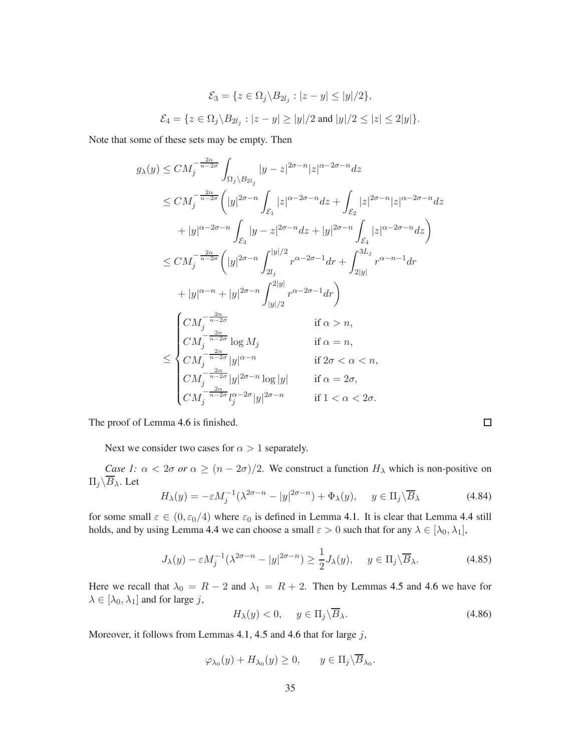$$
\mathcal{E}_3 = \{ z \in \Omega_j \backslash B_{2l_j} : |z - y| \le |y|/2 \},
$$
  

$$
\mathcal{E}_4 = \{ z \in \Omega_j \backslash B_{2l_j} : |z - y| \ge |y|/2 \text{ and } |y|/2 \le |z| \le 2|y| \}.
$$

Note that some of these sets may be empty. Then

$$
g_{\lambda}(y) \leq CM_j^{-\frac{2\alpha}{n-2\sigma}} \int_{\Omega_j \setminus B_{2l_j}} |y-z|^{2\sigma-n} |z|^{\alpha-2\sigma-n} dz
$$
  
\n
$$
\leq CM_j^{-\frac{2\alpha}{n-2\sigma}} \Big( |y|^{2\sigma-n} \int_{\mathcal{E}_1} |z|^{\alpha-2\sigma-n} dz + \int_{\mathcal{E}_2} |z|^{2\sigma-n} |z|^{\alpha-2\sigma-n} dz
$$
  
\n
$$
+ |y|^{\alpha-2\sigma-n} \int_{\mathcal{E}_3} |y-z|^{2\sigma-n} dz + |y|^{2\sigma-n} \int_{\mathcal{E}_4} |z|^{\alpha-2\sigma-n} dz \Big)
$$
  
\n
$$
\leq CM_j^{-\frac{2\alpha}{n-2\sigma}} \Big( |y|^{2\sigma-n} \int_{2l_j}^{|y|/2} r^{\alpha-2\sigma-1} dr + \int_{2|y|}^{3L_j} r^{\alpha-n-1} dr
$$
  
\n
$$
+ |y|^{\alpha-n} + |y|^{2\sigma-n} \int_{|y|/2}^{2|y|} r^{\alpha-2\sigma-1} dr \Big)
$$
  
\n
$$
\Bigg( CM_j^{-\frac{2n}{n-2\sigma}} \log M_j \qquad \text{if } \alpha > n,
$$
  
\n
$$
\leq \begin{cases} CM_j^{-\frac{2n}{n-2\sigma}} \log M_j & \text{if } \alpha = n, \\ CM_j^{-\frac{2\alpha}{n-2\sigma}} |y|^{\alpha-n} & \text{if } 2\sigma < \alpha < n, \\ CM_j^{-\frac{2\alpha}{n-2\sigma}} |y|^{2\sigma-n} \log |y| & \text{if } \alpha = 2\sigma, \\ CM_j^{-\frac{2\alpha}{n-2\sigma}} l_j^{\alpha-2\sigma} |y|^{2\sigma-n} & \text{if } 1 < \alpha < 2\sigma. \end{cases}
$$

The proof of Lemma [4.6](#page-32-1) is finished.

Next we consider two cases for  $\alpha > 1$  separately.

*Case 1:*  $\alpha < 2\sigma$  *or*  $\alpha \ge (n - 2\sigma)/2$ . We construct a function  $H_{\lambda}$  which is non-positive on  $\Pi_j\backslash\overline{B}_\lambda$ . Let

$$
H_{\lambda}(y) = -\varepsilon M_j^{-1} (\lambda^{2\sigma - n} - |y|^{2\sigma - n}) + \Phi_{\lambda}(y), \quad y \in \Pi_j \backslash \overline{B}_{\lambda}
$$
 (4.84)

for some small  $\varepsilon \in (0, \varepsilon_0/4)$  where  $\varepsilon_0$  is defined in Lemma [4.1.](#page-17-2) It is clear that Lemma [4.4](#page-26-0) still holds, and by using Lemma [4.4](#page-26-0) we can choose a small  $\varepsilon > 0$  such that for any  $\lambda \in [\lambda_0, \lambda_1]$ ,

<span id="page-34-0"></span>
$$
J_{\lambda}(y) - \varepsilon M_j^{-1} (\lambda^{2\sigma - n} - |y|^{2\sigma - n}) \ge \frac{1}{2} J_{\lambda}(y), \quad y \in \Pi_j \backslash \overline{B}_{\lambda}.
$$
 (4.85)

Here we recall that  $\lambda_0 = R - 2$  and  $\lambda_1 = R + 2$ . Then by Lemmas [4.5](#page-32-0) and [4.6](#page-32-1) we have for  $\lambda \in [\lambda_0, \lambda_1]$  and for large j,

<span id="page-34-1"></span>
$$
H_{\lambda}(y) < 0, \quad y \in \Pi_j \backslash \overline{B}_{\lambda}.\tag{4.86}
$$

 $\Box$ 

Moreover, it follows from Lemmas [4.1,](#page-17-2) [4.5](#page-32-0) and [4.6](#page-32-1) that for large  $j$ ,

$$
\varphi_{\lambda_0}(y) + H_{\lambda_0}(y) \ge 0, \quad y \in \Pi_j \backslash \overline{B}_{\lambda_0}.
$$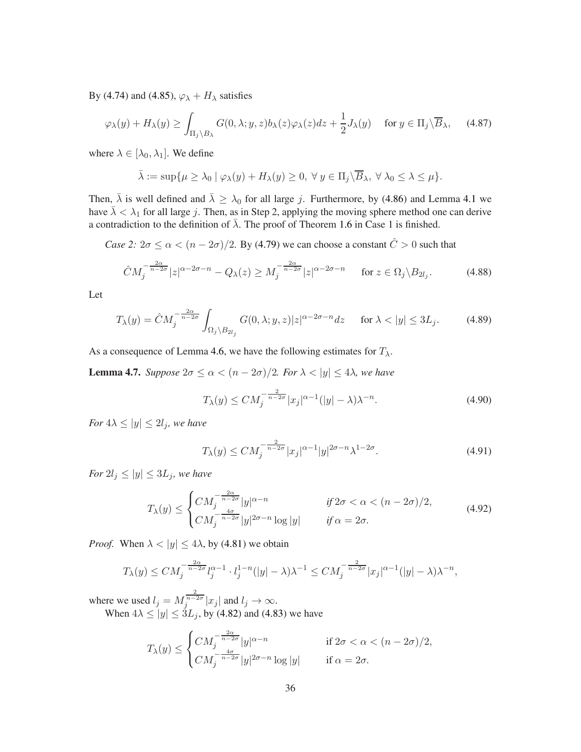By [\(4.74\)](#page-30-3) and [\(4.85\)](#page-34-0),  $\varphi_{\lambda} + H_{\lambda}$  satisfies

$$
\varphi_{\lambda}(y) + H_{\lambda}(y) \ge \int_{\Pi_j \backslash B_{\lambda}} G(0, \lambda; y, z) b_{\lambda}(z) \varphi_{\lambda}(z) dz + \frac{1}{2} J_{\lambda}(y) \quad \text{for } y \in \Pi_j \backslash \overline{B}_{\lambda}, \tag{4.87}
$$

where  $\lambda \in [\lambda_0, \lambda_1]$ . We define

$$
\bar{\lambda} := \sup \{ \mu \geq \lambda_0 \mid \varphi_\lambda(y) + H_\lambda(y) \geq 0, \ \forall \ y \in \Pi_j \backslash \overline{B}_\lambda, \ \forall \ \lambda_0 \leq \lambda \leq \mu \}.
$$

Then,  $\bar{\lambda}$  is well defined and  $\bar{\lambda} \geq \lambda_0$  for all large j. Furthermore, by [\(4.86\)](#page-34-1) and Lemma [4.1](#page-17-2) we have  $\bar{\lambda} < \lambda_1$  for all large j. Then, as in Step 2, applying the moving sphere method one can derive a contradiction to the definition of  $\overline{\lambda}$ . The proof of Theorem [1.6](#page-4-1) in Case 1 is finished.

*Case 2:*  $2\sigma \le \alpha < (n - 2\sigma)/2$ . By [\(4.79\)](#page-32-2) we can choose a constant  $\hat{C} > 0$  such that

<span id="page-35-2"></span>
$$
\hat{C}M_j^{-\frac{2\alpha}{n-2\sigma}}|z|^{\alpha-2\sigma-n} - Q_\lambda(z) \ge M_j^{-\frac{2\alpha}{n-2\sigma}}|z|^{\alpha-2\sigma-n} \quad \text{for } z \in \Omega_j \setminus B_{2l_j}.\tag{4.88}
$$

Let

<span id="page-35-0"></span>
$$
T_{\lambda}(y) = \hat{C}M_j^{-\frac{2\alpha}{n-2\sigma}} \int_{\Omega_j \setminus B_{2l_j}} G(0, \lambda; y, z) |z|^{\alpha - 2\sigma - n} dz \quad \text{for } \lambda < |y| \le 3L_j.
$$
 (4.89)

<span id="page-35-1"></span>As a consequence of Lemma [4.6,](#page-32-1) we have the following estimates for  $T_{\lambda}$ .

**Lemma 4.7.** *Suppose*  $2\sigma \le \alpha < (n - 2\sigma)/2$ *. For*  $\lambda < |y| \le 4\lambda$ *, we have* 

$$
T_{\lambda}(y) \le CM_j^{-\frac{2}{n-2\sigma}} |x_j|^{\alpha-1} (|y| - \lambda) \lambda^{-n}.
$$
\n(4.90)

*For*  $4\lambda \le |y| \le 2l_j$ *, we have* 

$$
T_{\lambda}(y) \le CM_j^{-\frac{2}{n-2\sigma}} |x_j|^{\alpha-1} |y|^{2\sigma-n} \lambda^{1-2\sigma}.
$$
\n
$$
(4.91)
$$

*For*  $2l_j \leq |y| \leq 3L_j$ *, we have* 

$$
T_{\lambda}(y) \le \begin{cases} CM_j^{-\frac{2\alpha}{n-2\sigma}} |y|^{\alpha-n} & \text{if } 2\sigma < \alpha < (n-2\sigma)/2, \\ CM_j^{-\frac{4\sigma}{n-2\sigma}} |y|^{2\sigma-n} \log |y| & \text{if } \alpha = 2\sigma. \end{cases}
$$
(4.92)

*Proof.* When  $\lambda < |y| \le 4\lambda$ , by [\(4.81\)](#page-32-3) we obtain

$$
T_{\lambda}(y) \leq CM_j^{-\frac{2\alpha}{n-2\sigma}} l_j^{\alpha-1} \cdot l_j^{1-n} (|y| - \lambda) \lambda^{-1} \leq CM_j^{-\frac{2}{n-2\sigma}} |x_j|^{\alpha-1} (|y| - \lambda) \lambda^{-n},
$$

where we used  $l_j = M_j^{\frac{2}{n-2\sigma}} |x_j|$  and  $l_j \to \infty$ . When  $4\lambda \le |y| \le 3L_j$ , by [\(4.82\)](#page-33-0) and [\(4.83\)](#page-33-1) we have

$$
T_{\lambda}(y) \le \begin{cases} CM_j^{-\frac{2\alpha}{n-2\sigma}} |y|^{\alpha-n} & \text{if } 2\sigma < \alpha < (n-2\sigma)/2, \\ CM_j^{-\frac{4\sigma}{n-2\sigma}} |y|^{2\sigma-n} \log |y| & \text{if } \alpha = 2\sigma. \end{cases}
$$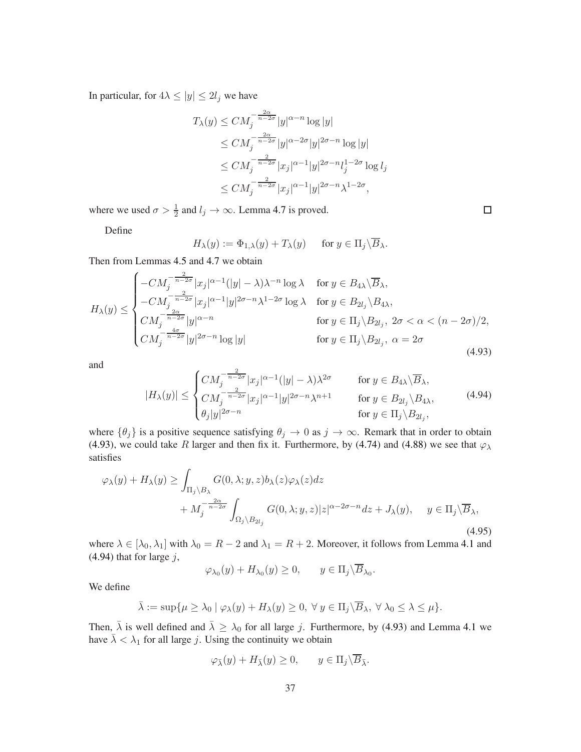In particular, for  $4\lambda \le |y| \le 2l_j$  we have

$$
T_{\lambda}(y) \leq CM_j^{-\frac{2\alpha}{n-2\sigma}} |y|^{\alpha-n} \log |y|
$$
  
\n
$$
\leq CM_j^{-\frac{2\alpha}{n-2\sigma}} |y|^{\alpha-2\sigma} |y|^{2\sigma-n} \log |y|
$$
  
\n
$$
\leq CM_j^{-\frac{2}{n-2\sigma}} |x_j|^{\alpha-1} |y|^{2\sigma-n} l_j^{1-2\sigma} \log l_j
$$
  
\n
$$
\leq CM_j^{-\frac{2}{n-2\sigma}} |x_j|^{\alpha-1} |y|^{2\sigma-n} \lambda^{1-2\sigma},
$$

where we used  $\sigma > \frac{1}{2}$  and  $l_j \to \infty$ . Lemma [4.7](#page-35-1) is proved.

Define

$$
H_{\lambda}(y) := \Phi_{1,\lambda}(y) + T_{\lambda}(y) \quad \text{for } y \in \Pi_j \backslash \overline{B}_{\lambda}.
$$

Then from Lemmas [4.5](#page-32-0) and [4.7](#page-35-1) we obtain

<span id="page-36-1"></span>
$$
H_{\lambda}(y) \leq \begin{cases}\n-CM_j^{-\frac{2}{n-2\sigma}} |x_j|^{\alpha-1} (|y| - \lambda) \lambda^{-n} \log \lambda & \text{for } y \in B_{4\lambda} \setminus \overline{B}_{\lambda}, \\
-CM_j^{-\frac{2}{n-2\sigma}} |x_j|^{\alpha-1} |y|^{2\sigma-n} \lambda^{1-2\sigma} \log \lambda & \text{for } y \in B_{2l_j} \setminus B_{4\lambda}, \\
CM_j^{-\frac{2\alpha}{n-2\sigma}} |y|^{\alpha-n} & \text{for } y \in \Pi_j \setminus B_{2l_j}, \ 2\sigma < \alpha < (n-2\sigma)/2, \\
CM_j^{-\frac{4\sigma}{n-2\sigma}} |y|^{2\sigma-n} \log |y| & \text{for } y \in \Pi_j \setminus B_{2l_j}, \ \alpha = 2\sigma\n\end{cases} \tag{4.93}
$$

and

<span id="page-36-2"></span>
$$
|H_{\lambda}(y)| \leq \begin{cases} CM_j^{-\frac{2}{n-2\sigma}} |x_j|^{\alpha-1} (|y| - \lambda) \lambda^{2\sigma} & \text{for } y \in B_{4\lambda} \backslash \overline{B}_{\lambda}, \\ CM_j^{-\frac{2}{n-2\sigma}} |x_j|^{\alpha-1} |y|^{2\sigma-n} \lambda^{n+1} & \text{for } y \in B_{2l_j} \backslash B_{4\lambda}, \\ \theta_j |y|^{2\sigma-n} & \text{for } y \in \Pi_j \backslash B_{2l_j}, \end{cases}
$$
(4.94)

where  $\{\theta_j\}$  is a positive sequence satisfying  $\theta_j \to 0$  as  $j \to \infty$ . Remark that in order to obtain [\(4.93\)](#page-36-1), we could take R larger and then fix it. Furthermore, by [\(4.74\)](#page-30-3) and [\(4.88\)](#page-35-2) we see that  $\varphi_{\lambda}$ satisfies

<span id="page-36-0"></span>
$$
\varphi_{\lambda}(y) + H_{\lambda}(y) \ge \int_{\Pi_{j} \setminus B_{\lambda}} G(0, \lambda; y, z) b_{\lambda}(z) \varphi_{\lambda}(z) dz + M_{j}^{-\frac{2\alpha}{n-2\sigma}} \int_{\Omega_{j} \setminus B_{2l_{j}}} G(0, \lambda; y, z) |z|^{\alpha - 2\sigma - n} dz + J_{\lambda}(y), \quad y \in \Pi_{j} \setminus \overline{B}_{\lambda},
$$
\n(4.95)

where  $\lambda \in [\lambda_0, \lambda_1]$  with  $\lambda_0 = R - 2$  and  $\lambda_1 = R + 2$ . Moreover, it follows from Lemma [4.1](#page-17-2) and  $(4.94)$  that for large j,

$$
\varphi_{\lambda_0}(y) + H_{\lambda_0}(y) \ge 0, \qquad y \in \Pi_j \backslash \overline{B}_{\lambda_0}.
$$

We define

$$
\bar{\lambda} := \sup \{ \mu \ge \lambda_0 \mid \varphi_\lambda(y) + H_\lambda(y) \ge 0, \ \forall \ y \in \Pi_j \backslash \overline{B}_\lambda, \ \forall \ \lambda_0 \le \lambda \le \mu \}.
$$

Then,  $\bar{\lambda}$  is well defined and  $\bar{\lambda} \geq \lambda_0$  for all large j. Furthermore, by [\(4.93\)](#page-36-1) and Lemma [4.1](#page-17-2) we have  $\bar{\lambda} < \lambda_1$  for all large j. Using the continuity we obtain

$$
\varphi_{\bar{\lambda}}(y) + H_{\bar{\lambda}}(y) \ge 0, \qquad y \in \Pi_j \backslash \overline{B}_{\bar{\lambda}}.
$$

 $\Box$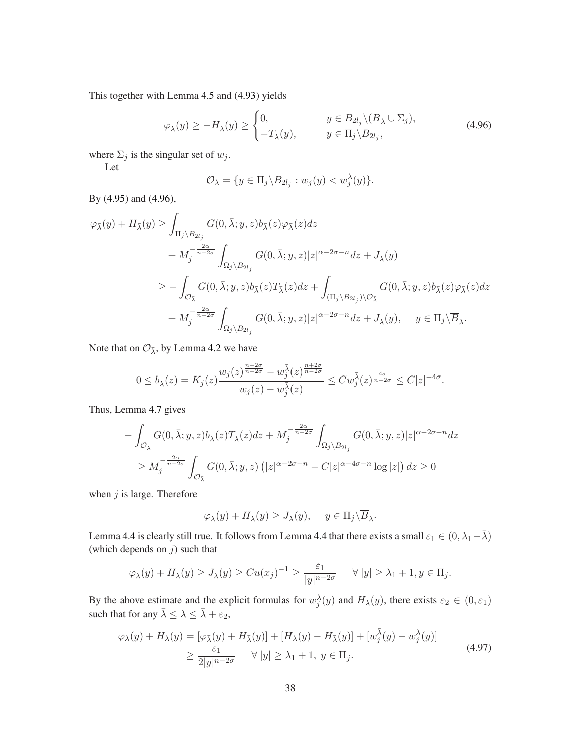This together with Lemma [4.5](#page-32-0) and [\(4.93\)](#page-36-1) yields

<span id="page-37-0"></span>
$$
\varphi_{\bar{\lambda}}(y) \ge -H_{\bar{\lambda}}(y) \ge \begin{cases} 0, & y \in B_{2l_j} \setminus (\overline{B}_{\bar{\lambda}} \cup \Sigma_j), \\ -T_{\bar{\lambda}}(y), & y \in \Pi_j \setminus B_{2l_j}, \end{cases}
$$
(4.96)

where  $\Sigma_j$  is the singular set of  $w_j$ .

Let

$$
\mathcal{O}_{\lambda} = \{ y \in \Pi_j \backslash B_{2l_j} : w_j(y) < w_j^{\lambda}(y) \}.
$$

By [\(4.95\)](#page-36-0) and [\(4.96\)](#page-37-0),

$$
\varphi_{\bar{\lambda}}(y) + H_{\bar{\lambda}}(y) \ge \int_{\Pi_j \backslash B_{2l_j}} G(0, \bar{\lambda}; y, z) b_{\bar{\lambda}}(z) \varphi_{\bar{\lambda}}(z) dz \n+ M_j^{-\frac{2\alpha}{n-2\sigma}} \int_{\Omega_j \backslash B_{2l_j}} G(0, \bar{\lambda}; y, z) |z|^{\alpha - 2\sigma - n} dz + J_{\bar{\lambda}}(y) \n\ge - \int_{\mathcal{O}_{\bar{\lambda}}} G(0, \bar{\lambda}; y, z) b_{\bar{\lambda}}(z) T_{\bar{\lambda}}(z) dz + \int_{(\Pi_j \backslash B_{2l_j}) \backslash \mathcal{O}_{\bar{\lambda}}} G(0, \bar{\lambda}; y, z) b_{\bar{\lambda}}(z) \varphi_{\bar{\lambda}}(z) dz \n+ M_j^{-\frac{2\alpha}{n-2\sigma}} \int_{\Omega_j \backslash B_{2l_j}} G(0, \bar{\lambda}; y, z) |z|^{\alpha - 2\sigma - n} dz + J_{\bar{\lambda}}(y), \quad y \in \Pi_j \backslash \overline{B}_{\bar{\lambda}}.
$$

Note that on  $\mathcal{O}_{\bar{\lambda}}$ , by Lemma [4.2](#page-20-4) we have

$$
0 \leq b_{\bar{\lambda}}(z) = K_j(z) \frac{w_j(z)^{\frac{n+2\sigma}{n-2\sigma}} - w_j^{\bar{\lambda}}(z)^{\frac{n+2\sigma}{n-2\sigma}}}{w_j(z) - w_j^{\bar{\lambda}}(z)} \leq C w_j^{\bar{\lambda}}(z)^{\frac{4\sigma}{n-2\sigma}} \leq C |z|^{-4\sigma}.
$$

Thus, Lemma [4.7](#page-35-1) gives

$$
- \int_{\mathcal{O}_{\bar{\lambda}}} G(0, \bar{\lambda}; y, z) b_{\bar{\lambda}}(z) T_{\bar{\lambda}}(z) dz + M_j^{-\frac{2\alpha}{n-2\sigma}} \int_{\Omega_j \setminus B_{2l_j}} G(0, \bar{\lambda}; y, z) |z|^{\alpha - 2\sigma - n} dz
$$
  
\n
$$
\geq M_j^{-\frac{2\alpha}{n-2\sigma}} \int_{\mathcal{O}_{\bar{\lambda}}} G(0, \bar{\lambda}; y, z) (|z|^{\alpha - 2\sigma - n} - C|z|^{\alpha - 4\sigma - n} \log|z|) dz \geq 0
$$

when  $j$  is large. Therefore

$$
\varphi_{\bar{\lambda}}(y) + H_{\bar{\lambda}}(y) \ge J_{\bar{\lambda}}(y), \quad y \in \Pi_j \backslash \overline{B}_{\bar{\lambda}}.
$$

Lemma [4.4](#page-26-0) is clearly still true. It follows from Lemma 4.4 that there exists a small  $\varepsilon_1 \in (0, \lambda_1 - \bar{\lambda})$ (which depends on  $j$ ) such that

$$
\varphi_{\bar{\lambda}}(y) + H_{\bar{\lambda}}(y) \geq J_{\bar{\lambda}}(y) \geq C u(x_j)^{-1} \geq \frac{\varepsilon_1}{|y|^{n-2\sigma}} \quad \forall |y| \geq \lambda_1 + 1, y \in \Pi_j.
$$

By the above estimate and the explicit formulas for  $w_j^{\lambda}(y)$  and  $H_{\lambda}(y)$ , there exists  $\varepsilon_2 \in (0, \varepsilon_1)$ such that for any  $\bar{\lambda} \leq \lambda \leq \bar{\lambda} + \varepsilon_2$ ,

<span id="page-37-1"></span>
$$
\varphi_{\lambda}(y) + H_{\lambda}(y) = [\varphi_{\overline{\lambda}}(y) + H_{\overline{\lambda}}(y)] + [H_{\lambda}(y) - H_{\overline{\lambda}}(y)] + [\omega_{j}^{\overline{\lambda}}(y) - \omega_{j}^{\lambda}(y)]
$$
  
\n
$$
\geq \frac{\varepsilon_{1}}{2|y|^{n-2\sigma}} \quad \forall |y| \geq \lambda_{1} + 1, \ y \in \Pi_{j}.
$$
\n(4.97)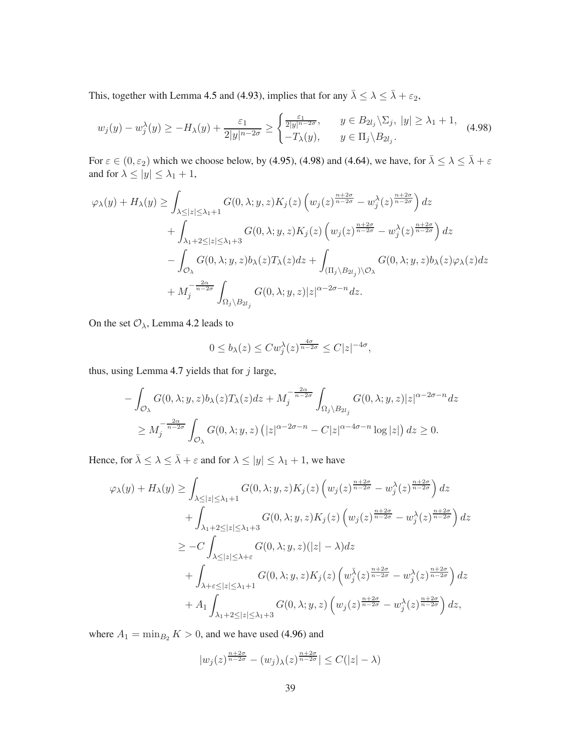This, together with Lemma [4.5](#page-32-0) and [\(4.93\)](#page-36-1), implies that for any  $\bar{\lambda} \leq \lambda \leq \bar{\lambda} + \varepsilon_2$ ,

<span id="page-38-0"></span>
$$
w_j(y) - w_j^{\lambda}(y) \ge -H_{\lambda}(y) + \frac{\varepsilon_1}{2|y|^{n-2\sigma}} \ge \begin{cases} \frac{\varepsilon_1}{2|y|^{n-2\sigma}}, & y \in B_{2l_j} \setminus \Sigma_j, \ |y| \ge \lambda_1 + 1, \\ -T_{\lambda}(y), & y \in \Pi_j \setminus B_{2l_j}. \end{cases}
$$
(4.98)

For  $\varepsilon \in (0, \varepsilon_2)$  which we choose below, by [\(4.95\)](#page-36-0), [\(4.98\)](#page-38-0) and [\(4.64\)](#page-27-1), we have, for  $\overline{\lambda} \leq \lambda \leq \overline{\lambda} + \varepsilon$ and for  $\lambda \le |y| \le \lambda_1 + 1$ ,

$$
\varphi_{\lambda}(y) + H_{\lambda}(y) \ge \int_{\lambda \le |z| \le \lambda_1 + 1} G(0, \lambda; y, z) K_j(z) \left( w_j(z)^{\frac{n+2\sigma}{n-2\sigma}} - w_j^{\lambda}(z)^{\frac{n+2\sigma}{n-2\sigma}} \right) dz + \int_{\lambda_1 + 2 \le |z| \le \lambda_1 + 3} G(0, \lambda; y, z) K_j(z) \left( w_j(z)^{\frac{n+2\sigma}{n-2\sigma}} - w_j^{\lambda}(z)^{\frac{n+2\sigma}{n-2\sigma}} \right) dz - \int_{\mathcal{O}_{\lambda}} G(0, \lambda; y, z) b_{\lambda}(z) T_{\lambda}(z) dz + \int_{(\Pi_j \setminus B_{2l_j}) \setminus \mathcal{O}_{\lambda}} G(0, \lambda; y, z) b_{\lambda}(z) \varphi_{\lambda}(z) dz + M_j^{-\frac{2\alpha}{n-2\sigma}} \int_{\Omega_j \setminus B_{2l_j}} G(0, \lambda; y, z) |z|^{\alpha - 2\sigma - n} dz.
$$

On the set  $\mathcal{O}_{\lambda}$ , Lemma [4.2](#page-20-4) leads to

$$
0 \le b_{\lambda}(z) \le C w_j^{\lambda}(z)^{\frac{4\sigma}{n-2\sigma}} \le C |z|^{-4\sigma},
$$

thus, using Lemma [4.7](#page-35-1) yields that for  $j$  large,

$$
- \int_{\mathcal{O}_{\lambda}} G(0, \lambda; y, z) b_{\lambda}(z) T_{\lambda}(z) dz + M_j^{-\frac{2\alpha}{n-2\sigma}} \int_{\Omega_j \setminus B_{2l_j}} G(0, \lambda; y, z) |z|^{\alpha - 2\sigma - n} dz
$$
  
\n
$$
\geq M_j^{-\frac{2\alpha}{n-2\sigma}} \int_{\mathcal{O}_{\lambda}} G(0, \lambda; y, z) (|z|^{\alpha - 2\sigma - n} - C|z|^{\alpha - 4\sigma - n} \log |z|) dz \geq 0.
$$

Hence, for  $\bar{\lambda} \leq \lambda \leq \bar{\lambda} + \varepsilon$  and for  $\lambda \leq |y| \leq \lambda_1 + 1$ , we have

$$
\varphi_{\lambda}(y) + H_{\lambda}(y) \geq \int_{\lambda \leq |z| \leq \lambda_1 + 1} G(0, \lambda; y, z) K_j(z) \left( w_j(z)^{\frac{n+2\sigma}{n-2\sigma}} - w_j^{\lambda}(z)^{\frac{n+2\sigma}{n-2\sigma}} \right) dz + \int_{\lambda_1 + 2 \leq |z| \leq \lambda_1 + 3} G(0, \lambda; y, z) K_j(z) \left( w_j(z)^{\frac{n+2\sigma}{n-2\sigma}} - w_j^{\lambda}(z)^{\frac{n+2\sigma}{n-2\sigma}} \right) dz \geq -C \int_{\lambda \leq |z| \leq \lambda_1 + \varepsilon} G(0, \lambda; y, z) (|z| - \lambda) dz + \int_{\lambda + \varepsilon \leq |z| \leq \lambda_1 + 1} G(0, \lambda; y, z) K_j(z) \left( w_j^{\overline{\lambda}}(z)^{\frac{n+2\sigma}{n-2\sigma}} - w_j^{\lambda}(z)^{\frac{n+2\sigma}{n-2\sigma}} \right) dz + A_1 \int_{\lambda_1 + 2 \leq |z| \leq \lambda_1 + 3} G(0, \lambda; y, z) \left( w_j(z)^{\frac{n+2\sigma}{n-2\sigma}} - w_j^{\lambda}(z)^{\frac{n+2\sigma}{n-2\sigma}} \right) dz,
$$

where  $A_1 = \min_{B_2} K > 0$ , and we have used [\(4.96\)](#page-37-0) and

$$
|w_j(z)^{\frac{n+2\sigma}{n-2\sigma}} - (w_j)_\lambda(z)^{\frac{n+2\sigma}{n-2\sigma}}| \le C(|z| - \lambda)
$$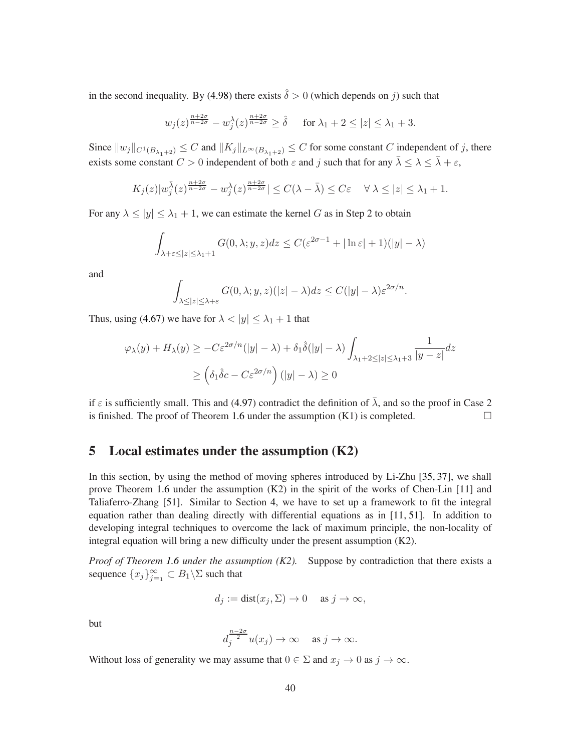in the second inequality. By [\(4.98\)](#page-38-0) there exists  $\hat{\delta} > 0$  (which depends on j) such that

$$
w_j(z)^{\frac{n+2\sigma}{n-2\sigma}} - w_j^{\lambda}(z)^{\frac{n+2\sigma}{n-2\sigma}} \ge \hat{\delta}
$$
 for  $\lambda_1 + 2 \le |z| \le \lambda_1 + 3$ .

Since  $||w_j||_{C^1(B_{\lambda_1+2})} \leq C$  and  $||K_j||_{L^\infty(B_{\lambda_1+2})} \leq C$  for some constant C independent of j, there exists some constant  $C > 0$  independent of both  $\varepsilon$  and j such that for any  $\overline{\lambda} \leq \lambda \leq \overline{\lambda} + \varepsilon$ ,

$$
K_j(z)|w_j^{\bar{\lambda}}(z)^{\frac{n+2\sigma}{n-2\sigma}} - w_j^{\lambda}(z)^{\frac{n+2\sigma}{n-2\sigma}}| \leq C(\lambda - \bar{\lambda}) \leq C\varepsilon \quad \forall \lambda \leq |z| \leq \lambda_1 + 1.
$$

For any  $\lambda \le |y| \le \lambda_1 + 1$ , we can estimate the kernel G as in Step 2 to obtain

$$
\int_{\lambda+\varepsilon \leq |z| \leq \lambda_1+1} G(0,\lambda;y,z)dz \leq C(\varepsilon^{2\sigma-1} + |\ln \varepsilon| + 1)(|y| - \lambda)
$$

and

$$
\int_{\lambda \leq |z| \leq \lambda + \varepsilon} G(0, \lambda; y, z)(|z| - \lambda) dz \leq C(|y| - \lambda) \varepsilon^{2\sigma/n}.
$$

Thus, using [\(4.67\)](#page-27-0) we have for  $\lambda < |y| \leq \lambda_1 + 1$  that

$$
\varphi_{\lambda}(y) + H_{\lambda}(y) \ge -C\varepsilon^{2\sigma/n}(|y| - \lambda) + \delta_1 \hat{\delta}(|y| - \lambda) \int_{\lambda_1 + 2 \le |z| \le \lambda_1 + 3} \frac{1}{|y - z|} dz
$$

$$
\ge \left(\delta_1 \hat{\delta}c - C\varepsilon^{2\sigma/n}\right)(|y| - \lambda) \ge 0
$$

if  $\varepsilon$  is sufficiently small. This and [\(4.97\)](#page-37-1) contradict the definition of  $\overline{\lambda}$ , and so the proof in Case 2 is finished. The proof of Theorem [1.6](#page-4-1) under the assumption  $(K1)$  is completed.

### <span id="page-39-0"></span>5 Local estimates under the assumption (K2)

In this section, by using the method of moving spheres introduced by Li-Zhu [\[35,](#page-55-15) [37\]](#page-55-16), we shall prove Theorem [1.6](#page-4-1) under the assumption (K2) in the spirit of the works of Chen-Lin [\[11\]](#page-54-3) and Taliaferro-Zhang [\[51\]](#page-56-6). Similar to Section [4,](#page-12-0) we have to set up a framework to fit the integral equation rather than dealing directly with differential equations as in [\[11,](#page-54-3) [51\]](#page-56-6). In addition to developing integral techniques to overcome the lack of maximum principle, the non-locality of integral equation will bring a new difficulty under the present assumption (K2).

*Proof of Theorem [1.6](#page-4-1) under the assumption (K2).* Suppose by contradiction that there exists a sequence  $\{x_j\}_{j=1}^{\infty} \subset B_1 \backslash \Sigma$  such that

$$
d_j := dist(x_j, \Sigma) \to 0 \quad \text{ as } j \to \infty,
$$

but

$$
d_j^{\frac{n-2\sigma}{2}}u(x_j) \to \infty \quad \text{as } j \to \infty.
$$

Without loss of generality we may assume that  $0 \in \Sigma$  and  $x_j \to 0$  as  $j \to \infty$ .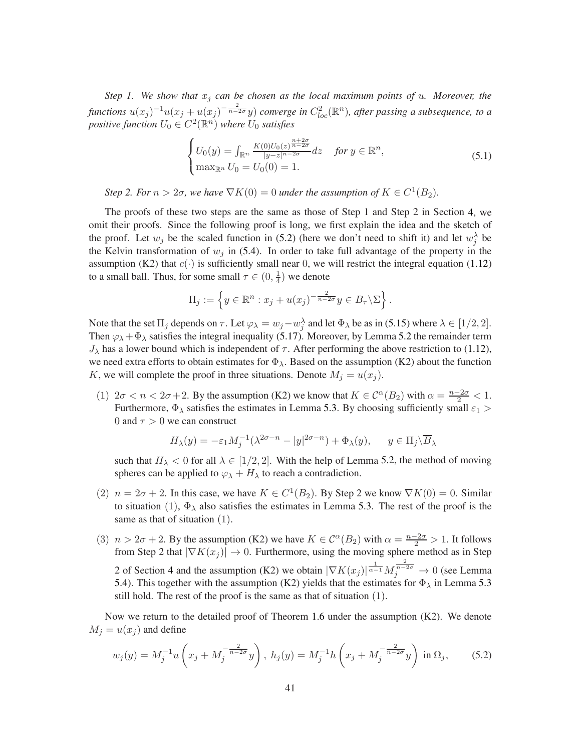*Step 1. We show that*  $x_j$  *can be chosen as the local maximum points of u. Moreover, the*  $f$ unctions  $u(x_j)^{-1}u(x_j+u(x_j)^{-\frac{2}{n-2\sigma}}y)$  converge in  $C^2_{loc}(\mathbb{R}^n)$ , after passing a subsequence, to a  $\textit{positive function } U_0 \in C^2(\mathbb{R}^n)$  where  $U_0$  satisfies

$$
\begin{cases}\nU_0(y) = \int_{\mathbb{R}^n} \frac{K(0)U_0(z)^{\frac{n+2\sigma}{n-2\sigma}}}{|y-z|^{n-2\sigma}} dz & \text{for } y \in \mathbb{R}^n, \\
\max_{\mathbb{R}^n} U_0 = U_0(0) = 1.\n\end{cases} \tag{5.1}
$$

*Step 2. For*  $n > 2\sigma$ , we have  $\nabla K(0) = 0$  under the assumption of  $K \in C^1(B_2)$ .

The proofs of these two steps are the same as those of Step 1 and Step 2 in Section [4,](#page-12-0) we omit their proofs. Since the following proof is long, we first explain the idea and the sketch of the proof. Let  $w_j$  be the scaled function in [\(5.2\)](#page-40-0) (here we don't need to shift it) and let  $w_j^{\lambda}$  be the Kelvin transformation of  $w_j$  in [\(5.4\)](#page-41-0). In order to take full advantage of the property in the assumption (K2) that  $c(\cdot)$  is sufficiently small near 0, we will restrict the integral equation [\(1.12\)](#page-4-0) to a small ball. Thus, for some small  $\tau \in (0, \frac{1}{4})$  $\frac{1}{4}$ ) we denote

$$
\Pi_j := \left\{ y \in \mathbb{R}^n : x_j + u(x_j)^{-\frac{2}{n-2\sigma}} y \in B_\tau \backslash \Sigma \right\}.
$$

Note that the set  $\Pi_j$  depends on  $\tau$ . Let  $\varphi_{\lambda} = w_j - w_j^{\lambda}$  and let  $\Phi_{\lambda}$  be as in [\(5.15\)](#page-42-0) where  $\lambda \in [1/2, 2]$ . Then  $\varphi_{\lambda} + \Phi_{\lambda}$  satisfies the integral inequality [\(5.17\)](#page-42-1). Moreover, by Lemma [5.2](#page-42-2) the remainder term  $J_{\lambda}$  has a lower bound which is independent of  $\tau$ . After performing the above restriction to [\(1.12\)](#page-4-0), we need extra efforts to obtain estimates for  $\Phi_{\lambda}$ . Based on the assumption (K2) about the function K, we will complete the proof in three situations. Denote  $M_j = u(x_j)$ .

(1)  $2\sigma < n < 2\sigma+2$ . By the assumption (K2) we know that  $K \in C^{\alpha}(B_2)$  with  $\alpha = \frac{n-2\sigma}{2} < 1$ . Furthermore,  $\Phi_{\lambda}$  satisfies the estimates in Lemma [5.3.](#page-44-0) By choosing sufficiently small  $\varepsilon_1$ 0 and  $\tau > 0$  we can construct

$$
H_{\lambda}(y) = -\varepsilon_1 M_j^{-1} (\lambda^{2\sigma - n} - |y|^{2\sigma - n}) + \Phi_{\lambda}(y), \quad y \in \Pi_j \backslash \overline{B}_{\lambda}
$$

such that  $H_{\lambda} < 0$  for all  $\lambda \in [1/2, 2]$ . With the help of Lemma [5.2,](#page-42-2) the method of moving spheres can be applied to  $\varphi_{\lambda} + H_{\lambda}$  to reach a contradiction.

- (2)  $n = 2\sigma + 2$ . In this case, we have  $K \in C^1(B_2)$ . By Step 2 we know  $\nabla K(0) = 0$ . Similar to situation (1),  $\Phi_{\lambda}$  also satisfies the estimates in Lemma [5.3.](#page-44-0) The rest of the proof is the same as that of situation (1).
- (3)  $n > 2\sigma + 2$ . By the assumption (K2) we have  $K \in C^{\alpha}(B_2)$  with  $\alpha = \frac{n-2\sigma}{2} > 1$ . It follows from Step 2 that  $|\nabla K(x_j)| \to 0$ . Furthermore, using the moving sphere method as in Step 2 of Section [4](#page-12-0) and the assumption (K2) we obtain  $|\nabla K(x_j)|^{\frac{1}{\alpha-1}} M_j^{\frac{2}{n-2\sigma}} \to 0$  (see Lemma [5.4\)](#page-47-0). This together with the assumption (K2) yields that the estimates for  $\Phi_{\lambda}$  in Lemma [5.3](#page-44-0) still hold. The rest of the proof is the same as that of situation (1).

Now we return to the detailed proof of Theorem [1.6](#page-4-1) under the assumption (K2). We denote  $M_i = u(x_i)$  and define

<span id="page-40-0"></span>
$$
w_j(y) = M_j^{-1} u\left(x_j + M_j^{-\frac{2}{n-2\sigma}} y\right), \ h_j(y) = M_j^{-1} h\left(x_j + M_j^{-\frac{2}{n-2\sigma}} y\right) \text{ in } \Omega_j,\tag{5.2}
$$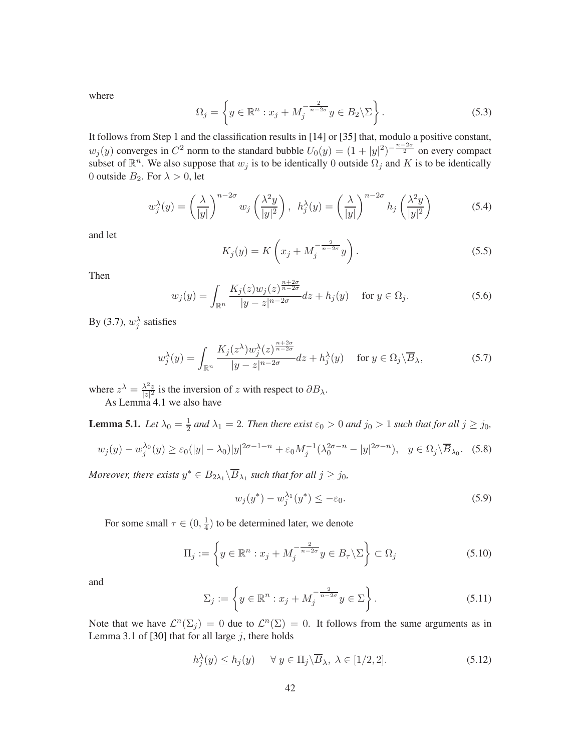where

$$
\Omega_j = \left\{ y \in \mathbb{R}^n : x_j + M_j^{-\frac{2}{n-2\sigma}} y \in B_2 \backslash \Sigma \right\}.
$$
\n(5.3)

It follows from Step 1 and the classification results in [\[14\]](#page-54-16) or [\[35\]](#page-55-15) that, modulo a positive constant,  $w_j(y)$  converges in  $C^2$  norm to the standard bubble  $U_0(y) = (1+|y|^2)^{-\frac{n-2\sigma}{2}}$  on every compact subset of  $\mathbb{R}^n$ . We also suppose that  $w_j$  is to be identically 0 outside  $\Omega_j$  and K is to be identically 0 outside  $B_2$ . For  $\lambda > 0$ , let

<span id="page-41-0"></span>
$$
w_j^{\lambda}(y) = \left(\frac{\lambda}{|y|}\right)^{n-2\sigma} w_j \left(\frac{\lambda^2 y}{|y|^2}\right), \quad h_j^{\lambda}(y) = \left(\frac{\lambda}{|y|}\right)^{n-2\sigma} h_j \left(\frac{\lambda^2 y}{|y|^2}\right) \tag{5.4}
$$

and let

$$
K_j(y) = K\left(x_j + M_j^{-\frac{2}{n-2\sigma}}y\right).
$$
\n(5.5)

Then

$$
w_j(y) = \int_{\mathbb{R}^n} \frac{K_j(z)w_j(z)^{\frac{n+2\sigma}{n-2\sigma}}}{|y - z|^{n-2\sigma}} dz + h_j(y) \quad \text{for } y \in \Omega_j.
$$
 (5.6)

By [\(3.7\)](#page-9-3),  $w_j^{\lambda}$  satisfies

$$
w_j^{\lambda}(y) = \int_{\mathbb{R}^n} \frac{K_j(z^{\lambda}) w_j^{\lambda}(z)^{\frac{n+2\sigma}{n-2\sigma}}}{|y - z|^{n-2\sigma}} dz + h_j^{\lambda}(y) \quad \text{for } y \in \Omega_j \backslash \overline{B}_{\lambda},\tag{5.7}
$$

<span id="page-41-3"></span>where  $z^{\lambda} = \frac{\lambda^2 z}{|z|^2}$  $\frac{\lambda^2 z}{|z|^2}$  is the inversion of z with respect to  $\partial B_{\lambda}$ . As Lemma [4.1](#page-17-2) we also have

**Lemma 5.1.** *Let*  $\lambda_0 = \frac{1}{2}$  $\frac{1}{2}$  and  $\lambda_1 = 2$ . Then there exist  $\varepsilon_0 > 0$  and  $j_0 > 1$  such that for all  $j \ge j_0$ ,

$$
w_j(y) - w_j^{\lambda_0}(y) \ge \varepsilon_0(|y| - \lambda_0)|y|^{2\sigma - 1 - n} + \varepsilon_0 M_j^{-1}(\lambda_0^{2\sigma - n} - |y|^{2\sigma - n}), \quad y \in \Omega_j \setminus \overline{B}_{\lambda_0}.\tag{5.8}
$$

*Moreover, there exists*  $y^* \in B_{2\lambda_1} \backslash \overline{B}_{\lambda_1}$  such that for all  $j \geq j_0$ ,

$$
w_j(y^*) - w_j^{\lambda_1}(y^*) \le -\varepsilon_0. \tag{5.9}
$$

For some small  $\tau \in (0, \frac{1}{4})$  $\frac{1}{4}$ ) to be determined later, we denote

<span id="page-41-2"></span>
$$
\Pi_j := \left\{ y \in \mathbb{R}^n : x_j + M_j^{-\frac{2}{n-2\sigma}} y \in B_\tau \backslash \Sigma \right\} \subset \Omega_j \tag{5.10}
$$

and

$$
\Sigma_j := \left\{ y \in \mathbb{R}^n : x_j + M_j^{-\frac{2}{n-2\sigma}} y \in \Sigma \right\}.
$$
\n(5.11)

Note that we have  $\mathcal{L}^n(\Sigma_j) = 0$  due to  $\mathcal{L}^n(\Sigma) = 0$ . It follows from the same arguments as in Lemma 3.1 of [\[30\]](#page-55-9) that for all large  $j$ , there holds

<span id="page-41-1"></span>
$$
h_j^{\lambda}(y) \le h_j(y) \quad \forall \ y \in \Pi_j \backslash \overline{B}_{\lambda}, \ \lambda \in [1/2, 2]. \tag{5.12}
$$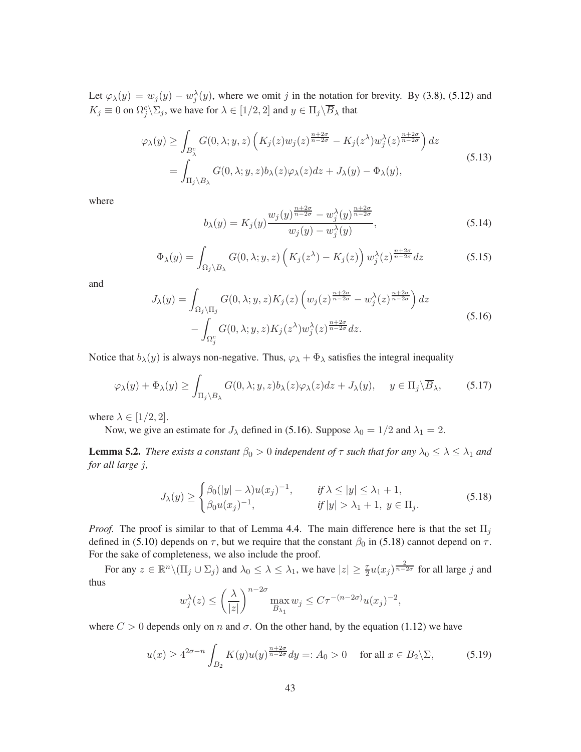Let  $\varphi_{\lambda}(y) = w_j(y) - w_j^{\lambda}(y)$ , where we omit j in the notation for brevity. By [\(3.8\)](#page-9-4), [\(5.12\)](#page-41-1) and  $K_j \equiv 0$  on  $\Omega_j^c \backslash \Sigma_j$ , we have for  $\lambda \in [1/2, 2]$  and  $y \in \Pi_j \backslash \overline{B}_\lambda$  that

$$
\varphi_{\lambda}(y) \ge \int_{B_{\lambda}^{c}} G(0,\lambda;y,z) \left( K_{j}(z) w_{j}(z)^{\frac{n+2\sigma}{n-2\sigma}} - K_{j}(z^{\lambda}) w_{j}^{\lambda}(z)^{\frac{n+2\sigma}{n-2\sigma}} \right) dz
$$
\n
$$
= \int_{\Pi_{j} \backslash B_{\lambda}} G(0,\lambda;y,z) b_{\lambda}(z) \varphi_{\lambda}(z) dz + J_{\lambda}(y) - \Phi_{\lambda}(y), \tag{5.13}
$$

where

$$
b_{\lambda}(y) = K_j(y) \frac{w_j(y)^{\frac{n+2\sigma}{n-2\sigma}} - w_j^{\lambda}(y)^{\frac{n+2\sigma}{n-2\sigma}}}{w_j(y) - w_j^{\lambda}(y)},
$$
\n(5.14)

<span id="page-42-0"></span>
$$
\Phi_{\lambda}(y) = \int_{\Omega_j \setminus B_{\lambda}} G(0, \lambda; y, z) \left( K_j(z^{\lambda}) - K_j(z) \right) w_j^{\lambda}(z)^{\frac{n+2\sigma}{n-2\sigma}} dz \tag{5.15}
$$

and

<span id="page-42-3"></span>
$$
J_{\lambda}(y) = \int_{\Omega_j \setminus \Pi_j} G(0, \lambda; y, z) K_j(z) \left( w_j(z)^{\frac{n+2\sigma}{n-2\sigma}} - w_j^{\lambda}(z)^{\frac{n+2\sigma}{n-2\sigma}} \right) dz
$$
  
- 
$$
\int_{\Omega_j^c} G(0, \lambda; y, z) K_j(z^{\lambda}) w_j^{\lambda}(z)^{\frac{n+2\sigma}{n-2\sigma}} dz.
$$
 (5.16)

Notice that  $b_\lambda(y)$  is always non-negative. Thus,  $\varphi_\lambda + \Phi_\lambda$  satisfies the integral inequality

<span id="page-42-1"></span>
$$
\varphi_{\lambda}(y) + \Phi_{\lambda}(y) \ge \int_{\Pi_j \backslash B_{\lambda}} G(0, \lambda; y, z) b_{\lambda}(z) \varphi_{\lambda}(z) dz + J_{\lambda}(y), \quad y \in \Pi_j \backslash \overline{B}_{\lambda}, \tag{5.17}
$$

<span id="page-42-2"></span>where  $\lambda \in [1/2, 2]$ .

Now, we give an estimate for  $J_{\lambda}$  defined in [\(5.16\)](#page-42-3). Suppose  $\lambda_0 = 1/2$  and  $\lambda_1 = 2$ .

**Lemma 5.2.** *There exists a constant*  $\beta_0 > 0$  *independent of*  $\tau$  *such that for any*  $\lambda_0 \leq \lambda \leq \lambda_1$  *and for all large* j*,*

<span id="page-42-4"></span>
$$
J_{\lambda}(y) \ge \begin{cases} \beta_0(|y| - \lambda)u(x_j)^{-1}, & \text{if } \lambda \le |y| \le \lambda_1 + 1, \\ \beta_0 u(x_j)^{-1}, & \text{if } |y| > \lambda_1 + 1, \ y \in \Pi_j. \end{cases} \tag{5.18}
$$

*Proof.* The proof is similar to that of Lemma [4.4.](#page-26-0) The main difference here is that the set  $\Pi_i$ defined in [\(5.10\)](#page-41-2) depends on  $\tau$ , but we require that the constant  $\beta_0$  in [\(5.18\)](#page-42-4) cannot depend on  $\tau$ . For the sake of completeness, we also include the proof.

For any  $z \in \mathbb{R}^n \setminus (\Pi_j \cup \Sigma_j)$  and  $\lambda_0 \leq \lambda \leq \lambda_1$ , we have  $|z| \geq \frac{\tau}{2} u(x_j)^{\frac{2}{n-2\sigma}}$  for all large j and thus

$$
w_j^{\lambda}(z) \le \left(\frac{\lambda}{|z|}\right)^{n-2\sigma} \max_{B_{\lambda_1}} w_j \le C\tau^{-(n-2\sigma)}u(x_j)^{-2},
$$

where  $C > 0$  depends only on n and  $\sigma$ . On the other hand, by the equation [\(1.12\)](#page-4-0) we have

$$
u(x) \ge 4^{2\sigma - n} \int_{B_2} K(y) u(y)^{\frac{n+2\sigma}{n-2\sigma}} dy =: A_0 > 0 \quad \text{for all } x \in B_2 \backslash \Sigma,
$$
 (5.19)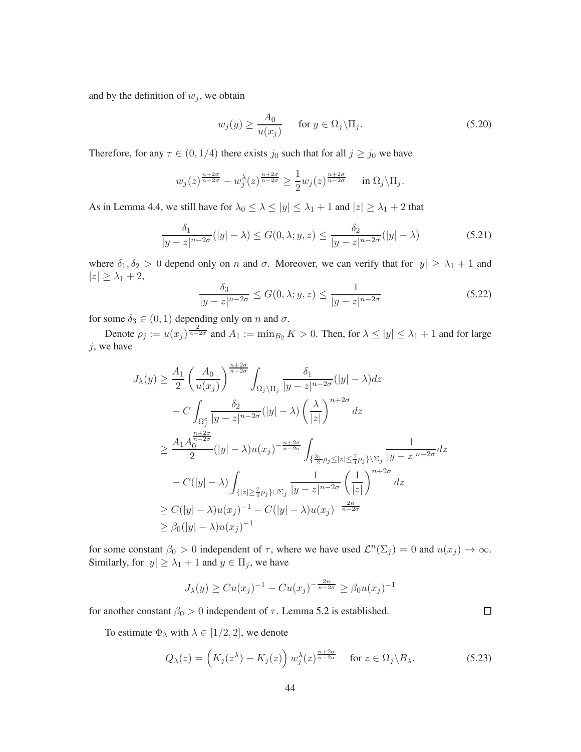and by the definition of  $w_j$ , we obtain

$$
w_j(y) \ge \frac{A_0}{u(x_j)} \quad \text{for } y \in \Omega_j \backslash \Pi_j. \tag{5.20}
$$

Therefore, for any  $\tau \in (0, 1/4)$  there exists  $j_0$  such that for all  $j \ge j_0$  we have

$$
w_j(z)^{\frac{n+2\sigma}{n-2\sigma}} - w_j^{\lambda}(z)^{\frac{n+2\sigma}{n-2\sigma}} \ge \frac{1}{2} w_j(z)^{\frac{n+2\sigma}{n-2\sigma}} \quad \text{in } \Omega_j \backslash \Pi_j.
$$

As in Lemma [4.4,](#page-26-0) we still have for  $\lambda_0 \leq \lambda \leq |y| \leq \lambda_1 + 1$  and  $|z| \geq \lambda_1 + 2$  that

$$
\frac{\delta_1}{|y-z|^{n-2\sigma}}(|y|-\lambda) \le G(0,\lambda;y,z) \le \frac{\delta_2}{|y-z|^{n-2\sigma}}(|y|-\lambda)
$$
\n(5.21)

where  $\delta_1, \delta_2 > 0$  depend only on n and  $\sigma$ . Moreover, we can verify that for  $|y| \geq \lambda_1 + 1$  and  $|z| \geq \lambda_1 + 2$ ,

$$
\frac{\delta_3}{|y-z|^{n-2\sigma}} \le G(0,\lambda;y,z) \le \frac{1}{|y-z|^{n-2\sigma}}\tag{5.22}
$$

for some  $\delta_3 \in (0,1)$  depending only on n and  $\sigma$ .

Denote  $\rho_j := u(x_j)^{\frac{2}{n-2\sigma}}$  and  $A_1 := \min_{B_2} K > 0$ . Then, for  $\lambda \le |y| \le \lambda_1 + 1$  and for large  $j$ , we have

$$
J_{\lambda}(y) \geq \frac{A_1}{2} \left(\frac{A_0}{u(x_j)}\right)^{\frac{n+2\sigma}{n-2\sigma}} \int_{\Omega_j \setminus \Pi_j} \frac{\delta_1}{|y-z|^{n-2\sigma}} (|y| - \lambda) dz
$$
  
\n
$$
- C \int_{\Omega_j^c} \frac{\delta_2}{|y-z|^{n-2\sigma}} (|y| - \lambda) \left(\frac{\lambda}{|z|}\right)^{n+2\sigma} dz
$$
  
\n
$$
\geq \frac{A_1 A_0^{\frac{n+2\sigma}{n-2\sigma}}}{2} (|y| - \lambda) u(x_j)^{-\frac{n+2\sigma}{n-2\sigma}} \int_{\{\frac{3\tau}{2} \rho_j \leq |z| \leq \frac{7}{4} \rho_j \} \setminus \Sigma_j} \frac{1}{|y-z|^{n-2\sigma}} dz
$$
  
\n
$$
- C(|y| - \lambda) \int_{\{|z| \geq \frac{7}{4} \rho_j \} \cup \Sigma_j} \frac{1}{|y-z|^{n-2\sigma}} \left(\frac{1}{|z|}\right)^{n+2\sigma} dz
$$
  
\n
$$
\geq C(|y| - \lambda) u(x_j)^{-1} - C(|y| - \lambda) u(x_j)^{-\frac{2n}{n-2\sigma}}
$$
  
\n
$$
\geq \beta_0 (|y| - \lambda) u(x_j)^{-1}
$$

for some constant  $\beta_0 > 0$  independent of  $\tau$ , where we have used  $\mathcal{L}^n(\Sigma_j) = 0$  and  $u(x_j) \to \infty$ . Similarly, for  $|y| \geq \lambda_1 + 1$  and  $y \in \Pi_j$ , we have

$$
J_{\lambda}(y) \geq Cu(x_j)^{-1} - Cu(x_j)^{-\frac{2n}{n-2\sigma}} \geq \beta_0 u(x_j)^{-1}
$$

for another constant  $\beta_0 > 0$  independent of  $\tau$ . Lemma [5.2](#page-42-2) is established.

To estimate  $\Phi_{\lambda}$  with  $\lambda \in [1/2, 2]$ , we denote

$$
Q_{\lambda}(z) = \left(K_j(z^{\lambda}) - K_j(z)\right) w_j^{\lambda}(z)^{\frac{n+2\sigma}{n-2\sigma}} \quad \text{for } z \in \Omega_j \backslash B_{\lambda}.
$$
 (5.23)

 $\Box$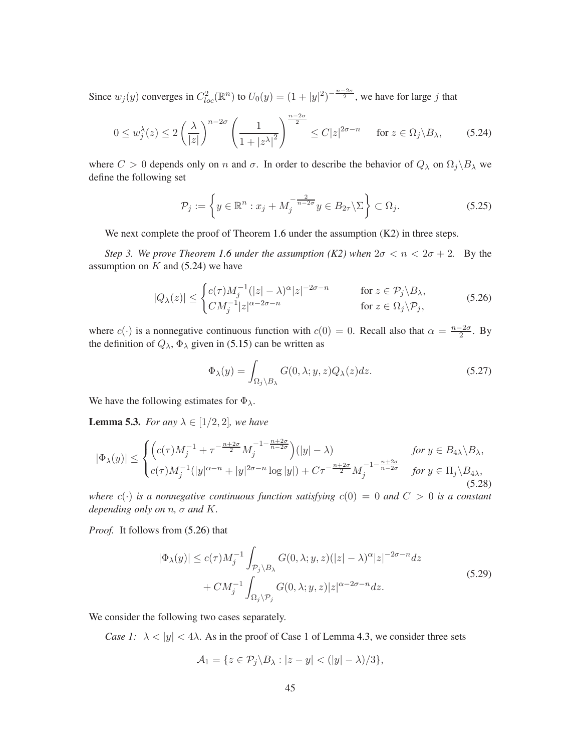Since  $w_j(y)$  converges in  $C_{loc}^2(\mathbb{R}^n)$  to  $U_0(y) = (1+|y|^2)^{-\frac{n-2\sigma}{2}}$ , we have for large j that

<span id="page-44-1"></span>
$$
0 \le w_j^{\lambda}(z) \le 2\left(\frac{\lambda}{|z|}\right)^{n-2\sigma} \left(\frac{1}{1+|z^{\lambda}|^2}\right)^{\frac{n-2\sigma}{2}} \le C|z|^{2\sigma-n} \quad \text{for } z \in \Omega_j \setminus B_{\lambda}, \tag{5.24}
$$

where  $C > 0$  depends only on n and  $\sigma$ . In order to describe the behavior of  $Q_{\lambda}$  on  $\Omega_j \backslash B_{\lambda}$  we define the following set

$$
\mathcal{P}_j := \left\{ y \in \mathbb{R}^n : x_j + M_j^{-\frac{2}{n-2\sigma}} y \in B_{2\tau} \backslash \Sigma \right\} \subset \Omega_j.
$$
\n(5.25)

We next complete the proof of Theorem [1.6](#page-4-1) under the assumption  $(K2)$  in three steps.

*Step 3. We prove Theorem [1.6](#page-4-1) under the assumption (K2) when*  $2\sigma < n < 2\sigma + 2$ . By the assumption on  $K$  and [\(5.24\)](#page-44-1) we have

<span id="page-44-2"></span>
$$
|Q_{\lambda}(z)| \leq \begin{cases} c(\tau)M_j^{-1}(|z| - \lambda)^{\alpha}|z|^{-2\sigma - n} & \text{for } z \in \mathcal{P}_j \backslash B_{\lambda}, \\ CM_j^{-1}|z|^{\alpha - 2\sigma - n} & \text{for } z \in \Omega_j \backslash \mathcal{P}_j, \end{cases}
$$
(5.26)

where  $c(\cdot)$  is a nonnegative continuous function with  $c(0) = 0$ . Recall also that  $\alpha = \frac{n-2\sigma}{2}$ . By the definition of  $Q_{\lambda}$ ,  $\Phi_{\lambda}$  given in [\(5.15\)](#page-42-0) can be written as

$$
\Phi_{\lambda}(y) = \int_{\Omega_j \backslash B_{\lambda}} G(0, \lambda; y, z) Q_{\lambda}(z) dz.
$$
\n(5.27)

<span id="page-44-0"></span>We have the following estimates for  $\Phi_{\lambda}$ .

**Lemma 5.3.** *For any*  $\lambda \in [1/2, 2]$ *, we have* 

$$
|\Phi_{\lambda}(y)| \leq \begin{cases} \left(c(\tau)M_j^{-1} + \tau^{-\frac{n+2\sigma}{2}}M_j^{-1-\frac{n+2\sigma}{n-2\sigma}}\right)(|y| - \lambda) & \text{for } y \in B_{4\lambda} \setminus B_{\lambda}, \\ c(\tau)M_j^{-1}(|y|^{\alpha - n} + |y|^{2\sigma - n}\log|y|) + C\tau^{-\frac{n+2\sigma}{2}}M_j^{-1-\frac{n+2\sigma}{n-2\sigma}} & \text{for } y \in \Pi_j \setminus B_{4\lambda}, \end{cases}
$$
(5.28)

*where*  $c(\cdot)$  *is a nonnegative continuous function satisfying*  $c(0) = 0$  *and*  $C > 0$  *is a constant depending only on* n*,* σ *and* K*.*

*Proof.* It follows from [\(5.26\)](#page-44-2) that

<span id="page-44-3"></span>
$$
|\Phi_{\lambda}(y)| \le c(\tau)M_j^{-1} \int_{\mathcal{P}_j \backslash B_{\lambda}} G(0,\lambda;y,z)(|z| - \lambda)^{\alpha} |z|^{-2\sigma - n} dz
$$
  
+  $CM_j^{-1} \int_{\Omega_j \backslash \mathcal{P}_j} G(0,\lambda;y,z) |z|^{\alpha - 2\sigma - n} dz.$  (5.29)

We consider the following two cases separately.

*Case 1:*  $\lambda < |y| < 4\lambda$ . As in the proof of Case 1 of Lemma [4.3,](#page-21-0) we consider three sets

$$
\mathcal{A}_1 = \{ z \in \mathcal{P}_j \backslash B_\lambda : |z - y| < (|y| - \lambda)/3 \},
$$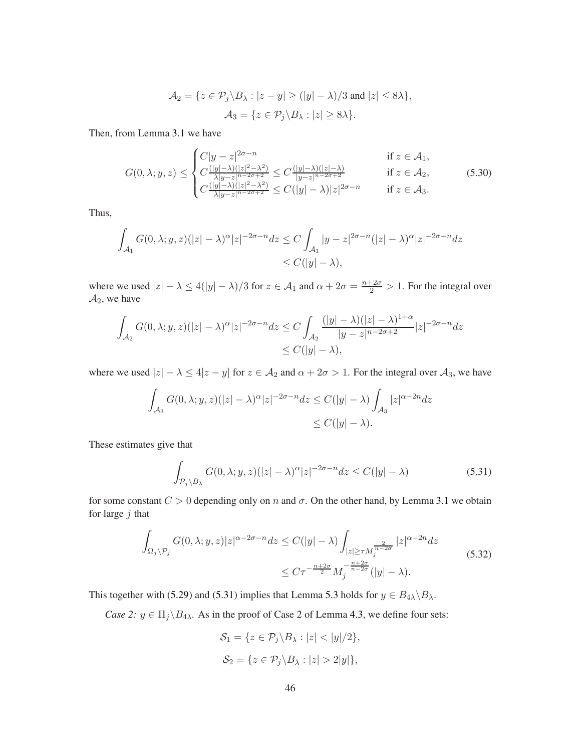$$
\mathcal{A}_2 = \{ z \in \mathcal{P}_j \setminus B_\lambda : |z - y| \ge (|y| - \lambda)/3 \text{ and } |z| \le 8\lambda \},
$$
  

$$
\mathcal{A}_3 = \{ z \in \mathcal{P}_j \setminus B_\lambda : |z| \ge 8\lambda \}.
$$

Then, from Lemma [3.1](#page-9-1) we have

$$
G(0,\lambda;y,z) \leq \begin{cases} C|y-z|^{2\sigma-n} & \text{if } z \in \mathcal{A}_1, \\ C\frac{(|y|-\lambda)(|z|^2-\lambda^2)}{\lambda|y-z|^{n-2\sigma+2}} \leq C\frac{(|y|-\lambda)(|z|-\lambda)}{|y-z|^{n-2\sigma+2}} & \text{if } z \in \mathcal{A}_2, \\ C\frac{(|y|-\lambda)(|z|^2-\lambda^2)}{\lambda|y-z|^{n-2\sigma+2}} \leq C(|y|-\lambda)|z|^{2\sigma-n} & \text{if } z \in \mathcal{A}_3. \end{cases} \tag{5.30}
$$

Thus,

$$
\int_{\mathcal{A}_1} G(0,\lambda;y,z)(|z|-\lambda)^{\alpha} |z|^{-2\sigma-n} dz \le C \int_{\mathcal{A}_1} |y-z|^{2\sigma-n} (|z|-\lambda)^{\alpha} |z|^{-2\sigma-n} dz
$$
  
\n
$$
\le C(|y|-\lambda),
$$

where we used  $|z| - \lambda \le 4(|y| - \lambda)/3$  for  $z \in A_1$  and  $\alpha + 2\sigma = \frac{n+2\sigma}{2} > 1$ . For the integral over  $A_2$ , we have

$$
\int_{\mathcal{A}_2} G(0,\lambda;y,z)(|z|-\lambda)^{\alpha} |z|^{-2\sigma-n} dz \le C \int_{\mathcal{A}_2} \frac{(|y|-\lambda)(|z|-\lambda)^{1+\alpha}}{|y-z|^{n-2\sigma+2}} |z|^{-2\sigma-n} dz
$$
  

$$
\le C(|y|-\lambda),
$$

where we used  $|z| - \lambda \le 4|z - y|$  for  $z \in A_2$  and  $\alpha + 2\sigma > 1$ . For the integral over  $A_3$ , we have

$$
\int_{\mathcal{A}_3} G(0,\lambda;y,z)(|z|-\lambda)^{\alpha} |z|^{-2\sigma-n} dz \le C(|y|-\lambda) \int_{\mathcal{A}_3} |z|^{\alpha-2n} dz
$$
  

$$
\le C(|y|-\lambda).
$$

These estimates give that

<span id="page-45-0"></span>
$$
\int_{\mathcal{P}_j \setminus B_{\lambda}} G(0, \lambda; y, z)(|z| - \lambda)^{\alpha} |z|^{-2\sigma - n} dz \le C(|y| - \lambda)
$$
\n(5.31)

for some constant  $C > 0$  depending only on n and  $\sigma$ . On the other hand, by Lemma [3.1](#page-9-1) we obtain for large  $j$  that

$$
\int_{\Omega_j \setminus \mathcal{P}_j} G(0, \lambda; y, z) |z|^{\alpha - 2\sigma - n} dz \le C(|y| - \lambda) \int_{|z| \ge \tau M_j^{\frac{2}{n - 2\sigma}}} |z|^{\alpha - 2n} dz
$$
\n
$$
\le C\tau^{-\frac{n + 2\sigma}{2}} M_j^{-\frac{n + 2\sigma}{n - 2\sigma}}(|y| - \lambda).
$$
\n(5.32)

This together with [\(5.29\)](#page-44-3) and [\(5.31\)](#page-45-0) implies that Lemma [5.3](#page-44-0) holds for  $y \in B_{4\lambda} \backslash B_{\lambda}$ .

*Case 2:*  $y \in \Pi_j \backslash B_{4\lambda}$ . As in the proof of Case 2 of Lemma [4.3,](#page-21-0) we define four sets:

$$
\mathcal{S}_1 = \{ z \in \mathcal{P}_j \backslash B_\lambda : |z| < |y|/2 \},
$$
\n
$$
\mathcal{S}_2 = \{ z \in \mathcal{P}_j \backslash B_\lambda : |z| > 2|y| \},
$$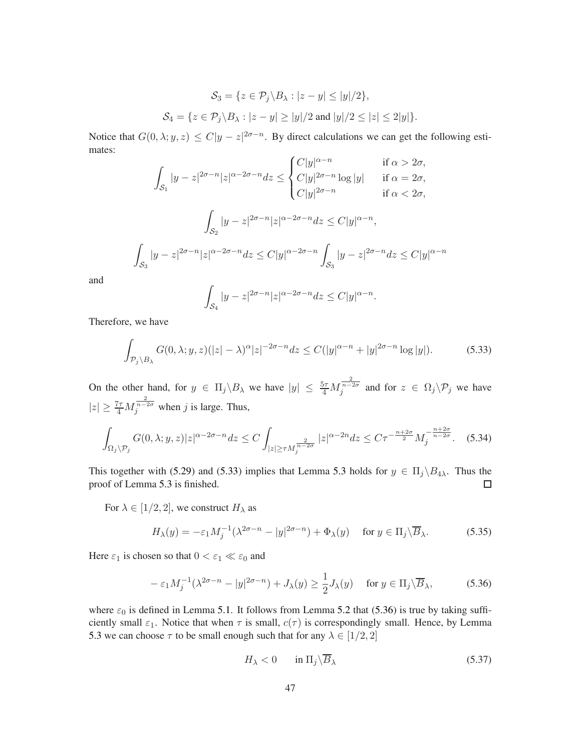$$
\mathcal{S}_3 = \{ z \in \mathcal{P}_j \backslash B_\lambda : |z - y| \le |y|/2 \},
$$
  

$$
\mathcal{S}_4 = \{ z \in \mathcal{P}_j \backslash B_\lambda : |z - y| \ge |y|/2 \text{ and } |y|/2 \le |z| \le 2|y| \}.
$$

Notice that  $G(0, \lambda; y, z) \leq C |y - z|^{2\sigma - n}$ . By direct calculations we can get the following estimates:

$$
\int_{\mathcal{S}_1} |y - z|^{2\sigma - n} |z|^{\alpha - 2\sigma - n} dz \le \begin{cases} C|y|^{\alpha - n} & \text{if } \alpha > 2\sigma, \\ C|y|^{2\sigma - n} \log|y| & \text{if } \alpha = 2\sigma, \\ C|y|^{2\sigma - n} & \text{if } \alpha < 2\sigma, \end{cases}
$$
\n
$$
\int_{\mathcal{S}_2} |y - z|^{2\sigma - n} |z|^{\alpha - 2\sigma - n} dz \le C|y|^{\alpha - n},
$$
\n
$$
\int_{\mathcal{S}_3} |y - z|^{2\sigma - n} |z|^{\alpha - 2\sigma - n} dz \le C|y|^{\alpha - 2\sigma - n} \int_{\mathcal{S}_3} |y - z|^{2\sigma - n} dz \le C|y|^{\alpha - n}
$$

and

$$
\int_{\mathcal{S}_4} |y - z|^{2\sigma - n} |z|^{\alpha - 2\sigma - n} dz \le C |y|^{\alpha - n}.
$$

Therefore, we have

z

<span id="page-46-0"></span>
$$
\int_{\mathcal{P}_j \backslash B_{\lambda}} G(0, \lambda; y, z)(|z| - \lambda)^{\alpha} |z|^{-2\sigma - n} dz \le C(|y|^{\alpha - n} + |y|^{2\sigma - n} \log |y|). \tag{5.33}
$$

On the other hand, for  $y \in \Pi_j \backslash B_\lambda$  we have  $|y| \leq \frac{5\tau}{4} M_j^{\frac{2}{n-2\sigma}}$  and for  $z \in \Omega_j \backslash \mathcal{P}_j$  we have  $|z| \ge \frac{7\tau}{4} M_j^{\frac{2}{n-2\sigma}}$  when j is large. Thus,

$$
\int_{\Omega_j \backslash \mathcal{P}_j} G(0,\lambda;y,z) |z|^{\alpha - 2\sigma - n} dz \le C \int_{|z| \ge \tau M_j^{\frac{2}{n - 2\sigma}}} |z|^{\alpha - 2n} dz \le C\tau^{-\frac{n + 2\sigma}{2}} M_j^{-\frac{n + 2\sigma}{n - 2\sigma}}.
$$
 (5.34)

This together with [\(5.29\)](#page-44-3) and [\(5.33\)](#page-46-0) implies that Lemma [5.3](#page-44-0) holds for  $y \in \Pi_j \backslash B_{4\lambda}$ . Thus the proof of Lemma [5.3](#page-44-0) is finished.  $\Box$ 

For  $\lambda \in [1/2, 2]$ , we construct  $H_{\lambda}$  as

$$
H_{\lambda}(y) = -\varepsilon_1 M_j^{-1} (\lambda^{2\sigma - n} - |y|^{2\sigma - n}) + \Phi_{\lambda}(y) \quad \text{for } y \in \Pi_j \backslash \overline{B}_{\lambda}.
$$
 (5.35)

Here  $\varepsilon_1$  is chosen so that  $0 < \varepsilon_1 \ll \varepsilon_0$  and

<span id="page-46-1"></span>
$$
-\varepsilon_1 M_j^{-1}(\lambda^{2\sigma-n} - |y|^{2\sigma-n}) + J_\lambda(y) \ge \frac{1}{2} J_\lambda(y) \quad \text{for } y \in \Pi_j \backslash \overline{B}_\lambda,\tag{5.36}
$$

where  $\varepsilon_0$  is defined in Lemma [5.1.](#page-41-3) It follows from Lemma [5.2](#page-42-2) that [\(5.36\)](#page-46-1) is true by taking sufficiently small  $\varepsilon_1$ . Notice that when  $\tau$  is small,  $c(\tau)$  is correspondingly small. Hence, by Lemma [5.3](#page-44-0) we can choose  $\tau$  to be small enough such that for any  $\lambda \in [1/2, 2]$ 

<span id="page-46-2"></span>
$$
H_{\lambda} < 0 \qquad \text{in } \Pi_j \backslash \overline{B}_{\lambda} \tag{5.37}
$$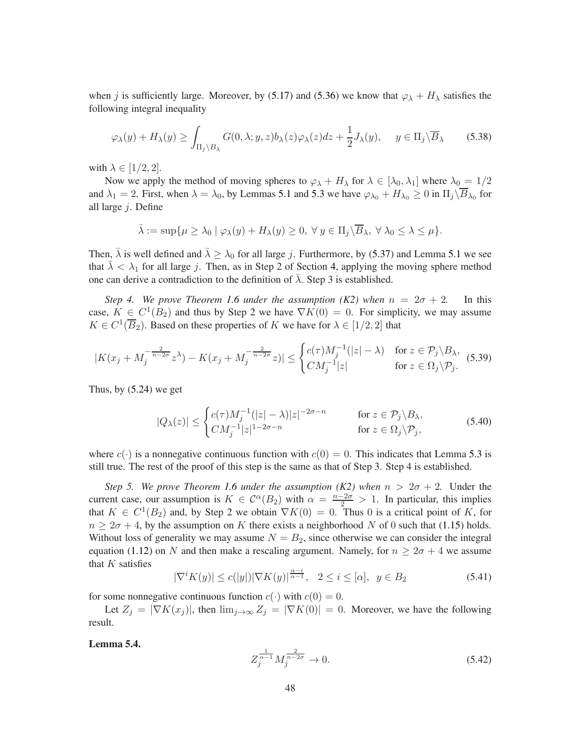when j is sufficiently large. Moreover, by [\(5.17\)](#page-42-1) and [\(5.36\)](#page-46-1) we know that  $\varphi_{\lambda} + H_{\lambda}$  satisfies the following integral inequality

$$
\varphi_{\lambda}(y) + H_{\lambda}(y) \ge \int_{\Pi_j \setminus B_{\lambda}} G(0, \lambda; y, z) b_{\lambda}(z) \varphi_{\lambda}(z) dz + \frac{1}{2} J_{\lambda}(y), \quad y \in \Pi_j \setminus \overline{B}_{\lambda}
$$
(5.38)

with  $\lambda \in [1/2, 2]$ .

Now we apply the method of moving spheres to  $\varphi_{\lambda} + H_{\lambda}$  for  $\lambda \in [\lambda_0, \lambda_1]$  where  $\lambda_0 = 1/2$ and  $\lambda_1 = 2$ . First, when  $\lambda = \lambda_0$ , by Lemmas [5.1](#page-41-3) and [5.3](#page-44-0) we have  $\varphi_{\lambda_0} + H_{\lambda_0} \ge 0$  in  $\Pi_j \backslash B_{\lambda_0}$  for all large j. Define

$$
\bar{\lambda} := \sup \{ \mu \geq \lambda_0 \mid \varphi_\lambda(y) + H_\lambda(y) \geq 0, \ \forall \ y \in \Pi_j \backslash \overline{B}_\lambda, \ \forall \ \lambda_0 \leq \lambda \leq \mu \}.
$$

Then,  $\bar{\lambda}$  is well defined and  $\bar{\lambda} \geq \lambda_0$  for all large j. Furthermore, by [\(5.37\)](#page-46-2) and Lemma [5.1](#page-41-3) we see that  $\bar{\lambda} < \lambda_1$  for all large j. Then, as in Step 2 of Section [4,](#page-12-0) applying the moving sphere method one can derive a contradiction to the definition of  $\lambda$ . Step 3 is established.

*Step 4. We prove Theorem [1.6](#page-4-1) under the assumption (K2) when*  $n = 2\sigma + 2$ . In this case,  $K \in C^1(B_2)$  and thus by Step 2 we have  $\nabla K(0) = 0$ . For simplicity, we may assume  $K \in C^1(\overline{B}_2)$ . Based on these properties of K we have for  $\lambda \in [1/2, 2]$  that

$$
|K(x_j + M_j^{-\frac{2}{n-2\sigma}} z^{\lambda}) - K(x_j + M_j^{-\frac{2}{n-2\sigma}} z)| \leq \begin{cases} c(\tau)M_j^{-1}(|z| - \lambda) & \text{for } z \in \mathcal{P}_j \backslash B_{\lambda}, \\ CM_j^{-1}|z| & \text{for } z \in \Omega_j \backslash \mathcal{P}_j. \end{cases}
$$
(5.39)

Thus, by  $(5.24)$  we get

$$
|Q_{\lambda}(z)| \leq \begin{cases} c(\tau)M_j^{-1}(|z| - \lambda)|z|^{-2\sigma - n} & \text{for } z \in \mathcal{P}_j \backslash B_{\lambda}, \\ CM_j^{-1}|z|^{1 - 2\sigma - n} & \text{for } z \in \Omega_j \backslash \mathcal{P}_j, \end{cases}
$$
(5.40)

where  $c(\cdot)$  is a nonnegative continuous function with  $c(0) = 0$ . This indicates that Lemma [5.3](#page-44-0) is still true. The rest of the proof of this step is the same as that of Step 3. Step 4 is established.

*Step 5. We prove Theorem [1.6](#page-4-1) under the assumption (K2) when*  $n > 2\sigma + 2$ *.* Under the current case, our assumption is  $K \in C^{\alpha}(B_2)$  with  $\alpha = \frac{n-2\sigma}{2} > 1$ . In particular, this implies that  $K \in C^1(B_2)$  and, by Step 2 we obtain  $\nabla K(0) = 0$ . Thus 0 is a critical point of K, for  $n \geq 2\sigma + 4$ , by the assumption on K there exists a neighborhood N of 0 such that [\(1.15\)](#page-4-2) holds. Without loss of generality we may assume  $N = B_2$ , since otherwise we can consider the integral equation [\(1.12\)](#page-4-0) on N and then make a rescaling argument. Namely, for  $n \geq 2\sigma + 4$  we assume that  $K$  satisfies

$$
|\nabla^i K(y)| \le c(|y|) |\nabla K(y)|^{\frac{\alpha - i}{\alpha - 1}}, \quad 2 \le i \le [\alpha], \quad y \in B_2 \tag{5.41}
$$

for some nonnegative continuous function  $c(\cdot)$  with  $c(0) = 0$ .

<span id="page-47-0"></span>Let  $Z_j = |\nabla K(x_j)|$ , then  $\lim_{j\to\infty} Z_j = |\nabla K(0)| = 0$ . Moreover, we have the following result.

#### Lemma 5.4.

$$
Z_j^{\frac{1}{\alpha-1}} M_j^{\frac{2}{n-2\sigma}} \to 0. \tag{5.42}
$$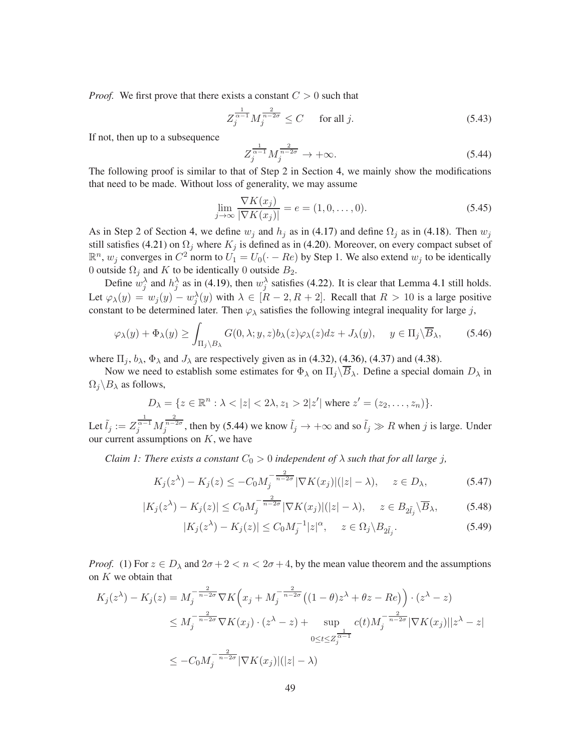*Proof.* We first prove that there exists a constant  $C > 0$  such that

<span id="page-48-2"></span>
$$
Z_j^{\frac{1}{\alpha-1}} M_j^{\frac{2}{n-2\sigma}} \le C \quad \text{for all } j.
$$

If not, then up to a subsequence

<span id="page-48-0"></span>
$$
Z_j^{\frac{1}{\alpha-1}} M_j^{\frac{2}{n-2\sigma}} \to +\infty.
$$
\n(5.44)

The following proof is similar to that of Step 2 in Section [4,](#page-12-0) we mainly show the modifications that need to be made. Without loss of generality, we may assume

$$
\lim_{j \to \infty} \frac{\nabla K(x_j)}{|\nabla K(x_j)|} = e = (1, 0, \dots, 0).
$$
\n(5.45)

As in Step 2 of Section [4,](#page-12-0) we define  $w_j$  and  $h_j$  as in [\(4.17\)](#page-17-0) and define  $\Omega_j$  as in [\(4.18\)](#page-17-5). Then  $w_j$ still satisfies [\(4.21\)](#page-17-6) on  $\Omega_i$  where  $K_i$  is defined as in [\(4.20\)](#page-17-7). Moreover, on every compact subset of  $\mathbb{R}^n$ ,  $w_j$  converges in  $C^2$  norm to  $U_1 = U_0(\cdot - Re)$  by Step 1. We also extend  $w_j$  to be identically 0 outside  $\Omega_j$  and K to be identically 0 outside  $B_2$ .

Define  $w_j^{\lambda}$  and  $h_j^{\lambda}$  as in [\(4.19\)](#page-17-1), then  $w_j^{\lambda}$  satisfies [\(4.22\)](#page-17-8). It is clear that Lemma [4.1](#page-17-2) still holds. Let  $\varphi_{\lambda}(y) = w_j(y) - w_j^{\lambda}(y)$  with  $\lambda \in [R-2, R+2]$ . Recall that  $R > 10$  is a large positive constant to be determined later. Then  $\varphi_{\lambda}$  satisfies the following integral inequality for large j,

<span id="page-48-1"></span>
$$
\varphi_{\lambda}(y) + \Phi_{\lambda}(y) \ge \int_{\Pi_j \backslash B_{\lambda}} G(0, \lambda; y, z) b_{\lambda}(z) \varphi_{\lambda}(z) dz + J_{\lambda}(y), \quad y \in \Pi_j \backslash \overline{B}_{\lambda}, \tag{5.46}
$$

where  $\Pi_i$ ,  $b_\lambda$ ,  $\Phi_\lambda$  and  $J_\lambda$  are respectively given as in [\(4.32\)](#page-19-3), [\(4.36\)](#page-19-4), [\(4.37\)](#page-19-0) and [\(4.38\)](#page-20-5).

Now we need to establish some estimates for  $\Phi_\lambda$  on  $\Pi_i\backslash\overline{B}_\lambda$ . Define a special domain  $D_\lambda$  in  $\Omega_i \backslash B_\lambda$  as follows,

$$
D_{\lambda} = \{ z \in \mathbb{R}^n : \lambda < |z| < 2\lambda, z_1 > 2|z'| \text{ where } z' = (z_2, \dots, z_n) \}.
$$

Let  $\tilde{l}_j := Z_j^{\frac{1}{\alpha-1}} M_j^{\frac{2}{n-2\sigma}}$ , then by [\(5.44\)](#page-48-0) we know  $\tilde{l}_j \to +\infty$  and so  $\tilde{l}_j \gg R$  when j is large. Under our current assumptions on  $K$ , we have

*Claim 1: There exists a constant*  $C_0 > 0$  *independent of*  $\lambda$  *such that for all large j,* 

$$
K_j(z^{\lambda}) - K_j(z) \le -C_0 M_j^{-\frac{2}{n-2\sigma}} |\nabla K(x_j)|(|z| - \lambda), \quad z \in D_{\lambda}, \tag{5.47}
$$

$$
|K_j(z^{\lambda}) - K_j(z)| \le C_0 M_j^{-\frac{2}{n-2\sigma}} |\nabla K(x_j)|(|z| - \lambda), \quad z \in B_{2\tilde{l}_j} \backslash \overline{B}_{\lambda}, \tag{5.48}
$$

$$
|K_j(z^{\lambda}) - K_j(z)| \le C_0 M_j^{-1} |z|^{\alpha}, \quad z \in \Omega_j \backslash B_{2\tilde{l}_j}.
$$
 (5.49)

*Proof.* (1) For  $z \in D_\lambda$  and  $2\sigma + 2 < n < 2\sigma + 4$ , by the mean value theorem and the assumptions on  $K$  we obtain that

$$
K_j(z^{\lambda}) - K_j(z) = M_j^{-\frac{2}{n-2\sigma}} \nabla K \left( x_j + M_j^{-\frac{2}{n-2\sigma}} \left( (1-\theta)z^{\lambda} + \theta z - Re \right) \right) \cdot (z^{\lambda} - z)
$$
  
\n
$$
\leq M_j^{-\frac{2}{n-2\sigma}} \nabla K(x_j) \cdot (z^{\lambda} - z) + \sup_{0 \leq t \leq Z_j^{\frac{1}{\alpha-1}}} c(t)M_j^{-\frac{2}{n-2\sigma}} |\nabla K(x_j)||z^{\lambda} - z|
$$
  
\n
$$
\leq -C_0 M_j^{-\frac{2}{n-2\sigma}} |\nabla K(x_j)|(|z| - \lambda)
$$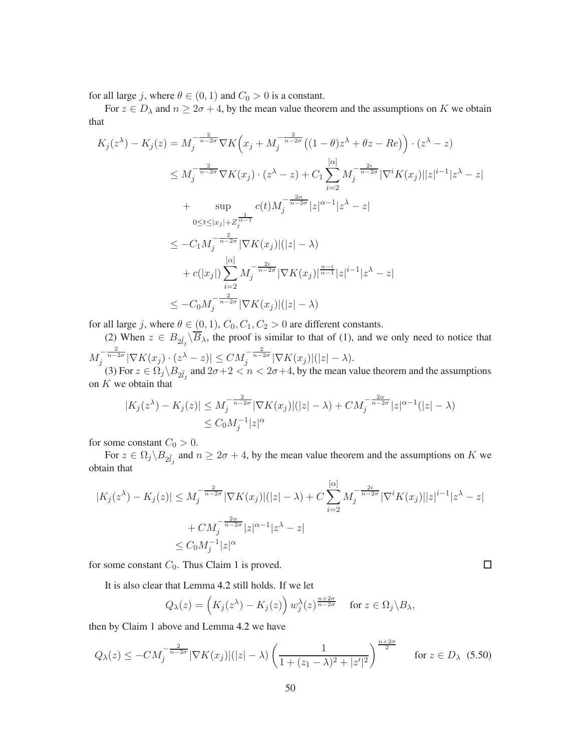for all large j, where  $\theta \in (0, 1)$  and  $C_0 > 0$  is a constant.

For  $z \in D_\lambda$  and  $n \geq 2\sigma + 4$ , by the mean value theorem and the assumptions on K we obtain that

$$
K_{j}(z^{\lambda}) - K_{j}(z) = M_{j}^{-\frac{2}{n-2\sigma}} \nabla K(x_{j} + M_{j}^{-\frac{2}{n-2\sigma}}((1-\theta)z^{\lambda} + \theta z - Re)) \cdot (z^{\lambda} - z)
$$
  
\n
$$
\leq M_{j}^{-\frac{2}{n-2\sigma}} \nabla K(x_{j}) \cdot (z^{\lambda} - z) + C_{1} \sum_{i=2}^{\lceil \alpha \rceil} M_{j}^{-\frac{2i}{n-2\sigma}} |\nabla^{i} K(x_{j})||z|^{i-1} |z^{\lambda} - z|
$$
  
\n
$$
+ \sup_{0 \leq t \leq |x_{j}| + Z_{j}^{\frac{1}{\alpha} - 1}} c(t) M_{j}^{-\frac{2\alpha}{n-2\sigma}} |z|^{\alpha - 1} |z^{\lambda} - z|
$$
  
\n
$$
\leq -C_{1} M_{j}^{-\frac{2}{n-2\sigma}} |\nabla K(x_{j})|(|z| - \lambda)
$$
  
\n
$$
+ c(|x_{j}|) \sum_{i=2}^{\lceil \alpha \rceil} M_{j}^{-\frac{2i}{n-2\sigma}} |\nabla K(x_{j})|^{(\lceil \alpha \rceil - 1)} |z|^{i-1} |z^{\lambda} - z|
$$
  
\n
$$
\leq -C_{0} M_{j}^{-\frac{2}{n-2\sigma}} |\nabla K(x_{j})|(|z| - \lambda)
$$

for all large j, where  $\theta \in (0, 1), C_0, C_1, C_2 > 0$  are different constants.

(2) When  $z \in B_{2\tilde{I}_j} \backslash B_\lambda$ , the proof is similar to that of (1), and we only need to notice that  $M_j^{-\frac{2}{n-2\sigma}}|\nabla K(x_j)\cdot(z^\lambda-z)|\leq CM_j^{-\frac{2}{n-2\sigma}}|\nabla K(x_j)|(|z|-\lambda).$ 

(3) For  $z \in \Omega_j \backslash B_{2\tilde{l}_j}$  and  $2\sigma+2 < n < 2\sigma+4$ , by the mean value theorem and the assumptions on  $K$  we obtain that

$$
|K_j(z^{\lambda}) - K_j(z)| \le M_j^{-\frac{2}{n-2\sigma}} |\nabla K(x_j)|(|z| - \lambda) + CM_j^{-\frac{2\alpha}{n-2\sigma}} |z|^{\alpha-1} (|z| - \lambda)
$$
  
\$\le C\_0 M\_j^{-1} |z|^{\alpha}\$

for some constant  $C_0 > 0$ .

For  $z \in \Omega_j \backslash B_{2\tilde{l}_j}$  and  $n \geq 2\sigma + 4$ , by the mean value theorem and the assumptions on K we obtain that

$$
|K_j(z^{\lambda}) - K_j(z)| \le M_j^{-\frac{2}{n-2\sigma}} |\nabla K(x_j)|(|z| - \lambda) + C \sum_{i=2}^{\lceil \alpha \rceil} M_j^{-\frac{2i}{n-2\sigma}} |\nabla^i K(x_j)||z|^{i-1} |z^{\lambda} - z|
$$
  
+  $CM_j^{-\frac{2\alpha}{n-2\sigma}} |z|^{\alpha-1} |z^{\lambda} - z|$   
 $\le C_0 M_j^{-1} |z|^{\alpha}$ 

for some constant  $C_0$ . Thus Claim 1 is proved.

It is also clear that Lemma [4.2](#page-20-4) still holds. If we let

$$
Q_{\lambda}(z) = \left(K_j(z^{\lambda}) - K_j(z)\right) w_j^{\lambda}(z)^{\frac{n+2\sigma}{n-2\sigma}} \quad \text{ for } z \in \Omega_j \backslash B_{\lambda},
$$

 $\Box$ 

then by Claim 1 above and Lemma [4.2](#page-20-4) we have

$$
Q_{\lambda}(z) \le -CM_j^{-\frac{2}{n-2\sigma}} |\nabla K(x_j)|(|z| - \lambda) \left( \frac{1}{1 + (z_1 - \lambda)^2 + |z'|^2} \right)^{\frac{n+2\sigma}{2}} \quad \text{for } z \in D_{\lambda} \tag{5.50}
$$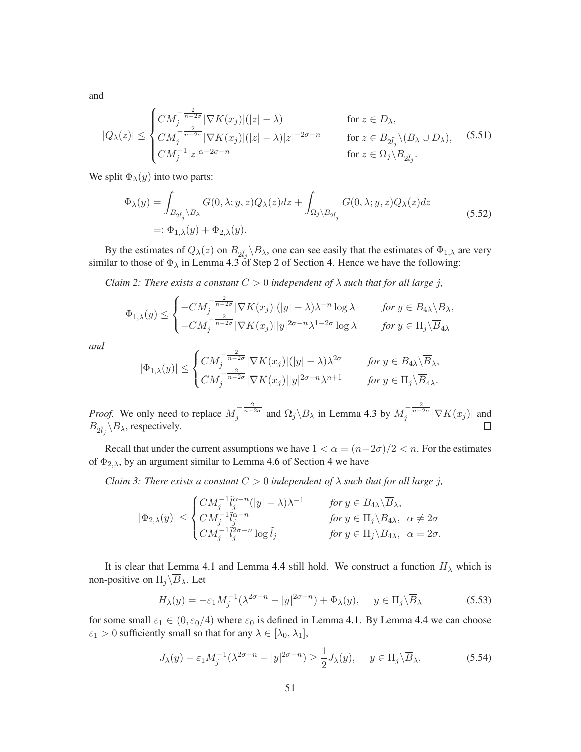and

$$
|Q_{\lambda}(z)| \leq \begin{cases} CM_j^{-\frac{2}{n-2\sigma}} |\nabla K(x_j)|(|z| - \lambda) & \text{for } z \in D_{\lambda}, \\ CM_j^{-\frac{2}{n-2\sigma}} |\nabla K(x_j)|(|z| - \lambda)|z|^{-2\sigma - n} & \text{for } z \in B_{2\tilde{l}_j} \setminus (B_{\lambda} \cup D_{\lambda}), \\ CM_j^{-1} |z|^{\alpha - 2\sigma - n} & \text{for } z \in \Omega_j \setminus B_{2\tilde{l}_j}. \end{cases}
$$
(5.51)

We split  $\Phi_{\lambda}(y)$  into two parts:

$$
\Phi_{\lambda}(y) = \int_{B_{2\tilde{l}_j} \backslash B_{\lambda}} G(0, \lambda; y, z) Q_{\lambda}(z) dz + \int_{\Omega_j \backslash B_{2\tilde{l}_j}} G(0, \lambda; y, z) Q_{\lambda}(z) dz
$$
\n
$$
=:\Phi_{1,\lambda}(y) + \Phi_{2,\lambda}(y).
$$
\n(5.52)

By the estimates of  $Q_{\lambda}(z)$  on  $B_{2\tilde{l}_j} \backslash B_{\lambda}$ , one can see easily that the estimates of  $\Phi_{1,\lambda}$  are very similar to those of  $\Phi_{\lambda}$  in Lemma [4.3](#page-21-0) of Step 2 of Section [4.](#page-12-0) Hence we have the following:

*Claim 2: There exists a constant*  $C > 0$  *independent of*  $\lambda$  *such that for all large j,* 

$$
\Phi_{1,\lambda}(y) \leq \begin{cases}\n-CM_j^{-\frac{2}{n-2\sigma}} |\nabla K(x_j)|(|y| - \lambda)\lambda^{-n} \log \lambda & \text{for } y \in B_{4\lambda} \setminus \overline{B}_{\lambda}, \\
-CM_j^{-\frac{2}{n-2\sigma}} |\nabla K(x_j)| |y|^{2\sigma - n} \lambda^{1-2\sigma} \log \lambda & \text{for } y \in \Pi_j \setminus \overline{B}_{4\lambda}.\n\end{cases}
$$

*and*

$$
|\Phi_{1,\lambda}(y)| \leq \begin{cases} CM_j^{-\frac{2}{n-2\sigma}} |\nabla K(x_j)| (|y| - \lambda) \lambda^{2\sigma} & \text{for } y \in B_{4\lambda} \setminus \overline{B}_{\lambda}, \\ CM_j^{-\frac{2}{n-2\sigma}} |\nabla K(x_j)| |y|^{2\sigma - n} \lambda^{n+1} & \text{for } y \in \Pi_j \setminus \overline{B}_{4\lambda}. \end{cases}
$$

*Proof.* We only need to replace  $M_j^{-\frac{2}{n-2\sigma}}$  and  $\Omega_j \backslash B_\lambda$  in Lemma [4.3](#page-21-0) by  $M_j^{-\frac{2}{n-2\sigma}} |\nabla K(x_j)|$  and  $B_{2\tilde{l}_j} \backslash B_{\lambda}$ , respectively.  $\Box$ 

Recall that under the current assumptions we have  $1 < \alpha = (n-2\sigma)/2 < n$ . For the estimates of  $\Phi_{2,\lambda}$ , by an argument similar to Lemma [4.6](#page-32-1) of Section [4](#page-12-0) we have

*Claim 3: There exists a constant*  $C > 0$  *independent of*  $\lambda$  *such that for all large j,* 

$$
|\Phi_{2,\lambda}(y)| \leq \begin{cases} CM_j^{-1}\tilde{l}_j^{\alpha-n}(|y|-\lambda)\lambda^{-1} & \text{ for } y \in B_{4\lambda}\backslash\overline{B}_\lambda, \\ CM_j^{-1}\tilde{l}_j^{\alpha-n} & \text{ for } y \in \Pi_j\backslash B_{4\lambda}, \ \alpha \neq 2\sigma \\ CM_j^{-1}\tilde{l}_j^{2\sigma-n}\log \tilde{l}_j & \text{ for } y \in \Pi_j\backslash B_{4\lambda}, \ \alpha = 2\sigma. \end{cases}
$$

It is clear that Lemma [4.1](#page-17-2) and Lemma [4.4](#page-26-0) still hold. We construct a function  $H_{\lambda}$  which is non-positive on  $\Pi_j \backslash \overline{B}_\lambda$ . Let

$$
H_{\lambda}(y) = -\varepsilon_1 M_j^{-1} (\lambda^{2\sigma - n} - |y|^{2\sigma - n}) + \Phi_{\lambda}(y), \quad y \in \Pi_j \backslash \overline{B}_{\lambda}
$$
 (5.53)

for some small  $\varepsilon_1 \in (0, \varepsilon_0/4)$  where  $\varepsilon_0$  is defined in Lemma [4.1.](#page-17-2) By Lemma [4.4](#page-26-0) we can choose  $\varepsilon_1 > 0$  sufficiently small so that for any  $\lambda \in [\lambda_0, \lambda_1]$ ,

<span id="page-50-0"></span>
$$
J_{\lambda}(y) - \varepsilon_1 M_j^{-1} (\lambda^{2\sigma - n} - |y|^{2\sigma - n}) \ge \frac{1}{2} J_{\lambda}(y), \quad y \in \Pi_j \backslash \overline{B}_{\lambda}.
$$
 (5.54)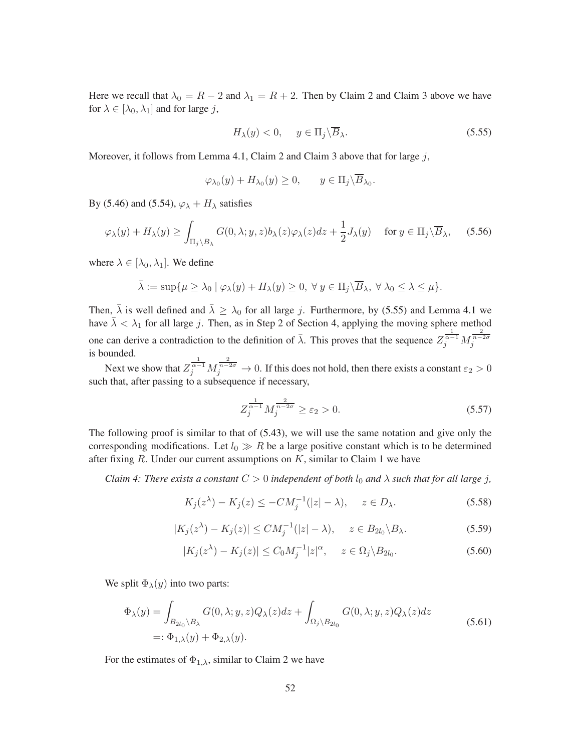Here we recall that  $\lambda_0 = R - 2$  and  $\lambda_1 = R + 2$ . Then by Claim 2 and Claim 3 above we have for  $\lambda \in [\lambda_0, \lambda_1]$  and for large j,

<span id="page-51-0"></span>
$$
H_{\lambda}(y) < 0, \quad y \in \Pi_j \backslash \overline{B}_{\lambda}.\tag{5.55}
$$

Moreover, it follows from Lemma [4.1,](#page-17-2) Claim 2 and Claim 3 above that for large  $j$ ,

$$
\varphi_{\lambda_0}(y) + H_{\lambda_0}(y) \ge 0, \qquad y \in \Pi_j \backslash \overline{B}_{\lambda_0}.
$$

By [\(5.46\)](#page-48-1) and [\(5.54\)](#page-50-0),  $\varphi_{\lambda} + H_{\lambda}$  satisfies

$$
\varphi_{\lambda}(y) + H_{\lambda}(y) \ge \int_{\Pi_j \setminus B_{\lambda}} G(0, \lambda; y, z) b_{\lambda}(z) \varphi_{\lambda}(z) dz + \frac{1}{2} J_{\lambda}(y) \quad \text{for } y \in \Pi_j \setminus \overline{B}_{\lambda}, \tag{5.56}
$$

where  $\lambda \in [\lambda_0, \lambda_1]$ . We define

$$
\bar{\lambda} := \sup \{ \mu \ge \lambda_0 \mid \varphi_\lambda(y) + H_\lambda(y) \ge 0, \ \forall \ y \in \Pi_j \backslash \overline{B}_\lambda, \ \forall \ \lambda_0 \le \lambda \le \mu \}.
$$

Then,  $\bar{\lambda}$  is well defined and  $\bar{\lambda} \geq \lambda_0$  for all large j. Furthermore, by [\(5.55\)](#page-51-0) and Lemma [4.1](#page-17-2) we have  $\bar{\lambda} < \lambda_1$  for all large j. Then, as in Step 2 of Section [4,](#page-12-0) applying the moving sphere method one can derive a contradiction to the definition of  $\bar{\lambda}$ . This proves that the sequence  $Z_j^{\frac{1}{\alpha-1}} M_j^{\frac{2}{n-2\sigma}}$ is bounded.

Next we show that  $Z_j^{\frac{1}{\alpha-1}} M_j^{\frac{2}{n-2\sigma}} \to 0$ . If this does not hold, then there exists a constant  $\varepsilon_2 > 0$ such that, after passing to a subsequence if necessary,

$$
Z_j^{\frac{1}{\alpha-1}} M_j^{\frac{2}{n-2\sigma}} \ge \varepsilon_2 > 0.
$$
 (5.57)

The following proof is similar to that of [\(5.43\)](#page-48-2), we will use the same notation and give only the corresponding modifications. Let  $l_0 \gg R$  be a large positive constant which is to be determined after fixing  $R$ . Under our current assumptions on  $K$ , similar to Claim 1 we have

*Claim 4: There exists a constant*  $C > 0$  *independent of both*  $l_0$  *and*  $\lambda$  *such that for all large j*,

$$
K_j(z^{\lambda}) - K_j(z) \le -CM_j^{-1}(|z| - \lambda), \quad z \in D_{\lambda}.
$$
\n
$$
(5.58)
$$

$$
|K_j(z^{\lambda}) - K_j(z)| \le CM_j^{-1}(|z| - \lambda), \quad z \in B_{2l_0} \backslash B_{\lambda}.
$$
 (5.59)

$$
|K_j(z^{\lambda}) - K_j(z)| \le C_0 M_j^{-1} |z|^{\alpha}, \quad z \in \Omega_j \backslash B_{2l_0}.
$$
 (5.60)

We split  $\Phi_{\lambda}(y)$  into two parts:

$$
\Phi_{\lambda}(y) = \int_{B_{2l_0}\setminus B_{\lambda}} G(0,\lambda;y,z)Q_{\lambda}(z)dz + \int_{\Omega_j\setminus B_{2l_0}} G(0,\lambda;y,z)Q_{\lambda}(z)dz
$$
\n
$$
=:\Phi_{1,\lambda}(y) + \Phi_{2,\lambda}(y).
$$
\n(5.61)

For the estimates of  $\Phi_{1,\lambda}$ , similar to Claim 2 we have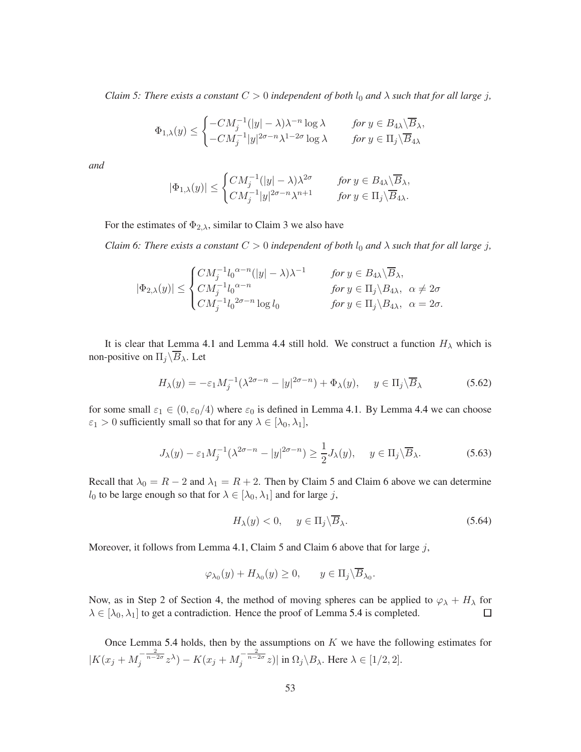*Claim 5: There exists a constant*  $C > 0$  *independent of both*  $l_0$  *and*  $\lambda$  *such that for all large j*,

$$
\Phi_{1,\lambda}(y) \leq \begin{cases}\n-CM_j^{-1}(|y| - \lambda)\lambda^{-n} \log \lambda & \text{for } y \in B_{4\lambda} \setminus \overline{B}_{\lambda}, \\
-CM_j^{-1}|y|^{2\sigma - n} \lambda^{1-2\sigma} \log \lambda & \text{for } y \in \Pi_j \setminus \overline{B}_{4\lambda}.\n\end{cases}
$$

*and*

$$
|\Phi_{1,\lambda}(y)|\leq \begin{cases} CM_j^{-1}(|y|-\lambda)\lambda^{2\sigma} &\quad \text{for }y\in B_{4\lambda}\backslash\overline{B}_{\lambda},\\ CM_j^{-1}|y|^{2\sigma-n}\lambda^{n+1} &\quad \text{for }y\in \Pi_j\backslash\overline{B}_{4\lambda}. \end{cases}
$$

For the estimates of  $\Phi_{2,\lambda}$ , similar to Claim 3 we also have

*Claim 6: There exists a constant*  $C > 0$  *independent of both*  $l_0$  *and*  $\lambda$  *such that for all large j*,

$$
|\Phi_{2,\lambda}(y)| \leq \begin{cases} CM_j^{-1}l_0^{\alpha-n}(|y| - \lambda)\lambda^{-1} & \text{for } y \in B_{4\lambda}\backslash\overline{B}_{\lambda}, \\ CM_j^{-1}l_0^{\alpha-n} & \text{for } y \in \Pi_j\backslash B_{4\lambda}, \ \alpha \neq 2\sigma \\ CM_j^{-1}l_0^{-2\sigma-n}\log l_0 & \text{for } y \in \Pi_j\backslash B_{4\lambda}, \ \alpha = 2\sigma. \end{cases}
$$

It is clear that Lemma [4.1](#page-17-2) and Lemma [4.4](#page-26-0) still hold. We construct a function  $H_{\lambda}$  which is non-positive on  $\Pi_j\backslash\overline{B}_\lambda$  . Let

$$
H_{\lambda}(y) = -\varepsilon_1 M_j^{-1} (\lambda^{2\sigma - n} - |y|^{2\sigma - n}) + \Phi_{\lambda}(y), \quad y \in \Pi_j \backslash \overline{B}_{\lambda}
$$
 (5.62)

for some small  $\varepsilon_1 \in (0, \varepsilon_0/4)$  where  $\varepsilon_0$  is defined in Lemma [4.1.](#page-17-2) By Lemma [4.4](#page-26-0) we can choose  $\varepsilon_1 > 0$  sufficiently small so that for any  $\lambda \in [\lambda_0, \lambda_1]$ ,

$$
J_{\lambda}(y) - \varepsilon_1 M_j^{-1} (\lambda^{2\sigma - n} - |y|^{2\sigma - n}) \ge \frac{1}{2} J_{\lambda}(y), \quad y \in \Pi_j \backslash \overline{B}_{\lambda}.
$$
 (5.63)

Recall that  $\lambda_0 = R - 2$  and  $\lambda_1 = R + 2$ . Then by Claim 5 and Claim 6 above we can determine  $l_0$  to be large enough so that for  $\lambda \in [\lambda_0, \lambda_1]$  and for large j,

$$
H_{\lambda}(y) < 0, \quad y \in \Pi_j \backslash \overline{B}_{\lambda}.\tag{5.64}
$$

Moreover, it follows from Lemma [4.1,](#page-17-2) Claim 5 and Claim 6 above that for large  $j$ ,

$$
\varphi_{\lambda_0}(y) + H_{\lambda_0}(y) \ge 0, \qquad y \in \Pi_j \backslash \overline{B}_{\lambda_0}.
$$

Now, as in Step 2 of Section [4,](#page-12-0) the method of moving spheres can be applied to  $\varphi_{\lambda} + H_{\lambda}$  for  $\lambda \in [\lambda_0, \lambda_1]$  to get a contradiction. Hence the proof of Lemma [5.4](#page-47-0) is completed.  $\Box$ 

Once Lemma [5.4](#page-47-0) holds, then by the assumptions on  $K$  we have the following estimates for  $|K(x_j+M_j^{-\frac{2}{n-2\sigma}}z^\lambda)-K(x_j+M_j^{-\frac{2}{n-2\sigma}}z)|$  in  $\Omega_j\backslash B_\lambda$ . Here  $\lambda\in[1/2,2].$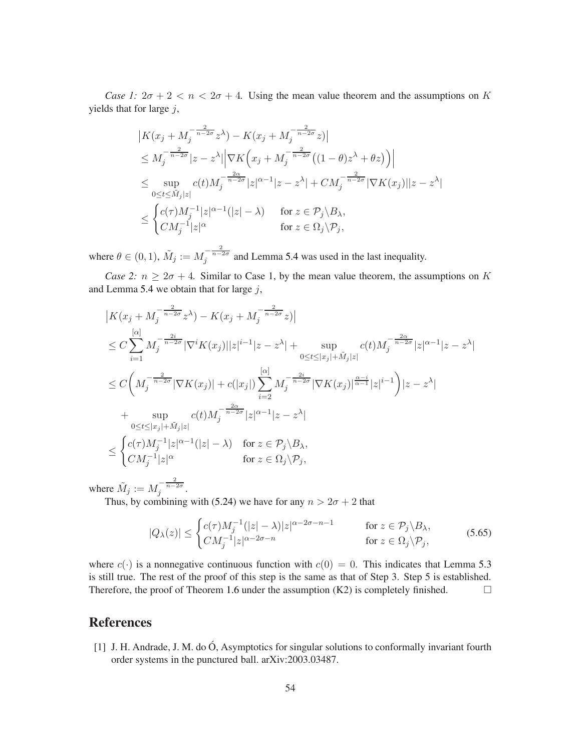*Case 1:*  $2\sigma + 2 < n < 2\sigma + 4$ . Using the mean value theorem and the assumptions on K yields that for large  $j$ ,

$$
|K(x_j + M_j^{-\frac{2}{n-2\sigma}} z^{\lambda}) - K(x_j + M_j^{-\frac{2}{n-2\sigma}} z)|
$$
  
\n
$$
\leq M_j^{-\frac{2}{n-2\sigma}} |z - z^{\lambda}| |\nabla K (x_j + M_j^{-\frac{2}{n-2\sigma}} ((1 - \theta) z^{\lambda} + \theta z))|
$$
  
\n
$$
\leq \sup_{0 \leq t \leq \tilde{M}_j |z|} c(t) M_j^{-\frac{2\alpha}{n-2\sigma}} |z|^{\alpha-1} |z - z^{\lambda}| + C M_j^{-\frac{2}{n-2\sigma}} |\nabla K(x_j)||z - z^{\lambda}|
$$
  
\n
$$
\leq \begin{cases} c(\tau) M_j^{-1} |z|^{\alpha-1} (|z| - \lambda) & \text{for } z \in \mathcal{P}_j \setminus B_{\lambda}, \\ C M_j^{-1} |z|^{\alpha} & \text{for } z \in \Omega_j \setminus \mathcal{P}_j, \end{cases}
$$

where  $\theta \in (0, 1)$ ,  $\tilde{M}_j := M_j^{-\frac{2}{n-2\sigma}}$  and Lemma [5.4](#page-47-0) was used in the last inequality.

*Case 2:*  $n \geq 2\sigma + 4$ . Similar to Case 1, by the mean value theorem, the assumptions on K and Lemma [5.4](#page-47-0) we obtain that for large  $j$ ,

$$
|K(x_j + M_j^{-\frac{2}{n-2\sigma}} z^{\lambda}) - K(x_j + M_j^{-\frac{2}{n-2\sigma}} z)|
$$
  
\n
$$
\leq C \sum_{i=1}^{\lceil \alpha \rceil} M_j^{-\frac{2i}{n-2\sigma}} |\nabla^i K(x_j)||z|^{i-1} |z - z^{\lambda}| + \sup_{0 \leq t \leq |x_j| + \tilde{M}_j |z|} c(t) M_j^{-\frac{2\alpha}{n-2\sigma}} |z|^{\alpha-1} |z - z^{\lambda}|
$$
  
\n
$$
\leq C \left( M_j^{-\frac{2}{n-2\sigma}} |\nabla K(x_j)| + c(|x_j|) \sum_{i=2}^{\lceil \alpha \rceil} M_j^{-\frac{2i}{n-2\sigma}} |\nabla K(x_j)|^{\frac{\alpha-i}{\alpha-1}} |z|^{i-1} \right) |z - z^{\lambda}|
$$
  
\n+ 
$$
\sup_{0 \leq t \leq |x_j| + \tilde{M}_j |z|} c(t) M_j^{-\frac{2\alpha}{n-2\sigma}} |z|^{\alpha-1} |z - z^{\lambda}|
$$
  
\n
$$
\leq \begin{cases} c(\tau) M_j^{-1} |z|^{\alpha-1} (|z| - \lambda) & \text{for } z \in \mathcal{P}_j \backslash B_{\lambda}, \\ C M_j^{-1} |z|^{\alpha} & \text{for } z \in \Omega_j \backslash \mathcal{P}_j, \end{cases}
$$

where  $\tilde{M}_j := M_j^{-\frac{2}{n-2\sigma}}$ .

Thus, by combining with [\(5.24\)](#page-44-1) we have for any  $n > 2\sigma + 2$  that

$$
|Q_{\lambda}(z)| \leq \begin{cases} c(\tau)M_j^{-1}(|z| - \lambda)|z|^{\alpha - 2\sigma - n - 1} & \text{for } z \in \mathcal{P}_j \backslash B_{\lambda}, \\ CM_j^{-1}|z|^{\alpha - 2\sigma - n} & \text{for } z \in \Omega_j \backslash \mathcal{P}_j, \end{cases}
$$
(5.65)

where  $c(\cdot)$  is a nonnegative continuous function with  $c(0) = 0$ . This indicates that Lemma [5.3](#page-44-0) is still true. The rest of the proof of this step is the same as that of Step 3. Step 5 is established. Therefore, the proof of Theorem [1.6](#page-4-1) under the assumption  $(K2)$  is completely finished.  $\square$ 

## <span id="page-53-0"></span>References

[1] J. H. Andrade, J. M. do  $\acute{O}$ , Asymptotics for singular solutions to conformally invariant fourth order systems in the punctured ball. arXiv:2003.03487.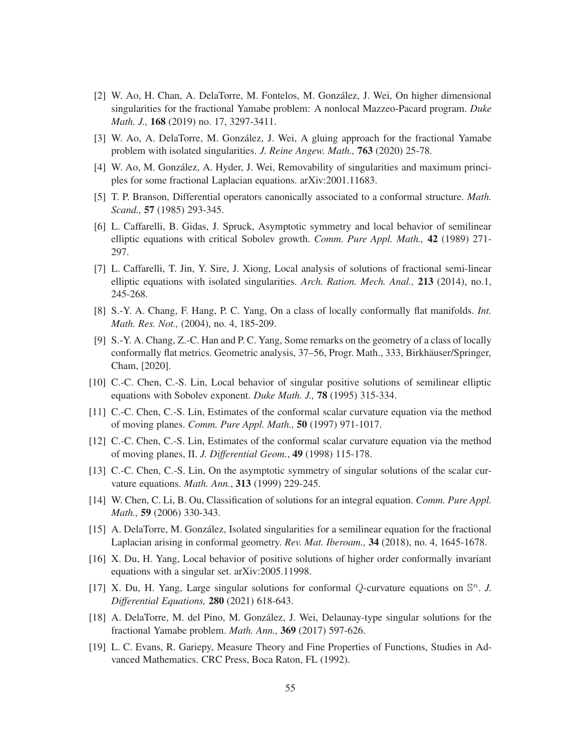- <span id="page-54-9"></span>[2] W. Ao, H. Chan, A. DelaTorre, M. Fontelos, M. González, J. Wei, On higher dimensional singularities for the fractional Yamabe problem: A nonlocal Mazzeo-Pacard program. *Duke Math. J.,* 168 (2019) no. 17, 3297-3411.
- <span id="page-54-14"></span><span id="page-54-10"></span>[3] W. Ao, A. DelaTorre, M. González, J. Wei, A gluing approach for the fractional Yamabe problem with isolated singularities. *J. Reine Angew. Math.,* 763 (2020) 25-78.
- <span id="page-54-5"></span>[4] W. Ao, M. González, A. Hyder, J. Wei, Removability of singularities and maximum principles for some fractional Laplacian equations. arXiv:2001.11683.
- <span id="page-54-0"></span>[5] T. P. Branson, Differential operators canonically associated to a conformal structure. *Math. Scand.,* 57 (1985) 293-345.
- [6] L. Caffarelli, B. Gidas, J. Spruck, Asymptotic symmetry and local behavior of semilinear elliptic equations with critical Sobolev growth. *Comm. Pure Appl. Math.,* 42 (1989) 271- 297.
- <span id="page-54-11"></span>[7] L. Caffarelli, T. Jin, Y. Sire, J. Xiong, Local analysis of solutions of fractional semi-linear elliptic equations with isolated singularities. *Arch. Ration. Mech. Anal.,* 213 (2014), no.1, 245-268.
- <span id="page-54-6"></span><span id="page-54-1"></span>[8] S.-Y. A. Chang, F. Hang, P. C. Yang, On a class of locally conformally flat manifolds. *Int. Math. Res. Not.,* (2004), no. 4, 185-209.
- [9] S.-Y. A. Chang, Z.-C. Han and P. C. Yang, Some remarks on the geometry of a class of locally conformally flat metrics. Geometric analysis, 37–56, Progr. Math., 333, Birkhäuser/Springer, Cham, [2020].
- <span id="page-54-3"></span><span id="page-54-2"></span>[10] C.-C. Chen, C.-S. Lin, Local behavior of singular positive solutions of semilinear elliptic equations with Sobolev exponent. *Duke Math. J.,* 78 (1995) 315-334.
- [11] C.-C. Chen, C.-S. Lin, Estimates of the conformal scalar curvature equation via the method of moving planes. *Comm. Pure Appl. Math.,* 50 (1997) 971-1017.
- <span id="page-54-4"></span>[12] C.-C. Chen, C.-S. Lin, Estimates of the conformal scalar curvature equation via the method of moving planes, II. *J. Differential Geom.*, 49 (1998) 115-178.
- <span id="page-54-16"></span>[13] C.-C. Chen, C.-S. Lin, On the asymptotic symmetry of singular solutions of the scalar curvature equations. *Math. Ann.*, 313 (1999) 229-245.
- <span id="page-54-12"></span>[14] W. Chen, C. Li, B. Ou, Classification of solutions for an integral equation. *Comm. Pure Appl. Math.,* 59 (2006) 330-343.
- <span id="page-54-7"></span>[15] A. DelaTorre, M. González, Isolated singularities for a semilinear equation for the fractional Laplacian arising in conformal geometry. *Rev. Mat. Iberoam.,* 34 (2018), no. 4, 1645-1678.
- <span id="page-54-8"></span>[16] X. Du, H. Yang, Local behavior of positive solutions of higher order conformally invariant equations with a singular set. arXiv:2005.11998.
- <span id="page-54-13"></span>[17] X. Du, H. Yang, Large singular solutions for conformal  $Q$ -curvature equations on  $\mathbb{S}^n$ . J. *Differential Equations,* 280 (2021) 618-643.
- <span id="page-54-15"></span>[18] A. DelaTorre, M. del Pino, M. González, J. Wei, Delaunay-type singular solutions for the fractional Yamabe problem. *Math. Ann.,* 369 (2017) 597-626.
- [19] L. C. Evans, R. Gariepy, Measure Theory and Fine Properties of Functions, Studies in Advanced Mathematics. CRC Press, Boca Raton, FL (1992).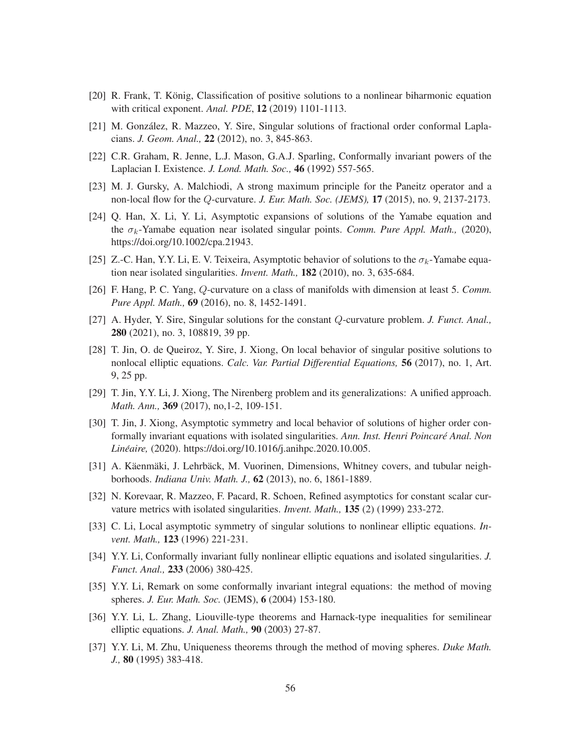- <span id="page-55-10"></span><span id="page-55-8"></span>[20] R. Frank, T. König, Classification of positive solutions to a nonlinear biharmonic equation with critical exponent. *Anal. PDE*, 12 (2019) 1101-1113.
- <span id="page-55-5"></span>[21] M. González, R. Mazzeo, Y. Sire, Singular solutions of fractional order conformal Laplacians. *J. Geom. Anal.,* 22 (2012), no. 3, 845-863.
- <span id="page-55-6"></span>[22] C.R. Graham, R. Jenne, L.J. Mason, G.A.J. Sparling, Conformally invariant powers of the Laplacian I. Existence. *J. Lond. Math. Soc.,* 46 (1992) 557-565.
- <span id="page-55-1"></span>[23] M. J. Gursky, A. Malchiodi, A strong maximum principle for the Paneitz operator and a non-local flow for the Q-curvature. *J. Eur. Math. Soc. (JEMS),* 17 (2015), no. 9, 2137-2173.
- [24] Q. Han, X. Li, Y. Li, Asymptotic expansions of solutions of the Yamabe equation and the  $\sigma_k$ -Yamabe equation near isolated singular points. *Comm. Pure Appl. Math.*, (2020), https://doi.org/10.1002/cpa.21943.
- <span id="page-55-7"></span><span id="page-55-2"></span>[25] Z.-C. Han, Y.Y. Li, E. V. Teixeira, Asymptotic behavior of solutions to the  $\sigma_k$ -Yamabe equation near isolated singularities. *Invent. Math.,* 182 (2010), no. 3, 635-684.
- <span id="page-55-12"></span>[26] F. Hang, P. C. Yang, Q-curvature on a class of manifolds with dimension at least 5. *Comm. Pure Appl. Math.,* 69 (2016), no. 8, 1452-1491.
- <span id="page-55-14"></span>[27] A. Hyder, Y. Sire, Singular solutions for the constant Q-curvature problem. *J. Funct. Anal.,* 280 (2021), no. 3, 108819, 39 pp.
- [28] T. Jin, O. de Queiroz, Y. Sire, J. Xiong, On local behavior of singular positive solutions to nonlocal elliptic equations. *Calc. Var. Partial Differential Equations,* 56 (2017), no. 1, Art. 9, 25 pp.
- <span id="page-55-13"></span><span id="page-55-9"></span>[29] T. Jin, Y.Y. Li, J. Xiong, The Nirenberg problem and its generalizations: A unified approach. *Math. Ann.,* 369 (2017), no,1-2, 109-151.
- [30] T. Jin, J. Xiong, Asymptotic symmetry and local behavior of solutions of higher order conformally invariant equations with isolated singularities. *Ann. Inst. Henri Poincare Anal. Non ´ Lineaire, ´* (2020). https://doi.org/10.1016/j.anihpc.2020.10.005.
- <span id="page-55-11"></span><span id="page-55-0"></span>[31] A. Käenmäki, J. Lehrbäck, M. Vuorinen, Dimensions, Whitney covers, and tubular neighborhoods. *Indiana Univ. Math. J.,* 62 (2013), no. 6, 1861-1889.
- <span id="page-55-3"></span>[32] N. Korevaar, R. Mazzeo, F. Pacard, R. Schoen, Refined asymptotics for constant scalar curvature metrics with isolated singularities. *Invent. Math.,* 135 (2) (1999) 233-272.
- <span id="page-55-4"></span>[33] C. Li, Local asymptotic symmetry of singular solutions to nonlinear elliptic equations. *Invent. Math.,* 123 (1996) 221-231.
- <span id="page-55-15"></span>[34] Y.Y. Li, Conformally invariant fully nonlinear elliptic equations and isolated singularities. *J. Funct. Anal.,* 233 (2006) 380-425.
- <span id="page-55-17"></span>[35] Y.Y. Li, Remark on some conformally invariant integral equations: the method of moving spheres. *J. Eur. Math. Soc.* (JEMS), 6 (2004) 153-180.
- <span id="page-55-16"></span>[36] Y.Y. Li, L. Zhang, Liouville-type theorems and Harnack-type inequalities for semilinear elliptic equations. *J. Anal. Math.,* 90 (2003) 27-87.
- [37] Y.Y. Li, M. Zhu, Uniqueness theorems through the method of moving spheres. *Duke Math. J.,* 80 (1995) 383-418.